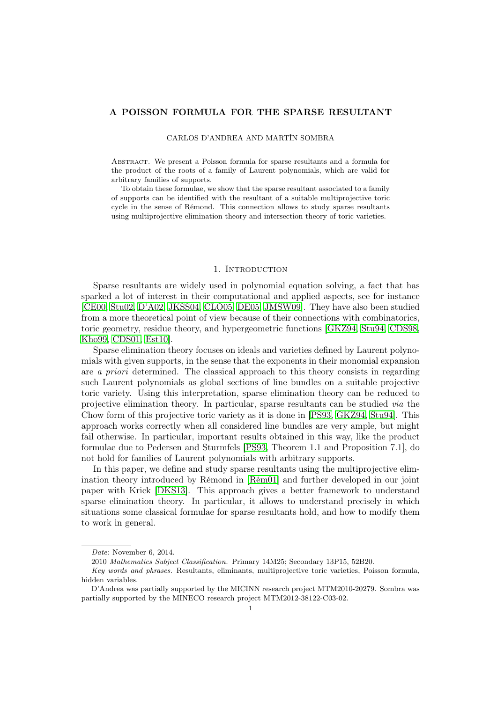# A POISSON FORMULA FOR THE SPARSE RESULTANT

CARLOS D'ANDREA AND MARTÍN SOMBRA

Abstract. We present a Poisson formula for sparse resultants and a formula for the product of the roots of a family of Laurent polynomials, which are valid for arbitrary families of supports.

To obtain these formulae, we show that the sparse resultant associated to a family of supports can be identified with the resultant of a suitable multiprojective toric cycle in the sense of Rémond. This connection allows to study sparse resultants using multiprojective elimination theory and intersection theory of toric varieties.

## 1. INTRODUCTION

Sparse resultants are widely used in polynomial equation solving, a fact that has sparked a lot of interest in their computational and applied aspects, see for instance [\[CE00,](#page-33-0) [Stu02,](#page-34-0) [D'A02,](#page-33-1) [JKSS04,](#page-33-2) [CLO05,](#page-33-3) [DE05,](#page-33-4) [JMSW09\]](#page-33-5). They have also been studied from a more theoretical point of view because of their connections with combinatorics, toric geometry, residue theory, and hypergeometric functions [\[GKZ94,](#page-33-6) [Stu94,](#page-34-1) [CDS98,](#page-33-7) [Kho99,](#page-33-8) [CDS01,](#page-33-9) [Est10\]](#page-33-10).

Sparse elimination theory focuses on ideals and varieties defined by Laurent polynomials with given supports, in the sense that the exponents in their monomial expansion are a priori determined. The classical approach to this theory consists in regarding such Laurent polynomials as global sections of line bundles on a suitable projective toric variety. Using this interpretation, sparse elimination theory can be reduced to projective elimination theory. In particular, sparse resultants can be studied via the Chow form of this projective toric variety as it is done in [\[PS93,](#page-33-11) [GKZ94,](#page-33-6) [Stu94\]](#page-34-1). This approach works correctly when all considered line bundles are very ample, but might fail otherwise. In particular, important results obtained in this way, like the product formulae due to Pedersen and Sturmfels [\[PS93,](#page-33-11) Theorem 1.1 and Proposition 7.1], do not hold for families of Laurent polynomials with arbitrary supports.

In this paper, we define and study sparse resultants using the multiprojective elimination theory introduced by Rémond in [\[Rém01\]](#page-33-12) and further developed in our joint paper with Krick [\[DKS13\]](#page-33-13). This approach gives a better framework to understand sparse elimination theory. In particular, it allows to understand precisely in which situations some classical formulae for sparse resultants hold, and how to modify them to work in general.

Date: November 6, 2014.

<sup>2010</sup> Mathematics Subject Classification. Primary 14M25; Secondary 13P15, 52B20.

Key words and phrases. Resultants, eliminants, multiprojective toric varieties, Poisson formula, hidden variables.

D'Andrea was partially supported by the MICINN research project MTM2010-20279. Sombra was partially supported by the MINECO research project MTM2012-38122-C03-02.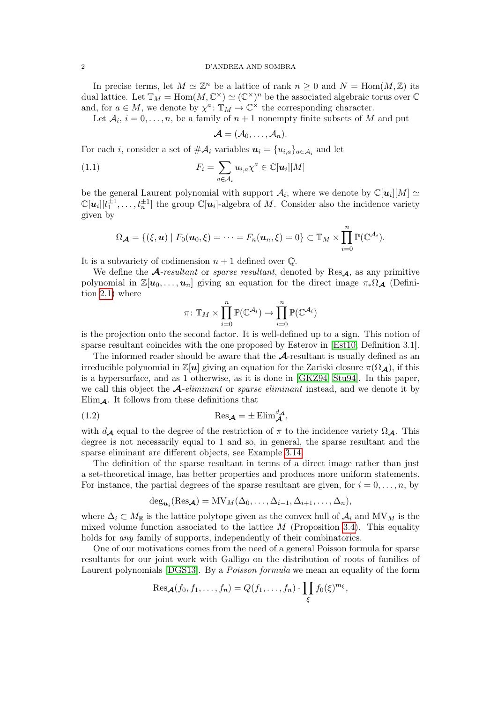In precise terms, let  $M \simeq \mathbb{Z}^n$  be a lattice of rank  $n \geq 0$  and  $N = \text{Hom}(M, \mathbb{Z})$  its dual lattice. Let  $\mathbb{T}_M = \text{Hom}(M, \mathbb{C}^{\times}) \simeq (\mathbb{C}^{\times})^n$  be the associated algebraic torus over  $\mathbb{C}$ and, for  $a \in M$ , we denote by  $\chi^a: \mathbb{T}_M \to \mathbb{C}^\times$  the corresponding character.

Let  $A_i$ ,  $i = 0, \ldots, n$ , be a family of  $n + 1$  nonempty finite subsets of M and put

<span id="page-1-0"></span>
$$
\boldsymbol{\mathcal{A}}=(\mathcal{A}_0,\ldots,\mathcal{A}_n).
$$

For each *i*, consider a set of  $\#\mathcal{A}_i$  variables  $\mathbf{u}_i = \{u_{i,a}\}_{a \in \mathcal{A}_i}$  and let

(1.1) 
$$
F_i = \sum_{a \in \mathcal{A}_i} u_{i,a} \chi^a \in \mathbb{C}[\boldsymbol{u}_i][M]
$$

be the general Laurent polynomial with support  $\mathcal{A}_i$ , where we denote by  $\mathbb{C}[u_i][M] \simeq$  $\mathbb{C}[u_i][t_1^{\pm 1},...,t_n^{\pm 1}]$  the group  $\mathbb{C}[u_i]$ -algebra of M. Consider also the incidence variety given by

$$
\Omega_{\mathcal{A}} = \{(\xi, \mathbf{u}) \mid F_0(\mathbf{u}_0, \xi) = \cdots = F_n(\mathbf{u}_n, \xi) = 0\} \subset \mathbb{T}_M \times \prod_{i=0}^n \mathbb{P}(\mathbb{C}^{\mathcal{A}_i}).
$$

It is a subvariety of codimension  $n+1$  defined over  $\mathbb{Q}$ .

We define the  $\mathcal{A}$ -resultant or sparse resultant, denoted by Res $\mathcal{A}$ , as any primitive polynomial in  $\mathbb{Z}[u_0, \ldots, u_n]$  giving an equation for the direct image  $\pi_*\Omega_{\mathcal{A}}$  (Definition [2.1\)](#page-7-0) where

$$
\pi \colon \mathbb{T}_M \times \prod_{i=0}^n \mathbb{P}(\mathbb{C}^{\mathcal{A}_i}) \to \prod_{i=0}^n \mathbb{P}(\mathbb{C}^{\mathcal{A}_i})
$$

is the projection onto the second factor. It is well-defined up to a sign. This notion of sparse resultant coincides with the one proposed by Esterov in [\[Est10,](#page-33-10) Definition 3.1].

The informed reader should be aware that the A-resultant is usually defined as an irreducible polynomial in  $\mathbb{Z}[u]$  giving an equation for the Zariski closure  $\pi(\Omega_{\mathcal{A}})$ , if this is a hypersurface, and as 1 otherwise, as it is done in [\[GKZ94,](#page-33-6) [Stu94\]](#page-34-1). In this paper, we call this object the  $\mathcal{A}$ -eliminant or sparse eliminant instead, and we denote it by  $Elim_{\mathcal{A}}$ . It follows from these definitions that

(1.2) 
$$
\operatorname{Res}_{\mathcal{A}} = \pm \operatorname{Elim}_{\mathcal{A}}^{d_{\mathcal{A}}},
$$

with  $d_{\mathcal{A}}$  equal to the degree of the restriction of  $\pi$  to the incidence variety  $\Omega_{\mathcal{A}}$ . This degree is not necessarily equal to 1 and so, in general, the sparse resultant and the sparse eliminant are different objects, see Example [3.14.](#page-24-0)

The definition of the sparse resultant in terms of a direct image rather than just a set-theoretical image, has better properties and produces more uniform statements. For instance, the partial degrees of the sparse resultant are given, for  $i = 0, \ldots, n$ , by

<span id="page-1-1"></span>
$$
\deg_{\boldsymbol{u}_i}(\text{Res}_{\boldsymbol{\mathcal{A}}}) = MV_M(\Delta_0,\ldots,\Delta_{i-1},\Delta_{i+1},\ldots,\Delta_n),
$$

where  $\Delta_i \subset M_{\mathbb{R}}$  is the lattice polytope given as the convex hull of  $\mathcal{A}_i$  and  $MV_M$  is the mixed volume function associated to the lattice  $M$  (Proposition [3.4\)](#page-18-0). This equality holds for *any* family of supports, independently of their combinatorics.

One of our motivations comes from the need of a general Poisson formula for sparse resultants for our joint work with Galligo on the distribution of roots of families of Laurent polynomials [\[DGS13\]](#page-33-14). By a *Poisson formula* we mean an equality of the form

$$
\mathrm{Res}_{\mathcal{A}}(f_0,f_1,\ldots,f_n)=Q(f_1,\ldots,f_n)\cdot\prod_{\xi}f_0(\xi)^{m_{\xi}},
$$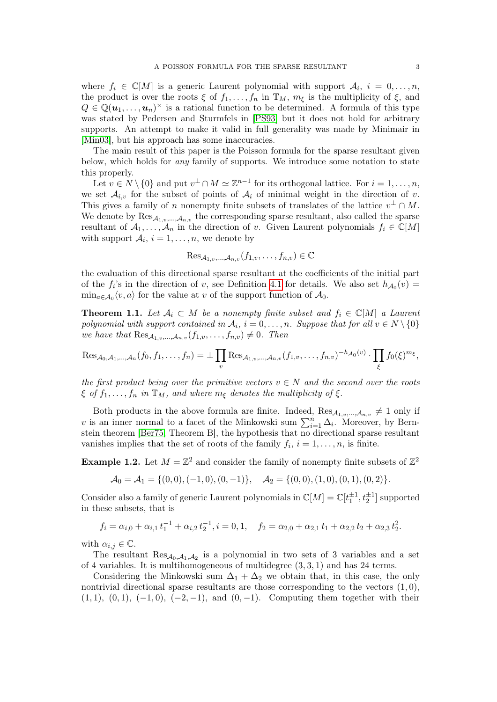where  $f_i \in \mathbb{C}[M]$  is a generic Laurent polynomial with support  $\mathcal{A}_i$ ,  $i = 0, \ldots, n$ , the product is over the roots  $\xi$  of  $f_1, \ldots, f_n$  in  $\mathbb{T}_M$ ,  $m_{\xi}$  is the multiplicity of  $\xi$ , and  $Q \in \mathbb{Q}(\mathbf{u}_1, \dots, \mathbf{u}_n)^\times$  is a rational function to be determined. A formula of this type was stated by Pedersen and Sturmfels in [\[PS93\]](#page-33-11) but it does not hold for arbitrary supports. An attempt to make it valid in full generality was made by Minimair in [\[Min03\]](#page-33-15), but his approach has some inaccuracies.

The main result of this paper is the Poisson formula for the sparse resultant given below, which holds for any family of supports. We introduce some notation to state this properly.

Let  $v \in N \setminus \{0\}$  and put  $v^{\perp} \cap M \simeq \mathbb{Z}^{n-1}$  for its orthogonal lattice. For  $i = 1, \ldots, n$ , we set  $\mathcal{A}_{i,v}$  for the subset of points of  $\mathcal{A}_i$  of minimal weight in the direction of v. This gives a family of n nonempty finite subsets of translates of the lattice  $v^{\perp} \cap M$ . We denote by  $\text{Res}_{\mathcal{A}_{1},v,\dots,\mathcal{A}_{n,v}}$  the corresponding sparse resultant, also called the sparse resultant of  $A_1, \ldots, A_n$  in the direction of v. Given Laurent polynomials  $f_i \in \mathbb{C}[M]$ with support  $A_i$ ,  $i = 1, ..., n$ , we denote by

$$
\mathrm{Res}_{\mathcal{A}_{1,v},\ldots,\mathcal{A}_{n,v}}(f_{1,v},\ldots,f_{n,v})\in\mathbb{C}
$$

the evaluation of this directional sparse resultant at the coefficients of the initial part of the  $f_i$ 's in the direction of v, see Definition [4.1](#page-25-0) for details. We also set  $h_{A_0}(v)$  =  $\min_{a \in \mathcal{A}_0} \langle v, a \rangle$  for the value at v of the support function of  $\mathcal{A}_0$ .

<span id="page-2-0"></span>**Theorem 1.1.** Let  $A_i \subset M$  be a nonempty finite subset and  $f_i \in \mathbb{C}[M]$  a Laurent polynomial with support contained in  $A_i$ ,  $i = 0, \ldots, n$ . Suppose that for all  $v \in N \setminus \{0\}$ we have that  $\text{Res}_{\mathcal{A}_{1,v},\ldots,\mathcal{A}_{n,v}}(f_{1,v},\ldots,f_{n,v})\neq 0$ . Then

$$
\mathrm{Res}_{\mathcal{A}_0,\mathcal{A}_1,\ldots,\mathcal{A}_n}(f_0,f_1,\ldots,f_n) = \pm \prod_v \mathrm{Res}_{\mathcal{A}_{1,v},\ldots,\mathcal{A}_{n,v}}(f_{1,v},\ldots,f_{n,v})^{-h_{\mathcal{A}_0}(v)} \cdot \prod_{\xi} f_0(\xi)^{m_{\xi}},
$$

the first product being over the primitive vectors  $v \in N$  and the second over the roots  $\xi$  of  $f_1, \ldots, f_n$  in  $\mathbb{T}_M$ , and where  $m_{\xi}$  denotes the multiplicity of  $\xi$ .

Both products in the above formula are finite. Indeed,  $\text{Res}_{\mathcal{A}_{1,v},..., \mathcal{A}_{n,v}} \neq 1$  only if v is an inner normal to a facet of the Minkowski sum  $\sum_{i=1}^{n} \Delta_i$ . Moreover, by Bernstein theorem [\[Ber75,](#page-33-16) Theorem B], the hypothesis that no directional sparse resultant vanishes implies that the set of roots of the family  $f_i$ ,  $i = 1, \ldots, n$ , is finite.

<span id="page-2-1"></span>**Example 1.2.** Let  $M = \mathbb{Z}^2$  and consider the family of nonempty finite subsets of  $\mathbb{Z}^2$ 

$$
\mathcal{A}_0 = \mathcal{A}_1 = \{ (0,0), (-1,0), (0,-1) \}, \quad \mathcal{A}_2 = \{ (0,0), (1,0), (0,1), (0,2) \}.
$$

Consider also a family of generic Laurent polynomials in  $\mathbb{C}[M] = \mathbb{C}[t_1^{\pm 1}, t_2^{\pm 1}]$  supported in these subsets, that is

$$
f_i = \alpha_{i,0} + \alpha_{i,1} t_1^{-1} + \alpha_{i,2} t_2^{-1}, i = 0, 1, \quad f_2 = \alpha_{2,0} + \alpha_{2,1} t_1 + \alpha_{2,2} t_2 + \alpha_{2,3} t_2^2.
$$

with  $\alpha_{i,j} \in \mathbb{C}$ .

The resultant  $Res_{\mathcal{A}_0,\mathcal{A}_1,\mathcal{A}_2}$  is a polynomial in two sets of 3 variables and a set of 4 variables. It is multihomogeneous of multidegree  $(3, 3, 1)$  and has 24 terms.

Considering the Minkowski sum  $\Delta_1 + \Delta_2$  we obtain that, in this case, the only nontrivial directional sparse resultants are those corresponding to the vectors  $(1, 0)$ ,  $(1, 1), (0, 1), (-1, 0), (-2, -1),$  and  $(0, -1)$ . Computing them together with their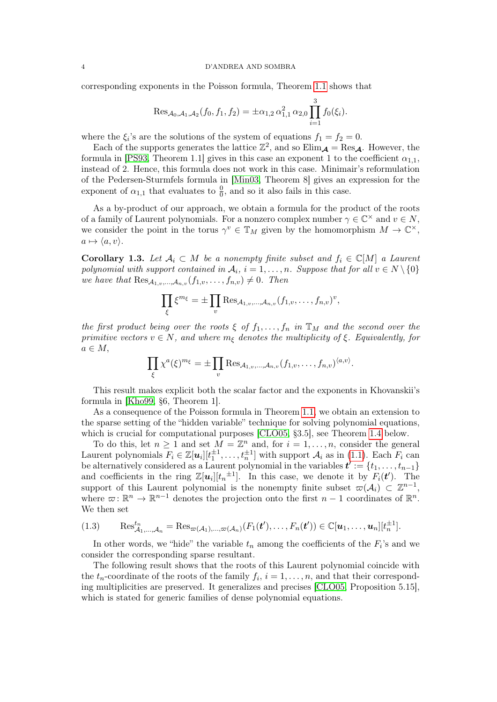corresponding exponents in the Poisson formula, Theorem [1.1](#page-2-0) shows that

$$
\operatorname{Res}_{\mathcal{A}_0,\mathcal{A}_1,\mathcal{A}_2}(f_0,f_1,f_2)=\pm \alpha_{1,2}\,\alpha_{1,1}^2\,\alpha_{2,0}\prod_{i=1}^3 f_0(\xi_i).
$$

where the  $\xi_i$ 's are the solutions of the system of equations  $f_1 = f_2 = 0$ .

Each of the supports generates the lattice  $\mathbb{Z}^2$ , and so  $\text{Elim}_{\mathcal{A}} = \text{Res}_{\mathcal{A}}$ . However, the formula in [\[PS93,](#page-33-11) Theorem 1.1] gives in this case an exponent 1 to the coefficient  $\alpha_{1,1}$ , instead of 2. Hence, this formula does not work in this case. Minimair's reformulation of the Pedersen-Sturmfels formula in [\[Min03,](#page-33-15) Theorem 8] gives an expression for the exponent of  $\alpha_{1,1}$  that evaluates to  $\frac{0}{0}$ , and so it also fails in this case.

As a by-product of our approach, we obtain a formula for the product of the roots of a family of Laurent polynomials. For a nonzero complex number  $\gamma \in \mathbb{C}^{\times}$  and  $v \in N$ , we consider the point in the torus  $\gamma^v \in \mathbb{T}_M$  given by the homomorphism  $M \to \mathbb{C}^\times$ ,  $a \mapsto \langle a, v \rangle$ .

<span id="page-3-0"></span>**Corollary 1.3.** Let  $A_i \subset M$  be a nonempty finite subset and  $f_i \in \mathbb{C}[M]$  a Laurent polynomial with support contained in  $A_i$ ,  $i = 1, ..., n$ . Suppose that for all  $v \in N \setminus \{0\}$ we have that  $\text{Res}_{\mathcal{A}_1, \dots, \mathcal{A}_{n,v}}(f_{1,v}, \dots, f_{n,v}) \neq 0$ . Then

$$
\prod_{\xi} \xi^{m_{\xi}} = \pm \prod_{v} \text{Res}_{\mathcal{A}_{1,v},\ldots,\mathcal{A}_{n,v}} (f_{1,v},\ldots,f_{n,v})^{v},
$$

the first product being over the roots  $\xi$  of  $f_1, \ldots, f_n$  in  $\mathbb{T}_M$  and the second over the primitive vectors  $v \in N$ , and where  $m_{\xi}$  denotes the multiplicity of  $\xi$ . Equivalently, for  $a \in M$ ,

$$
\prod_{\xi} \chi^a(\xi)^{m_{\xi}} = \pm \prod_v \text{Res}_{\mathcal{A}_{1,v},\dots,\mathcal{A}_{n,v}} (f_{1,v},\dots,f_{n,v})^{\langle a,v \rangle}.
$$

This result makes explicit both the scalar factor and the exponents in Khovanskii's formula in [\[Kho99,](#page-33-8) §6, Theorem 1].

As a consequence of the Poisson formula in Theorem [1.1,](#page-2-0) we obtain an extension to the sparse setting of the "hidden variable" technique for solving polynomial equations, which is crucial for computational purposes [\[CLO05,](#page-33-3) §3.5], see Theorem [1.4](#page-4-0) below.

To do this, let  $n \geq 1$  and set  $M = \mathbb{Z}^n$  and, for  $i = 1, \ldots, n$ , consider the general Laurent polynomials  $F_i \in \mathbb{Z}[u_i][t_1^{\pm 1}, \ldots, t_n^{\pm 1}]$  with support  $\mathcal{A}_i$  as in [\(1.1\)](#page-1-0). Each  $F_i$  can be alternatively considered as a Laurent polynomial in the variables  $t' := \{t_1, \ldots, t_{n-1}\}$ and coefficients in the ring  $\mathbb{Z}[u_i][t_n^{\pm 1}]$ . In this case, we denote it by  $F_i(t')$ . The support of this Laurent polynomial is the nonempty finite subset  $\varpi(\mathcal{A}_i) \subset \mathbb{Z}^{n-1}$ , where  $\varpi: \mathbb{R}^n \to \mathbb{R}^{n-1}$  denotes the projection onto the first  $n-1$  coordinates of  $\mathbb{R}^n$ . We then set

<span id="page-3-1"></span>
$$
(1.3) \qquad \operatorname{Res}_{\mathcal{A}_1,\ldots,\mathcal{A}_n}^{t_n} = \operatorname{Res}_{\varpi(\mathcal{A}_1),\ldots,\varpi(\mathcal{A}_n)}(F_1(\boldsymbol{t}'),\ldots,F_n(\boldsymbol{t}')) \in \mathbb{C}[\boldsymbol{u}_1,\ldots,\boldsymbol{u}_n][t_n^{\pm 1}].
$$

In other words, we "hide" the variable  $t_n$  among the coefficients of the  $F_i$ 's and we consider the corresponding sparse resultant.

The following result shows that the roots of this Laurent polynomial coincide with the  $t_n$ -coordinate of the roots of the family  $f_i$ ,  $i = 1, \ldots, n$ , and that their corresponding multiplicities are preserved. It generalizes and precises [\[CLO05,](#page-33-3) Proposition 5.15], which is stated for generic families of dense polynomial equations.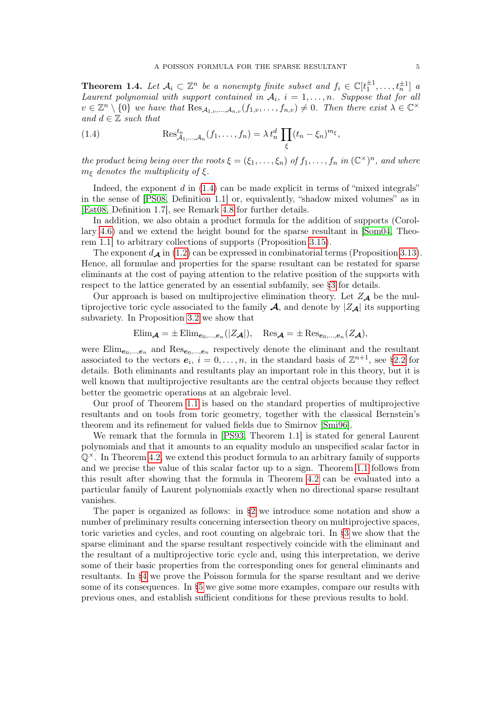<span id="page-4-0"></span>**Theorem 1.4.** Let  $A_i \subset \mathbb{Z}^n$  be a nonempty finite subset and  $f_i \in \mathbb{C}[t_1^{\pm 1}, \ldots, t_n^{\pm 1}]$  a Laurent polynomial with support contained in  $A_i$ ,  $i = 1, \ldots, n$ . Suppose that for all  $v \in \mathbb{Z}^n \setminus \{0\}$  we have that  $\text{Res}_{\mathcal{A}_{1,v},\dots,\mathcal{A}_{n,v}}(f_{1,v},\dots,f_{n,v}) \neq 0$ . Then there exist  $\lambda \in \mathbb{C}^\times$ and  $d \in \mathbb{Z}$  such that

<span id="page-4-1"></span>(1.4) 
$$
\operatorname{Res}_{\mathcal{A}_1,\ldots,\mathcal{A}_n}^{t_n}(f_1,\ldots,f_n)=\lambda t_n^d \prod_{\xi} (t_n-\xi_n)^{m_{\xi}},
$$

the product being being over the roots  $\xi = (\xi_1, \ldots, \xi_n)$  of  $f_1, \ldots, f_n$  in  $(\mathbb{C}^\times)^n$ , and where  $m_{\xi}$  denotes the multiplicity of  $\xi$ .

Indeed, the exponent  $d$  in  $(1.4)$  can be made explicit in terms of "mixed integrals" in the sense of [\[PS08,](#page-33-17) Definition 1.1] or, equivalently, "shadow mixed volumes" as in [\[Est08,](#page-33-18) Definition 1.7], see Remark [4.8](#page-30-0) for further details.

In addition, we also obtain a product formula for the addition of supports (Corollary [4.6\)](#page-29-0) and we extend the height bound for the sparse resultant in [\[Som04,](#page-34-2) Theorem 1.1] to arbitrary collections of supports (Proposition [3.15\)](#page-24-1).

The exponent  $d_{\mathcal{A}}$  in [\(1.2\)](#page-1-1) can be expressed in combinatorial terms (Proposition [3.13\)](#page-23-0). Hence, all formulae and properties for the sparse resultant can be restated for sparse eliminants at the cost of paying attention to the relative position of the supports with respect to the lattice generated by an essential subfamily, see [§3](#page-16-0) for details.

Our approach is based on multiprojective elimination theory. Let  $Z_{\mathcal{A}}$  be the multiprojective toric cycle associated to the family  $\mathcal{A}$ , and denote by  $|Z_{\mathcal{A}}|$  its supporting subvariety. In Proposition [3.2](#page-17-0) we show that

$$
\text{Elim}_{\mathcal{A}} = \pm \text{Elim}_{e_0,\dots,e_n}(|Z_{\mathcal{A}}|), \quad \text{Res}_{\mathcal{A}} = \pm \text{Res}_{e_0,\dots,e_n}(Z_{\mathcal{A}}),
$$

were  $\text{Elim}_{e_0,\dots,e_n}$  and  $\text{Res}_{e_0,\dots,e_n}$  respectively denote the eliminant and the resultant associated to the vectors  $e_i$ ,  $i = 0, \ldots, n$ , in the standard basis of  $\mathbb{Z}^{n+1}$ , see [§2.2](#page-8-0) for details. Both eliminants and resultants play an important role in this theory, but it is well known that multiprojective resultants are the central objects because they reflect better the geometric operations at an algebraic level.

Our proof of Theorem [1.1](#page-2-0) is based on the standard properties of multiprojective resultants and on tools from toric geometry, together with the classical Bernstein's theorem and its refinement for valued fields due to Smirnov [\[Smi96\]](#page-33-19).

We remark that the formula in [\[PS93,](#page-33-11) Theorem 1.1] is stated for general Laurent polynomials and that it amounts to an equality modulo an unspecified scalar factor in  $\mathbb{Q}^{\times}$ . In Theorem [4.2,](#page-25-1) we extend this product formula to an arbitrary family of supports and we precise the value of this scalar factor up to a sign. Theorem [1.1](#page-2-0) follows from this result after showing that the formula in Theorem [4.2](#page-25-1) can be evaluated into a particular family of Laurent polynomials exactly when no directional sparse resultant vanishes.

The paper is organized as follows: in [§2](#page-5-0) we introduce some notation and show a number of preliminary results concerning intersection theory on multiprojective spaces, toric varieties and cycles, and root counting on algebraic tori. In [§3](#page-16-0) we show that the sparse eliminant and the sparse resultant respectively coincide with the eliminant and the resultant of a multiprojective toric cycle and, using this interpretation, we derive some of their basic properties from the corresponding ones for general eliminants and resultants. In [§4](#page-24-2) we prove the Poisson formula for the sparse resultant and we derive some of its consequences. In [§5](#page-31-0) we give some more examples, compare our results with previous ones, and establish sufficient conditions for these previous results to hold.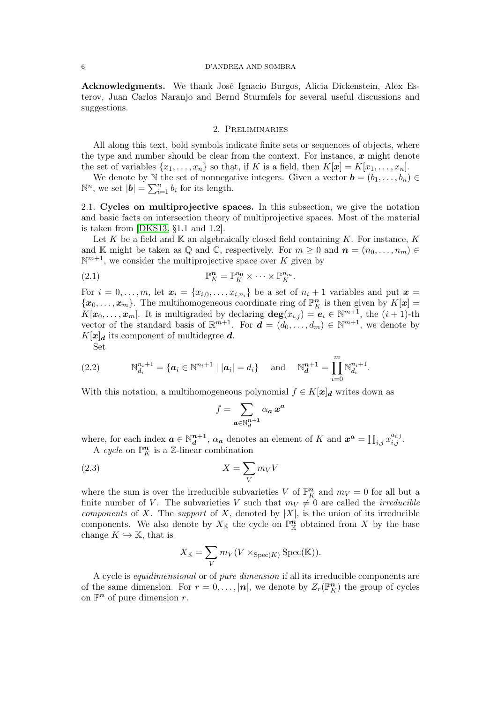#### 6 D'ANDREA AND SOMBRA

Acknowledgments. We thank José Ignacio Burgos, Alicia Dickenstein, Alex Esterov, Juan Carlos Naranjo and Bernd Sturmfels for several useful discussions and suggestions.

## 2. Preliminaries

<span id="page-5-0"></span>All along this text, bold symbols indicate finite sets or sequences of objects, where the type and number should be clear from the context. For instance,  $x$  might denote the set of variables  $\{x_1, \ldots, x_n\}$  so that, if K is a field, then  $K[\mathbf{x}] = K[x_1, \ldots, x_n]$ .

We denote by N the set of nonnegative integers. Given a vector  $\mathbf{b} = (b_1, \ldots, b_n) \in$  $\mathbb{N}^n$ , we set  $|\boldsymbol{b}| = \sum_{i=1}^n b_i$  for its length.

2.1. Cycles on multiprojective spaces. In this subsection, we give the notation and basic facts on intersection theory of multiprojective spaces. Most of the material is taken from [\[DKS13,](#page-33-13) §1.1 and 1.2].

Let K be a field and  $K$  an algebraically closed field containing K. For instance, K and K might be taken as Q and C, respectively. For  $m \geq 0$  and  $n = (n_0, \ldots, n_m) \in$  $\mathbb{N}^{m+1}$ , we consider the multiprojective space over K given by

<span id="page-5-1"></span>(2.1) 
$$
\mathbb{P}_K^n = \mathbb{P}_K^{n_0} \times \cdots \times \mathbb{P}_K^{n_m}.
$$

For  $i = 0, \ldots, m$ , let  $\mathbf{x}_i = \{x_{i,0}, \ldots, x_{i,n_i}\}$  be a set of  $n_i + 1$  variables and put  $\mathbf{x} =$  $\{\boldsymbol{x}_0,\ldots,\boldsymbol{x}_m\}$ . The multihomogeneous coordinate ring of  $\mathbb{P}^n$  is then given by  $K[\boldsymbol{x}]$  $K[\mathbf{x}_0,\ldots,\mathbf{x}_m]$ . It is multigraded by declaring  $\deg(x_{i,j}) = \mathbf{e}_i \in \mathbb{N}^{m+1}$ , the  $(i+1)$ -th vector of the standard basis of  $\mathbb{R}^{m+1}$ . For  $\mathbf{d} = (d_0, \ldots, d_m) \in \mathbb{N}^{m+1}$ , we denote by  $K[\mathbf{x}]_{d}$  its component of multidegree d.

<span id="page-5-2"></span>Set

(2.2) 
$$
\mathbb{N}_{d_i}^{n_i+1} = \{ \mathbf{a}_i \in \mathbb{N}^{n_i+1} \mid |\mathbf{a}_i| = d_i \} \text{ and } \mathbb{N}_{\mathbf{d}}^{n+1} = \prod_{i=0}^{m} \mathbb{N}_{d_i}^{n_i+1}.
$$

With this notation, a multihomogeneous polynomial  $f \in K[\mathbf{x}]_d$  writes down as

<span id="page-5-3"></span>
$$
f = \sum_{\bm{a} \in \mathbb{N}_d^{n+1}} \alpha_{\bm{a}} \, x^{\bm{a}}
$$

where, for each index  $a \in \mathbb{N}_d^{n+1}$  $a_{\mathbf{d}}^{n+1}$ ,  $\alpha_{\mathbf{a}}$  denotes an element of K and  $\mathbf{x}^{\mathbf{a}} = \prod_{i,j} x_{i,j}^{a_{i,j}}$ . A cycle on  $\mathbb{P}_{K}^{n}$  is a Z-linear combination

$$
(2.3)\t\t\t X = \sum_{V} m_{V} V
$$

where the sum is over the irreducible subvarieties V of  $\mathbb{P}_K^n$  and  $m_V = 0$  for all but a finite number of V. The subvarieties V such that  $m_V \neq 0$  are called the *irreducible* components of X. The support of X, denoted by  $|X|$ , is the union of its irreducible components. We also denote by  $X_{\mathbb{K}}$  the cycle on  $\mathbb{P}^n_{\mathbb{K}}$  obtained from X by the base change  $K \hookrightarrow \mathbb{K}$ , that is

$$
X_{\mathbb{K}} = \sum_{V} m_{V}(V \times_{\text{Spec}(K)} \text{Spec}(\mathbb{K})).
$$

A cycle is equidimensional or of pure dimension if all its irreducible components are of the same dimension. For  $r = 0, \ldots, |\boldsymbol{n}|$ , we denote by  $Z_r(\mathbb{P}^{\boldsymbol{n}})$  the group of cycles on  $\mathbb{P}^n$  of pure dimension r.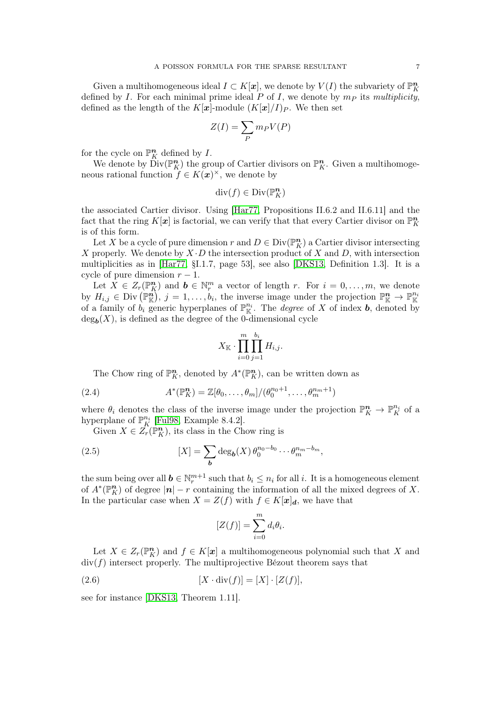Given a multihomogeneous ideal  $I \subset K[\mathbf{x}]$ , we denote by  $V(I)$  the subvariety of  $\mathbb{P}^n_K$ defined by I. For each minimal prime ideal P of I, we denote by  $m<sub>P</sub>$  its multiplicity, defined as the length of the K[x]-module  $(K[x]/I)_P$ . We then set

$$
Z(I) = \sum_{P} m_{P} V(P)
$$

for the cycle on  $\mathbb{P}^n$  defined by I.

We denote by  $\text{Div}(\mathbb{P}_K^n)$  the group of Cartier divisors on  $\mathbb{P}_K^n$ . Given a multihomogeneous rational function  $f \in K(\mathbf{x})^{\times}$ , we denote by

$$
\mathrm{div}(f)\in \mathrm{Div}({\mathbb P}^n_K)
$$

the associated Cartier divisor. Using [\[Har77,](#page-33-20) Propositions II.6.2 and II.6.11] and the fact that the ring  $K[\mathbf{x}]$  is factorial, we can verify that that every Cartier divisor on  $\mathbb{P}^n_K$ is of this form.

Let X be a cycle of pure dimension r and  $D \in \text{Div}(\mathbb{P}^n_K)$  a Cartier divisor intersecting X properly. We denote by  $X \cdot D$  the intersection product of X and D, with intersection multiplicities as in [\[Har77,](#page-33-20) §I.1.7, page 53], see also [\[DKS13,](#page-33-13) Definition 1.3]. It is a cycle of pure dimension  $r - 1$ .

Let  $\bar{X} \in Z_r(\mathbb{P}^n_K)$  and  $\bm{b} \in \mathbb{N}^m_r$  a vector of length r. For  $i = 0, \ldots, m$ , we denote by  $H_{i,j} \in \text{Div}\left(\mathbb{P}_{\mathbb{K}}^n\right), j = 1,\ldots,b_i$ , the inverse image under the projection  $\mathbb{P}_{\mathbb{K}}^n \to \mathbb{P}_{\mathbb{K}}^{n_i}$ of a family of  $b_i$  generic hyperplanes of  $\mathbb{P}^{n_i}$ . The *degree* of X of index **b**, denoted by  $deg_{\boldsymbol{b}}(X)$ , is defined as the degree of the 0-dimensional cycle

$$
X_{\mathbb{K}}\cdot \prod_{i=0}^m \prod_{j=1}^{b_i} H_{i,j}.
$$

<span id="page-6-1"></span>The Chow ring of  $\mathbb{P}^n$ , denoted by  $A^*(\mathbb{P}^n_K)$ , can be written down as

(2.4) 
$$
A^*(\mathbb{P}_K^n) = \mathbb{Z}[\theta_0,\ldots,\theta_m]/(\theta_0^{n_0+1},\ldots,\theta_m^{n_m+1})
$$

where  $\theta_i$  denotes the class of the inverse image under the projection  $\mathbb{P}_K^n \to \mathbb{P}_K^{n_i}$  of a hyperplane of  $\mathbb{P}_{K}^{n_i}$  [\[Ful98,](#page-33-21) Example 8.4.2].

Given  $X \in Z_r(\mathbb{P}_K^n)$ , its class in the Chow ring is

(2.5) 
$$
[X] = \sum_{\boldsymbol{b}} \deg_{\boldsymbol{b}}(X) \theta_0^{n_0 - b_0} \cdots \theta_m^{n_m - b_m},
$$

the sum being over all  $b \in \mathbb{N}_r^{m+1}$  such that  $b_i \leq n_i$  for all i. It is a homogeneous element of  $A^*(\mathbb{P}^n_K)$  of degree  $|n| - r$  containing the information of all the mixed degrees of X. In the particular case when  $X = Z(f)$  with  $f \in K[x]_d$ , we have that

<span id="page-6-2"></span><span id="page-6-0"></span>
$$
[Z(f)] = \sum_{i=0}^{m} d_i \theta_i.
$$

Let  $X \in Z_r(\mathbb{P}^n_K)$  and  $f \in K[\mathbf{x}]$  a multihomogeneous polynomial such that X and  $div(f)$  intersect properly. The multiprojective Bézout theorem says that

$$
[X \cdot \operatorname{div}(f)] = [X] \cdot [Z(f)],
$$

see for instance [\[DKS13,](#page-33-13) Theorem 1.11].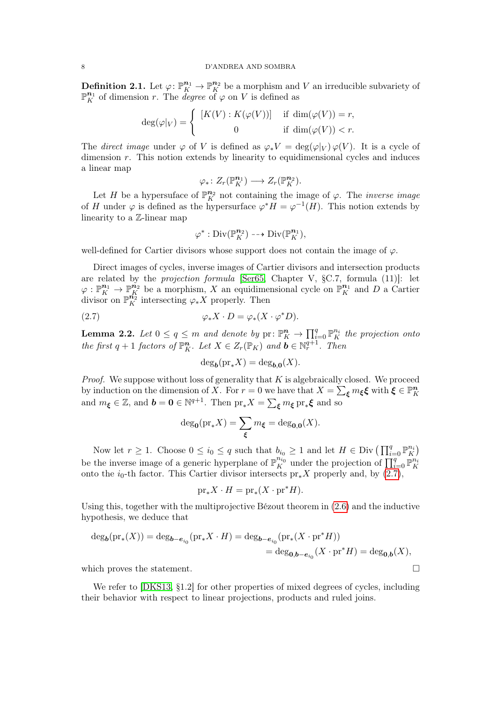<span id="page-7-0"></span>**Definition 2.1.** Let  $\varphi: \mathbb{P}_{K}^{n_{1}} \to \mathbb{P}_{K}^{n_{2}}$  be a morphism and V an irreducible subvariety of  $\mathbb{P}_{K}^{n_{1}}$  of dimension r. The *degree* of  $\varphi$  on V is defined as

$$
\deg(\varphi|_V) = \begin{cases} [K(V) : K(\varphi(V))] & \text{if } \dim(\varphi(V)) = r, \\ 0 & \text{if } \dim(\varphi(V)) < r. \end{cases}
$$

The direct image under  $\varphi$  of V is defined as  $\varphi_* V = \deg(\varphi|_V) \varphi(V)$ . It is a cycle of dimension  $r$ . This notion extends by linearity to equidimensional cycles and induces a linear map

$$
\varphi_*\colon Z_r(\mathbb{P}^{n_1}_K)\longrightarrow Z_r(\mathbb{P}^{n_2}_K).
$$

Let H be a hypersuface of  $\mathbb{P}_{K}^{n_2}$  not containing the image of  $\varphi$ . The *inverse image* of H under  $\varphi$  is defined as the hypersurface  $\varphi^* H = \varphi^{-1}(H)$ . This notion extends by linearity to a Z-linear map

$$
\varphi^* : \mathrm{Div}(\mathbb{P}^{n_2}_K) \dashrightarrow \mathrm{Div}(\mathbb{P}^{n_1}_K),
$$

well-defined for Cartier divisors whose support does not contain the image of  $\varphi$ .

Direct images of cycles, inverse images of Cartier divisors and intersection products are related by the projection formula [\[Ser65,](#page-33-22) Chapter V, §C.7, formula (11)]: let  $\varphi: \mathbb{P}_{K}^{n_1} \to \mathbb{P}_{K}^{n_2}$  be a morphism, X an equidimensional cycle on  $\mathbb{P}_{K}^{n_1}$  and D a Cartier divisor on  $\mathbb{P}_{K}^{n_{2}^{*}}$  intersecting  $\varphi_{*}X$  properly. Then

(2.7) 
$$
\varphi_* X \cdot D = \varphi_*(X \cdot \varphi^* D).
$$

<span id="page-7-2"></span>**Lemma 2.2.** Let  $0 \le q \le m$  and denote by  $\text{pr}: \mathbb{P}_{K}^{n} \to \prod_{i=0}^{q} \mathbb{P}_{K}^{n_{i}}$  the projection onto the first  $q + 1$  factors of  $\mathbb{P}_K^n$ . Let  $X \in Z_r(\mathbb{P}_K)$  and  $\mathbf{b} \in \mathbb{N}_r^{q+1}$ . Then

<span id="page-7-1"></span>
$$
\deg_{\mathbf{b}}(\mathrm{pr}_{*}X) = \deg_{\mathbf{b},\mathbf{0}}(X).
$$

*Proof.* We suppose without loss of generality that  $K$  is algebraically closed. We proceed by induction on the dimension of  $\overline{X}$ . For  $r = 0$  we have that  $X = \sum_{\xi} m_{\xi} \xi$  with  $\overline{\xi} \in \mathbb{P}^n_K$  and  $m_{\xi} \in \mathbb{Z}$ , and  $\boldsymbol{b} = \boldsymbol{0} \in \mathbb{N}^{q+1}$ . Then  $\text{pr}_* X = \sum_{\xi} m_{\xi} \text{pr}_* \xi$  and so

$$
\deg_{\mathbf{0}}(\mathrm{pr}_{*}X) = \sum_{\xi} m_{\xi} = \deg_{\mathbf{0},\mathbf{0}}(X).
$$

Now let  $r \geq 1$ . Choose  $0 \leq i_0 \leq q$  such that  $b_{i_0} \geq 1$  and let  $H \in \text{Div} \left( \prod_{i=0}^q \mathbb{P}_K^{n_i} \right)$ be the inverse image of a generic hyperplane of  $\mathbb{P}_{K}^{n_{i_0}}$  under the projection of  $\prod_{i=0}^{q} \mathbb{P}_{K}^{n_{i}}$ onto the  $i_0$ -th factor. This Cartier divisor intersects pr<sub>∗</sub>X properly and, by  $(2.7)$ ,

$$
\mathrm{pr}_{\ast}X\cdot H=\mathrm{pr}_{\ast}(X\cdot\mathrm{pr}^{\ast}H).
$$

Using this, together with the multiprojective Bézout theorem in [\(2.6\)](#page-6-0) and the inductive hypothesis, we deduce that

$$
\begin{aligned} \deg_{\pmb{b}}({\rm pr}_*(X))&=\deg_{\pmb{b}-\pmb{e}_{i_0}}({\rm pr}_*X\cdot H)=\deg_{\pmb{b}-\pmb{e}_{i_0}}({\rm pr}_*(X\cdot{\rm pr}^*H))\\&=\deg_{\pmb{0},\pmb{b}-\pmb{e}_{i_0}}(X\cdot{\rm pr}^*H)=\deg_{\pmb{0},\pmb{b}}(X), \end{aligned}
$$

which proves the statement.  $\Box$ 

We refer to [\[DKS13,](#page-33-13) §1.2] for other properties of mixed degrees of cycles, including their behavior with respect to linear projections, products and ruled joins.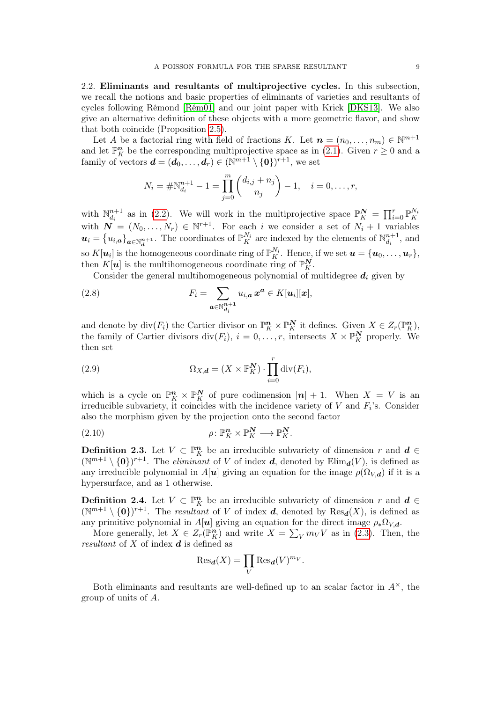<span id="page-8-0"></span>2.2. Eliminants and resultants of multiprojective cycles. In this subsection, we recall the notions and basic properties of eliminants of varieties and resultants of cycles following Rémond [\[Rém01\]](#page-33-12) and our joint paper with Krick [\[DKS13\]](#page-33-13). We also give an alternative definition of these objects with a more geometric flavor, and show that both coincide (Proposition [2.5\)](#page-9-0).

Let A be a factorial ring with field of fractions K. Let  $\mathbf{n} = (n_0, \ldots, n_m) \in \mathbb{N}^{m+1}$ and let  $\mathbb{P}^n$  be the corresponding multiprojective space as in [\(2.1\)](#page-5-1). Given  $r \geq 0$  and a family of vectors  $\mathbf{d} = (\mathbf{d}_0, \dots, \mathbf{d}_r) \in (\mathbb{N}^{m+1} \setminus \{\mathbf{0}\})^{r+1}$ , we set

$$
N_i = \# \mathbb{N}_{d_i}^{n+1} - 1 = \prod_{j=0}^m \binom{d_{i,j} + n_j}{n_j} - 1, \quad i = 0, \dots, r,
$$

with  $\mathbb{N}_{d}^{n+1}$ with  $\mathbb{N}_{d_i}^{n+1}$  as in [\(2.2\)](#page-5-2). We will work in the multiprojective space  $\mathbb{P}_K^N = \prod_{i=0}^r \mathbb{P}_K^{N_i}$ <br>with  $\mathbf{N} = (N_0, \ldots, N_r) \in \mathbb{N}^{r+1}$ . For each *i* we consider a set of  $N_i + 1$  variables  $u_i = \{u_{i,a}\}_{a \in \mathbb{N}_d^{n+1}}$ . The coordinates of  $\mathbb{P}_{K}^{N_i}$  are indexed by the elements of  $\mathbb{N}_{d_i}^{n+1}$ so  $K[\mathbf{u}_i]$  is the homogeneous coordinate ring of  $\mathbb{P}_K^{N_i}$ . Hence, if we set  $\mathbf{u} = {\mathbf{u}_0, \dots, \mathbf{u}_r}$ ,  $\frac{n+1}{d_i}$ , and then  $K[\boldsymbol{u}]$  is the multihomogeneous coordinate ring of  $\mathbb{P}_K^N$ .

<span id="page-8-3"></span>Consider the general multihomogeneous polynomial of multidegree  $d_i$  given by

(2.8) 
$$
F_i = \sum_{\mathbf{a} \in \mathbb{N}_{\mathbf{d}_i}^{n+1}} u_{i,\mathbf{a}} \mathbf{x}^{\mathbf{a}} \in K[\mathbf{u}_i][\mathbf{x}],
$$

and denote by  $\text{div}(F_i)$  the Cartier divisor on  $\mathbb{P}_K^n \times \mathbb{P}_K^N$  it defines. Given  $X \in Z_r(\mathbb{P}_K^n)$ , the family of Cartier divisors  $\text{div}(F_i)$ ,  $i = 0, \ldots, r$ , intersects  $X \times \mathbb{P}^N_K$  properly. We then set

<span id="page-8-5"></span>(2.9) 
$$
\Omega_{X,\boldsymbol{d}} = (X \times \mathbb{P}_K^{\boldsymbol{N}}) \cdot \prod_{i=0}^r \operatorname{div}(F_i),
$$

which is a cycle on  $\mathbb{P}_K^n \times \mathbb{P}_K^N$  of pure codimension  $|n| + 1$ . When  $X = V$  is an irreducible subvariety, it coincides with the incidence variety of  $V$  and  $F_i$ 's. Consider also the morphism given by the projection onto the second factor

<span id="page-8-4"></span>(2.10) 
$$
\rho \colon \mathbb{P}_K^n \times \mathbb{P}_K^N \longrightarrow \mathbb{P}_K^N.
$$

<span id="page-8-1"></span>**Definition 2.3.** Let  $V \subset \mathbb{P}_{K}^{n}$  be an irreducible subvariety of dimension r and  $d \in$  $(\mathbb{N}^{m+1}\setminus\{\mathbf{0}\})^{r+1}$ . The *eliminant* of V of index **d**, denoted by  $\text{Elim}_{d}(V)$ , is defined as any irreducible polynomial in A[u] giving an equation for the image  $\rho(\Omega_{V,d})$  if it is a hypersurface, and as 1 otherwise.

<span id="page-8-2"></span>**Definition 2.4.** Let  $V \subset \mathbb{P}_{K}^{n}$  be an irreducible subvariety of dimension r and  $d \in$  $(\mathbb{N}^{m+1}\setminus\{\mathbf{0}\})^{r+1}$ . The resultant of V of index **d**, denoted by  $\text{Res}_{d}(X)$ , is defined as any primitive polynomial in A[u] giving an equation for the direct image  $\rho_*\Omega_{V,d}$ .

More generally, let  $X \in Z_r(\mathbb{P}^n_K)$  and write  $X = \sum_{V} m_V V$  as in [\(2.3\)](#page-5-3). Then, the resultant of  $X$  of index  $\boldsymbol{d}$  is defined as

$$
\text{Res}_{\mathbf{d}}(X) = \prod_{V} \text{Res}_{\mathbf{d}}(V)^{m_V}.
$$

Both eliminants and resultants are well-defined up to an scalar factor in  $A^{\times}$ , the group of units of A.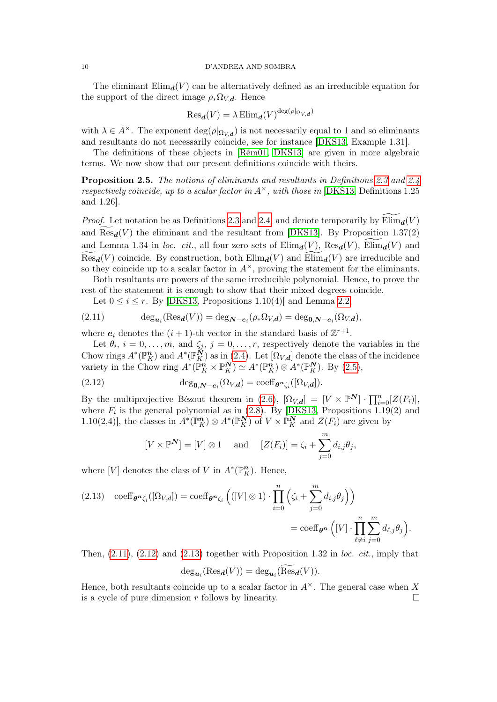The eliminant  $\text{Elim}_{d}(V)$  can be alternatively defined as an irreducible equation for the support of the direct image  $\rho_* \Omega_{V,d}$ . Hence

$$
\text{Res}_{\boldsymbol{d}}(V)=\lambda\,\text{Elim}_{\boldsymbol{d}}(V)^{\text{deg}(\rho|_{\Omega_{V,\boldsymbol{d}}})}
$$

with  $\lambda \in A^{\times}$ . The exponent  $\deg(\rho|_{\Omega_{V,d}})$  is not necessarily equal to 1 and so eliminants and resultants do not necessarily coincide, see for instance [\[DKS13,](#page-33-13) Example 1.31].

The definitions of these objects in [\[Rém01,](#page-33-12) [DKS13\]](#page-33-13) are given in more algebraic terms. We now show that our present definitions coincide with theirs.

<span id="page-9-0"></span>Proposition 2.5. The notions of eliminants and resultants in Definitions [2.3](#page-8-1) and [2.4](#page-8-2) respectively coincide, up to a scalar factor in  $A^{\times}$ , with those in [\[DKS13,](#page-33-13) Definitions 1.25 and 1.26].

*Proof.* Let notation be as Definitions [2.3](#page-8-1) and [2.4,](#page-8-2) and denote temporarily by  $\text{Elim}_{d}(V)$ and  $\text{Res}_{d}(V)$  the eliminant and the resultant from [\[DKS13\]](#page-33-13). By Proposition 1.37(2) and Lemma 1.34 in loc. cit., all four zero sets of  $\text{Elim}_{d}(V)$ ,  $\text{Res}_{d}(V)$ ,  $\text{Elim}_{d}(V)$  and  $\text{Res}_{d}(V)$  coincide. By construction, both  $\text{Elim}_{d}(V)$  and  $\text{Elim}_{d}(V)$  are irreducible and so they coincide up to a scalar factor in  $A^{\times}$ , proving the statement for the eliminants.

Both resultants are powers of the same irreducible polynomial. Hence, to prove the rest of the statement it is enough to show that their mixed degrees coincide.

<span id="page-9-1"></span>Let  $0 \leq i \leq r$ . By [\[DKS13,](#page-33-13) Propositions 1.10(4)] and Lemma [2.2,](#page-7-2)

(2.11) 
$$
\deg_{\mathbf{u}_i}(\text{Res}_{\mathbf{d}}(V)) = \deg_{\mathbf{N}-\mathbf{e}_i}(\rho_* \Omega_{V,\mathbf{d}}) = \deg_{\mathbf{0},\mathbf{N}-\mathbf{e}_i}(\Omega_{V,\mathbf{d}}),
$$

where  $e_i$  denotes the  $(i + 1)$ -th vector in the standard basis of  $\mathbb{Z}^{r+1}$ .

Let  $\theta_i$ ,  $i = 0, \ldots, m$ , and  $\zeta_j$ ,  $j = 0, \ldots, r$ , respectively denote the variables in the Chow rings  $A^*(\mathbb{P}_K^n)$  and  $A^*(\mathbb{P}_K^N)$  as in [\(2.4\)](#page-6-1). Let  $[\Omega_{V,d}]$  denote the class of the incidence variety in the Chow ring  $A^*(\mathbb{P}_K^n \times \mathbb{P}_K^N) \simeq A^*(\mathbb{P}_K^n) \otimes A^*(\mathbb{P}_K^N)$ . By [\(2.5\)](#page-6-2),

(2.12) 
$$
\deg_{\mathbf{0},\mathbf{N}-\mathbf{e}_i}(\Omega_{V,\mathbf{d}})=\mathrm{coeff}_{\theta^n\zeta_i}([\Omega_{V,\mathbf{d}}]).
$$

By the multiprojective Bézout theorem in [\(2.6\)](#page-6-0),  $[\Omega_{V,d}] = [V \times \mathbb{P}^N] \cdot \prod_{i=0}^n [Z(F_i)],$ where  $F_i$  is the general polynomial as in [\(2.8\)](#page-8-3). By [\[DKS13,](#page-33-13) Propositions 1.19(2) and 1.10(2,4)], the classes in  $A^*(\mathbb{P}_K^n) \otimes A^*(\mathbb{P}_K^N)$  of  $V \times \mathbb{P}_K^N$  and  $Z(F_i)$  are given by

<span id="page-9-2"></span>
$$
[V \times \mathbb{P}^{\mathbf{N}}] = [V] \otimes 1 \quad \text{and} \quad [Z(F_i)] = \zeta_i + \sum_{j=0}^{m} d_{i,j} \theta_j,
$$

where [V] denotes the class of V in  $A^*(\mathbb{P}^n<sub>K</sub>)$ . Hence,

<span id="page-9-3"></span>(2.13) 
$$
\operatorname{coeff}_{\theta^n \zeta_i}([\Omega_{V,d}]) = \operatorname{coeff}_{\theta^n \zeta_i} \left( ([V] \otimes 1) \cdot \prod_{i=0}^n \left( \zeta_i + \sum_{j=0}^m d_{i,j} \theta_j \right) \right)
$$

$$
= \operatorname{coeff}_{\theta^n} \left( [V] \cdot \prod_{\ell \neq i}^n \sum_{j=0}^m d_{\ell,j} \theta_j \right).
$$

Then,  $(2.11)$ ,  $(2.12)$  and  $(2.13)$  together with Proposition 1.32 in loc. cit., imply that

$$
\deg_{\mathbf{u}_i}(\text{Res}_{\mathbf{d}}(V)) = \deg_{\mathbf{u}_i}(\text{Res}_{\mathbf{d}}(V)).
$$

Hence, both resultants coincide up to a scalar factor in  $A^{\times}$ . The general case when X is a cycle of pure dimension  $r$  follows by linearity.  $\Box$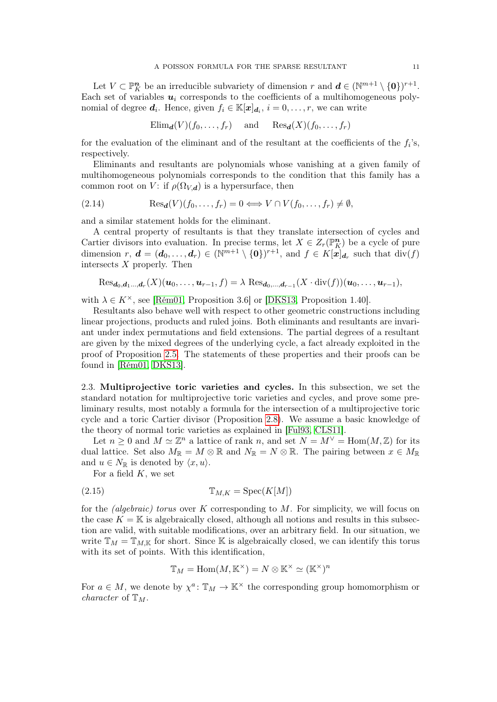Let  $V \subset \mathbb{P}^n$  be an irreducible subvariety of dimension r and  $\mathbf{d} \in (\mathbb{N}^{m+1} \setminus \{\mathbf{0}\})^{r+1}$ . Each set of variables  $u_i$  corresponds to the coefficients of a multihomogeneous polynomial of degree  $d_i$ . Hence, given  $f_i \in \mathbb{K}[x]_{d_i}$ ,  $i = 0, \ldots, r$ , we can write

$$
\text{Elim}_{d}(V)(f_0,\ldots,f_r)
$$
 and  $\text{Res}_{d}(X)(f_0,\ldots,f_r)$ 

for the evaluation of the eliminant and of the resultant at the coefficients of the  $f_i$ 's, respectively.

Eliminants and resultants are polynomials whose vanishing at a given family of multihomogeneous polynomials corresponds to the condition that this family has a common root on V: if  $\rho(\Omega_{V,d})$  is a hypersurface, then

<span id="page-10-1"></span>(2.14) 
$$
\text{Res}_{d}(V)(f_0,\ldots,f_r) = 0 \Longleftrightarrow V \cap V(f_0,\ldots,f_r) \neq \emptyset,
$$

and a similar statement holds for the eliminant.

A central property of resultants is that they translate intersection of cycles and Cartier divisors into evaluation. In precise terms, let  $X \in Z_r(\mathbb{P}^n_K)$  be a cycle of pure dimension  $r, d = (d_0, \ldots, d_r) \in (\mathbb{N}^{m+1} \setminus \{0\})^{r+1}$ , and  $f \in K[x]_{d_r}$  such that  $\text{div}(f)$ intersects  $X$  properly. Then

$$
\text{Res}_{\boldsymbol{d}_0,\boldsymbol{d}_1\ldots,\boldsymbol{d}_r}(X)(\boldsymbol{u}_0,\ldots,\boldsymbol{u}_{r-1},f)=\lambda\text{ Res}_{\boldsymbol{d}_0,\ldots,\boldsymbol{d}_{r-1}}(X\cdot \text{div}(f))(\boldsymbol{u}_0,\ldots,\boldsymbol{u}_{r-1}),
$$

with  $\lambda \in K^{\times}$ , see [\[Rém01,](#page-33-12) Proposition 3.6] or [\[DKS13,](#page-33-13) Proposition 1.40].

Resultants also behave well with respect to other geometric constructions including linear projections, products and ruled joins. Both eliminants and resultants are invariant under index permutations and field extensions. The partial degrees of a resultant are given by the mixed degrees of the underlying cycle, a fact already exploited in the proof of Proposition [2.5.](#page-9-0) The statements of these properties and their proofs can be found in [\[Rém01,](#page-33-12) [DKS13\]](#page-33-13).

<span id="page-10-0"></span>2.3. Multiprojective toric varieties and cycles. In this subsection, we set the standard notation for multiprojective toric varieties and cycles, and prove some preliminary results, most notably a formula for the intersection of a multiprojective toric cycle and a toric Cartier divisor (Proposition [2.8\)](#page-13-0). We assume a basic knowledge of the theory of normal toric varieties as explained in [\[Ful93,](#page-33-23) [CLS11\]](#page-33-24).

Let  $n \geq 0$  and  $M \simeq \mathbb{Z}^n$  a lattice of rank n, and set  $N = M^{\vee} = \text{Hom}(M, \mathbb{Z})$  for its dual lattice. Set also  $M_{\mathbb{R}} = M \otimes \mathbb{R}$  and  $N_{\mathbb{R}} = N \otimes \mathbb{R}$ . The pairing between  $x \in M_{\mathbb{R}}$ and  $u \in N_{\mathbb{R}}$  is denoted by  $\langle x, u \rangle$ .

For a field  $K$ , we set

(2.15) TM,K = Spec(K[M])

for the *(algebraic)* torus over K corresponding to  $M$ . For simplicity, we will focus on the case  $K = \mathbb{K}$  is algebraically closed, although all notions and results in this subsection are valid, with suitable modifications, over an arbitrary field. In our situation, we write  $\mathbb{T}_M = \mathbb{T}_{M,\mathbb{K}}$  for short. Since K is algebraically closed, we can identify this torus with its set of points. With this identification,

$$
\mathbb{T}_M = \text{Hom}(M,\mathbb{K}^\times) = N \otimes \mathbb{K}^\times \simeq (\mathbb{K}^\times)^n
$$

For  $a \in M$ , we denote by  $\chi^a: \mathbb{T}_M \to \mathbb{K}^\times$  the corresponding group homomorphism or *character* of  $\mathbb{T}_M$ .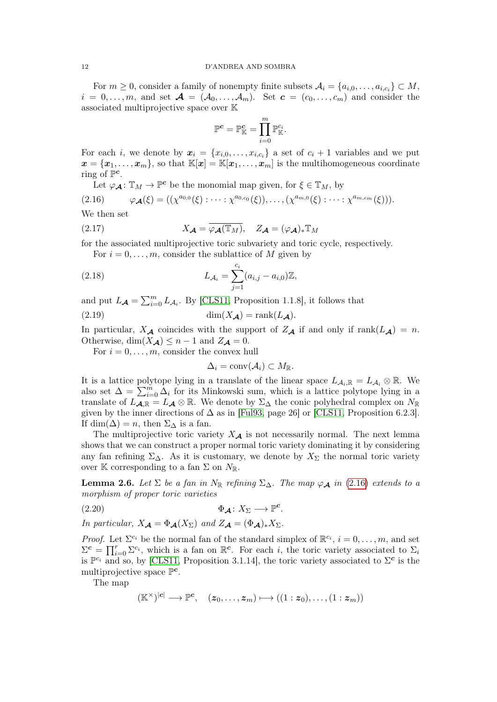For  $m \geq 0$ , consider a family of nonempty finite subsets  $\mathcal{A}_i = \{a_{i,0}, \ldots, a_{i,c_i}\} \subset M$ ,  $i = 0, \ldots, m$ , and set  $\mathcal{A} = (\mathcal{A}_0, \ldots, \mathcal{A}_m)$ . Set  $\mathbf{c} = (c_0, \ldots, c_m)$  and consider the associated multiprojective space over K

$$
\mathbb{P}^{\boldsymbol{c}} = \mathbb{P}^{\boldsymbol{c}}_{\mathbb{K}} = \prod_{i=0}^m \mathbb{P}^{c_i}_{\mathbb{K}}.
$$

For each *i*, we denote by  $x_i = \{x_{i,0}, \ldots, x_{i,c_i}\}\$ a set of  $c_i + 1$  variables and we put  $x = \{x_1, \ldots, x_m\}$ , so that  $\mathbb{K}[x] = \mathbb{K}[x_1, \ldots, x_m]$  is the multihomogeneous coordinate ring of  $\mathbb{P}^c$ .

<span id="page-11-0"></span>Let  $\varphi_{\mathcal{A}}\colon \mathbb{T}_M \to \mathbb{P}^c$  be the monomial map given, for  $\xi \in \mathbb{T}_M$ , by

$$
(2.16) \qquad \varphi_{\mathcal{A}}(\xi) = ((\chi^{a_{0,0}}(\xi) : \cdots : \chi^{a_{0,c_0}}(\xi)), \ldots, (\chi^{a_{m,0}}(\xi) : \cdots : \chi^{a_{m,c_m}}(\xi))).
$$

We then set

(2.17) 
$$
X_{\mathcal{A}} = \overline{\varphi_{\mathcal{A}}(\mathbb{T}_M)}, \quad Z_{\mathcal{A}} = (\varphi_{\mathcal{A}})_* \mathbb{T}_M
$$

for the associated multiprojective toric subvariety and toric cycle, respectively.

<span id="page-11-1"></span>For  $i = 0, \ldots, m$ , consider the sublattice of M given by

(2.18) 
$$
L_{\mathcal{A}_i} = \sum_{j=1}^{c_i} (a_{i,j} - a_{i,0}) \mathbb{Z},
$$

and put  $L_{\mathcal{A}} = \sum_{i=0}^{m} L_{\mathcal{A}_i}$ . By [\[CLS11,](#page-33-24) Proposition 1.1.8], it follows that

(2.19) dim(XA) = rank(LA).

In particular,  $X_{\mathcal{A}}$  coincides with the support of  $Z_{\mathcal{A}}$  if and only if rank( $L_{\mathcal{A}}$ ) = n. Otherwise,  $\dim(X_{\mathcal{A}}) \leq n - 1$  and  $Z_{\mathcal{A}} = 0$ .

For  $i = 0, \ldots, m$ , consider the convex hull

<span id="page-11-5"></span><span id="page-11-4"></span>
$$
\Delta_i = \text{conv}(\mathcal{A}_i) \subset M_{\mathbb{R}}.
$$

It is a lattice polytope lying in a translate of the linear space  $L_{\mathcal{A}_i,\mathbb{R}} = L_{\mathcal{A}_i} \otimes \mathbb{R}$ . We also set  $\Delta = \sum_{i=0}^{m} \Delta_i$  for its Minkowski sum, which is a lattice polytope lying in a translate of  $L_{\mathcal{A},\mathbb{R}} = L_{\mathcal{A}} \otimes \mathbb{R}$ . We denote by  $\Sigma_{\Delta}$  the conic polyhedral complex on  $N_{\mathbb{R}}$ given by the inner directions of  $\Delta$  as in [\[Ful93,](#page-33-23) page 26] or [\[CLS11,](#page-33-24) Proposition 6.2.3]. If dim( $\Delta$ ) = n, then  $\Sigma_{\Delta}$  is a fan.

The multiprojective toric variety  $X_{\mathcal{A}}$  is not necessarily normal. The next lemma shows that we can construct a proper normal toric variety dominating it by considering any fan refining  $\Sigma_{\Delta}$ . As it is customary, we denote by  $X_{\Sigma}$  the normal toric variety over K corresponding to a fan  $\Sigma$  on  $N_{\mathbb{R}}$ .

<span id="page-11-3"></span>**Lemma 2.6.** Let  $\Sigma$  be a fan in N<sub>R</sub> refining  $\Sigma_{\Delta}$ . The map  $\varphi_{\mathcal{A}}$  in [\(2.16\)](#page-11-0) extends to a morphism of proper toric varieties

$$
\Phi_{\mathcal{A}} \colon X_{\Sigma} \longrightarrow \mathbb{P}^c.
$$

In particular,  $X_{\mathcal{A}} = \Phi_{\mathcal{A}}(X_{\Sigma})$  and  $Z_{\mathcal{A}} = (\Phi_{\mathcal{A}})_{*}X_{\Sigma}$ .

*Proof.* Let  $\Sigma^{c_i}$  be the normal fan of the standard simplex of  $\mathbb{R}^{c_i}$ ,  $i = 0, \ldots, m$ , and set  $\Sigma^c = \prod_{i=0}^r \Sigma^{c_i}$ , which is a fan on  $\mathbb{R}^c$ . For each i, the toric variety associated to  $\Sigma_i$ is  $\mathbb{P}^{c_i}$  and so, by [\[CLS11,](#page-33-24) Proposition 3.1.14], the toric variety associated to  $\Sigma^c$  is the multiprojective space  $\mathbb{P}^c$ .

The map

<span id="page-11-2"></span>
$$
(\mathbb{K}^{\times})^{|\mathbf{c}|} \longrightarrow \mathbb{P}^{\mathbf{c}}, \quad (z_0, \ldots, z_m) \longmapsto ((1 : z_0), \ldots, (1 : z_m))
$$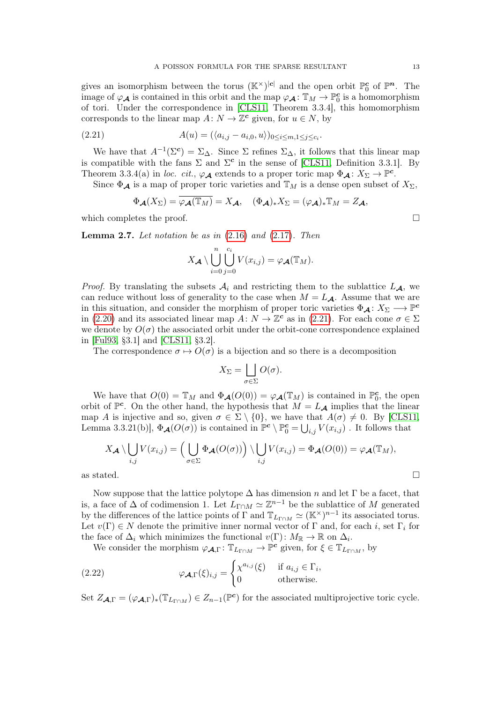gives an isomorphism between the torus  $(\mathbb{K}^{\times})^{|\mathbf{c}|}$  and the open orbit  $\mathbb{P}^{\mathbf{c}}_0$  of  $\mathbb{P}^n$ . The image of  $\varphi_{\mathcal{A}}$  is contained in this orbit and the map  $\varphi_{\mathcal{A}}\colon \mathbb{T}_M\to \mathbb{P}^c_0$  is a homomorphism of tori. Under the correspondence in [\[CLS11,](#page-33-24) Theorem 3.3.4], this homomorphism corresponds to the linear map  $A: N \to \mathbb{Z}^c$  given, for  $u \in N$ , by

(2.21) 
$$
A(u) = (\langle a_{i,j} - a_{i,0}, u \rangle)_{0 \le i \le m, 1 \le j \le c_i}.
$$

We have that  $A^{-1}(\Sigma^c) = \Sigma_{\Delta}$ . Since  $\Sigma$  refines  $\Sigma_{\Delta}$ , it follows that this linear map is compatible with the fans  $\Sigma$  and  $\Sigma^c$  in the sense of [\[CLS11,](#page-33-24) Definition 3.3.1]. By Theorem 3.3.4(a) in loc. cit.,  $\varphi_{\mathcal{A}}$  extends to a proper toric map  $\Phi_{\mathcal{A}}\colon X_{\Sigma} \to \mathbb{P}^c$ .

Since  $\Phi_{\mathcal{A}}$  is a map of proper toric varieties and  $\mathbb{T}_M$  is a dense open subset of  $X_{\Sigma}$ ,

<span id="page-12-0"></span>
$$
\Phi_{\mathcal{A}}(X_{\Sigma}) = \overline{\varphi_{\mathcal{A}}(\mathbb{T}_M)} = X_{\mathcal{A}}, \quad (\Phi_{\mathcal{A}})_* X_{\Sigma} = (\varphi_{\mathcal{A}})_* \mathbb{T}_M = Z_{\mathcal{A}},
$$

which completes the proof.  $\Box$ 

<span id="page-12-2"></span>**Lemma 2.7.** Let notation be as in  $(2.16)$  and  $(2.17)$ . Then

$$
X_{\mathcal{A}} \setminus \bigcup_{i=0}^n \bigcup_{j=0}^{c_i} V(x_{i,j}) = \varphi_{\mathcal{A}}(\mathbb{T}_M).
$$

*Proof.* By translating the subsets  $\mathcal{A}_i$  and restricting them to the sublattice  $L_{\mathcal{A}}$ , we can reduce without loss of generality to the case when  $M = L_A$ . Assume that we are in this situation, and consider the morphism of proper toric varieties  $\Phi_{\mathcal{A}}: X_{\Sigma} \longrightarrow \mathbb{P}^c$ in [\(2.20\)](#page-11-2) and its associated linear map  $A: N \to \mathbb{Z}^c$  as in [\(2.21\)](#page-12-0). For each cone  $\sigma \in \Sigma$ we denote by  $O(\sigma)$  the associated orbit under the orbit-cone correspondence explained in [\[Ful93,](#page-33-23) §3.1] and [\[CLS11,](#page-33-24) §3.2].

The correspondence  $\sigma \mapsto O(\sigma)$  is a bijection and so there is a decomposition

$$
X_{\Sigma} = \bigsqcup_{\sigma \in \Sigma} O(\sigma).
$$

We have that  $O(0) = \mathbb{T}_M$  and  $\Phi_{\mathcal{A}}(O(0)) = \varphi_{\mathcal{A}}(\mathbb{T}_M)$  is contained in  $\mathbb{P}_0^c$ , the open orbit of  $\mathbb{P}^c$ . On the other hand, the hypothesis that  $M = L_{\mathcal{A}}$  implies that the linear map A is injective and so, given  $\sigma \in \Sigma \setminus \{0\}$ , we have that  $A(\sigma) \neq 0$ . By [\[CLS11,](#page-33-24) Lemma 3.3.21(b)],  $\Phi_{\mathcal{A}}(O(\sigma))$  is contained in  $\mathbb{P}^c \setminus \mathbb{P}_0^c = \bigcup_{i,j} V(x_{i,j})$ . It follows that

$$
X_{\mathcal{A}} \setminus \bigcup_{i,j} V(x_{i,j}) = \Big( \bigcup_{\sigma \in \Sigma} \Phi_{\mathcal{A}}(O(\sigma)) \Big) \setminus \bigcup_{i,j} V(x_{i,j}) = \Phi_{\mathcal{A}}(O(0)) = \varphi_{\mathcal{A}}(\mathbb{T}_M),
$$

as stated.  $\Box$ 

Now suppose that the lattice polytope  $\Delta$  has dimension n and let  $\Gamma$  be a facet, that is, a face of  $\Delta$  of codimension 1. Let  $\bar{L}_{\Gamma \cap M} \simeq \mathbb{Z}^{n-1}$  be the sublattice of M generated by the differences of the lattice points of  $\Gamma$  and  $\mathbb{T}_{L_{\Gamma\cap M}} \simeq (\mathbb{K}^{\times})^{n-1}$  its associated torus. Let  $v(\Gamma) \in N$  denote the primitive inner normal vector of  $\Gamma$  and, for each i, set  $\Gamma_i$  for the face of  $\Delta_i$  which minimizes the functional  $v(\Gamma) \colon M_{\mathbb{R}} \to \mathbb{R}$  on  $\Delta_i$ .

<span id="page-12-1"></span>We consider the morphism  $\varphi_{\mathcal{A},\Gamma} \colon \mathbb{T}_{L_{\Gamma\cap M}} \to \mathbb{P}^c$  given, for  $\xi \in \mathbb{T}_{L_{\Gamma\cap M}}$ , by

(2.22) 
$$
\varphi_{\mathcal{A},\Gamma}(\xi)_{i,j} = \begin{cases} \chi^{a_{i,j}}(\xi) & \text{if } a_{i,j} \in \Gamma_i, \\ 0 & \text{otherwise.} \end{cases}
$$

Set  $Z_{\mathcal{A},\Gamma} = (\varphi_{\mathcal{A},\Gamma})_*(\mathbb{T}_{L_{\Gamma\cap M}}) \in Z_{n-1}(\mathbb{P}^c)$  for the associated multiprojective toric cycle.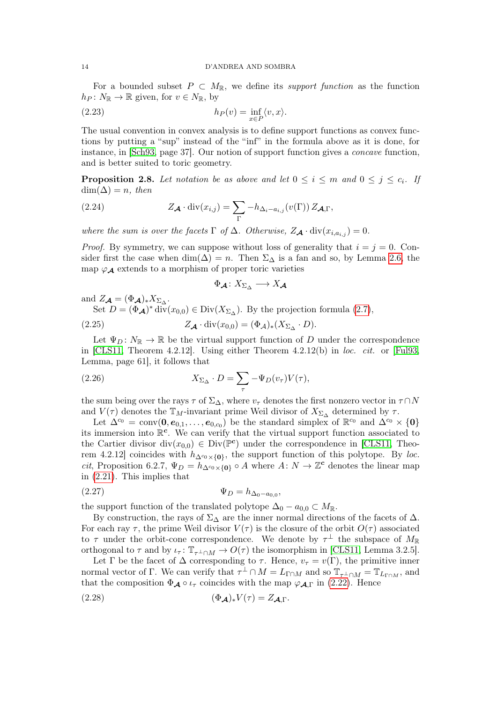For a bounded subset  $P \subset M_{\mathbb{R}}$ , we define its *support function* as the function  $h_P\colon N_{\mathbb{R}}\to{\mathbb{R}}$  given, for  $v\in N_{\mathbb{R}}$ , by

<span id="page-13-6"></span>(2.23) 
$$
h_P(v) = \inf_{x \in P} \langle v, x \rangle.
$$

The usual convention in convex analysis is to define support functions as convex functions by putting a "sup" instead of the "inf" in the formula above as it is done, for instance, in [\[Sch93,](#page-33-25) page 37]. Our notion of support function gives a concave function, and is better suited to toric geometry.

<span id="page-13-0"></span>**Proposition 2.8.** Let notation be as above and let  $0 \leq i \leq m$  and  $0 \leq j \leq c_i$ . If  $\dim(\Delta) = n$ , then

<span id="page-13-1"></span>(2.24) 
$$
Z_{\mathcal{A}} \cdot \mathrm{div}(x_{i,j}) = \sum_{\Gamma} -h_{\Delta_i - a_{i,j}}(v(\Gamma)) Z_{\mathcal{A},\Gamma},
$$

where the sum is over the facets  $\Gamma$  of  $\Delta$ . Otherwise,  $Z_{\mathcal{A}} \cdot \text{div}(x_{i,a_{i,j}}) = 0$ .

*Proof.* By symmetry, we can suppose without loss of generality that  $i = j = 0$ . Consider first the case when  $\dim(\Delta) = n$ . Then  $\Sigma_{\Delta}$  is a fan and so, by Lemma [2.6,](#page-11-3) the map  $\varphi_{\mathcal{A}}$  extends to a morphism of proper toric varieties

<span id="page-13-3"></span><span id="page-13-2"></span>
$$
\Phi_{\mathcal{A}}\colon X_{\Sigma_{\Delta}} \longrightarrow X_{\mathcal{A}}
$$

and  $Z_{\mathcal{A}} = (\Phi_{\mathcal{A}})_* X_{\Sigma_{\Delta}}$ .

Set  $D = (\Phi_{\mathcal{A}})^* \text{div}(x_{0,0}) \in \text{Div}(X_{\Sigma_{\Delta}})$ . By the projection formula [\(2.7\)](#page-7-1),

(2.25) 
$$
Z_{\mathcal{A}} \cdot \text{div}(x_{0,0}) = (\Phi_{\mathcal{A}})_*(X_{\Sigma_{\Delta}} \cdot D).
$$

Let  $\Psi_D\colon N_{\mathbb{R}}\to{\mathbb{R}}$  be the virtual support function of D under the correspondence in [\[CLS11,](#page-33-24) Theorem 4.2.12]. Using either Theorem 4.2.12(b) in loc. cit. or [\[Ful93,](#page-33-23) Lemma, page 61], it follows that

(2.26) 
$$
X_{\Sigma_{\Delta}} \cdot D = \sum_{\tau} -\Psi_D(v_{\tau}) V(\tau),
$$

the sum being over the rays  $\tau$  of  $\Sigma_{\Delta}$ , where  $v_{\tau}$  denotes the first nonzero vector in  $\tau \cap N$ and  $V(\tau)$  denotes the  $\mathbb{T}_M$ -invariant prime Weil divisor of  $X_{\Sigma_{\Delta}}$  determined by  $\tau$ .

Let  $\Delta^{c_0} = \text{conv}(0, e_{0,1}, \ldots, e_{0,c_0})$  be the standard simplex of  $\mathbb{R}^{c_0}$  and  $\Delta^{c_0} \times \{0\}$ its immersion into  $\mathbb{R}^c$ . We can verify that the virtual support function associated to the Cartier divisor div $(x_{0,0}) \in Div(\mathbb{P}^c)$  under the correspondence in [\[CLS11,](#page-33-24) Theorem 4.2.12] coincides with  $h_{\Delta^c 0 \times \{0\}}$ , the support function of this polytope. By loc. cit, Proposition 6.2.7,  $\Psi_D = h_{\Delta^c \circ \times \{0\}} \circ A$  where  $A: N \to \mathbb{Z}^c$  denotes the linear map in [\(2.21\)](#page-12-0). This implies that

<span id="page-13-4"></span>(2.27) 
$$
\Psi_D = h_{\Delta_0 - a_{0,0}},
$$

the support function of the translated polytope  $\Delta_0 - a_{0,0} \subset M_{\mathbb{R}}$ .

By construction, the rays of  $\Sigma_{\Delta}$  are the inner normal directions of the facets of  $\Delta$ . For each ray  $\tau$ , the prime Weil divisor  $V(\tau)$  is the closure of the orbit  $O(\tau)$  associated to  $\tau$  under the orbit-cone correspondence. We denote by  $\tau^{\perp}$  the subspace of  $M_{\mathbb{R}}$ orthogonal to  $\tau$  and by  $\iota_{\tau} : \mathbb{T}_{\tau^{\perp} \cap M} \to O(\tau)$  the isomorphism in [\[CLS11,](#page-33-24) Lemma 3.2.5].

Let  $\Gamma$  be the facet of  $\Delta$  corresponding to  $\tau$ . Hence,  $v_{\tau} = v(\Gamma)$ , the primitive inner normal vector of Γ. We can verify that  $\tau^{\perp} \cap M = L_{\Gamma \cap M}$  and so  $\mathbb{T}_{\tau^{\perp} \cap M} = \mathbb{T}_{L_{\Gamma \cap M}}$ , and that the composition  $\Phi_{\mathcal{A}} \circ \iota_{\tau}$  coincides with the map  $\varphi_{\mathcal{A},\Gamma}$  in [\(2.22\)](#page-12-1). Hence

<span id="page-13-5"></span>(2.28) (ΦA)∗V (τ ) = ZA,Γ.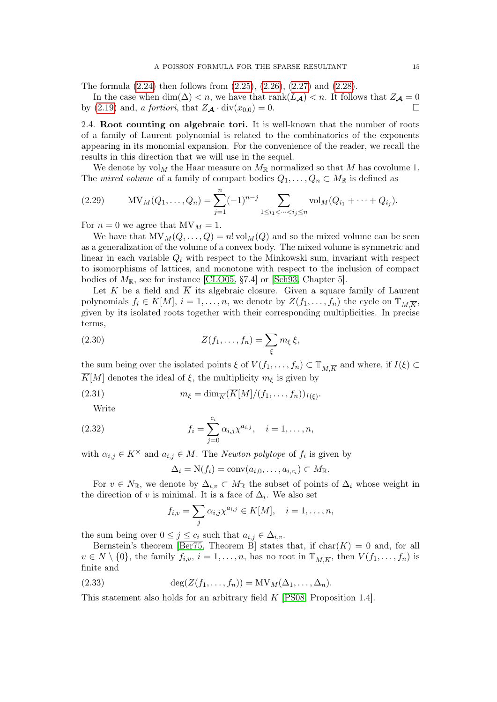The formula [\(2.24\)](#page-13-1) then follows from [\(2.25\)](#page-13-2), [\(2.26\)](#page-13-3), [\(2.27\)](#page-13-4) and [\(2.28\)](#page-13-5).

In the case when  $\dim(\Delta) < n$ , we have that  $rank(L_A) < n$ . It follows that  $Z_A = 0$ by [\(2.19\)](#page-11-4) and, a fortiori, that  $Z_{\mathcal{A}} \cdot \text{div}(x_{0,0}) = 0$ .

2.4. Root counting on algebraic tori. It is well-known that the number of roots of a family of Laurent polynomial is related to the combinatorics of the exponents appearing in its monomial expansion. For the convenience of the reader, we recall the results in this direction that we will use in the sequel.

We denote by  $\text{vol}_M$  the Haar measure on  $M_{\mathbb{R}}$  normalized so that M has covolume 1. The mixed volume of a family of compact bodies  $Q_1, \ldots, Q_n \subset M_{\mathbb{R}}$  is defined as

<span id="page-14-2"></span>(2.29) 
$$
MV_M(Q_1, ..., Q_n) = \sum_{j=1}^n (-1)^{n-j} \sum_{1 \le i_1 < ... < i_j \le n} vol_M(Q_{i_1} + ... + Q_{i_j}).
$$

For  $n = 0$  we agree that  $MV_M = 1$ .

We have that  $MV_M(Q, \ldots, Q) = n! vol_M(Q)$  and so the mixed volume can be seen as a generalization of the volume of a convex body. The mixed volume is symmetric and linear in each variable  $Q_i$  with respect to the Minkowski sum, invariant with respect to isomorphisms of lattices, and monotone with respect to the inclusion of compact bodies of  $M_{\mathbb{R}}$ , see for instance [\[CLO05,](#page-33-3) §7.4] or [\[Sch93,](#page-33-25) Chapter 5].

Let K be a field and  $\overline{K}$  its algebraic closure. Given a square family of Laurent polynomials  $f_i \in K[M], i = 1, \ldots, n$ , we denote by  $Z(f_1, \ldots, f_n)$  the cycle on  $\mathbb{T}_{M,K}$ , given by its isolated roots together with their corresponding multiplicities. In precise terms,

<span id="page-14-0"></span>(2.30) 
$$
Z(f_1,\ldots,f_n)=\sum_{\xi}m_{\xi}\xi,
$$

the sum being over the isolated points  $\xi$  of  $V(f_1,\ldots,f_n) \subset \mathbb{T}_{M,\overline{K}}$  and where, if  $I(\xi) \subset$  $\overline{K}[M]$  denotes the ideal of  $\xi$ , the multiplicity  $m_{\xi}$  is given by

(2.31) 
$$
m_{\xi} = \dim_{\overline{K}}(\overline{K}[M]/(f_1,\ldots,f_n))_{I(\xi)}.
$$

Write

(2.32) 
$$
f_i = \sum_{j=0}^{c_i} \alpha_{i,j} \chi^{a_{i,j}}, \quad i = 1, ..., n,
$$

with  $\alpha_{i,j} \in K^{\times}$  and  $a_{i,j} \in M$ . The *Newton polytope* of  $f_i$  is given by

<span id="page-14-3"></span>
$$
\Delta_i = \mathcal{N}(f_i) = \text{conv}(a_{i,0},\ldots,a_{i,c_i}) \subset M_{\mathbb{R}}.
$$

For  $v \in N_{\mathbb{R}}$ , we denote by  $\Delta_{i,v} \subset M_{\mathbb{R}}$  the subset of points of  $\Delta_i$  whose weight in the direction of v is minimal. It is a face of  $\Delta_i$ . We also set

<span id="page-14-1"></span>
$$
f_{i,v} = \sum_j \alpha_{i,j} \chi^{a_{i,j}} \in K[M], \quad i = 1, \dots, n,
$$

the sum being over  $0 \leq j \leq c_i$  such that  $a_{i,j} \in \Delta_{i,v}$ .

Bernstein's theorem [\[Ber75,](#page-33-16) Theorem B] states that, if  $char(K) = 0$  and, for all  $v \in N \setminus \{0\}$ , the family  $f_{i,v}$ ,  $i = 1, \ldots, n$ , has no root in  $\mathbb{T}_{M,\overline{K}}$ , then  $V(f_1, \ldots, f_n)$  is finite and

(2.33) 
$$
\deg(Z(f_1,\ldots,f_n)) = MV_M(\Delta_1,\ldots,\Delta_n).
$$

This statement also holds for an arbitrary field K [\[PS08,](#page-33-17) Proposition 1.4].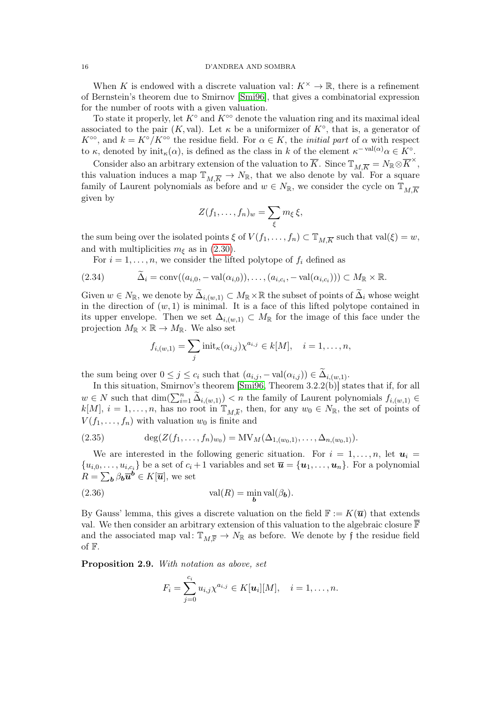#### 16 D'ANDREA AND SOMBRA

When K is endowed with a discrete valuation val:  $K^{\times} \to \mathbb{R}$ , there is a refinement of Bernstein's theorem due to Smirnov [\[Smi96\]](#page-33-19), that gives a combinatorial expression for the number of roots with a given valuation.

To state it properly, let  $K^{\circ}$  and  $K^{\circ\circ}$  denote the valuation ring and its maximal ideal associated to the pair  $(K, val)$ . Let  $\kappa$  be a uniformizer of  $K^{\circ}$ , that is, a generator of  $K^{\infty}$ , and  $k = K^{\circ}/K^{\infty}$  the residue field. For  $\alpha \in K$ , the *initial part* of  $\alpha$  with respect to  $\kappa$ , denoted by  $\text{init}_{\kappa}(\alpha)$ , is defined as the class in k of the element  $\kappa^{-\text{val}(\alpha)}\alpha \in K^{\circ}$ .

Consider also an arbitrary extension of the valuation to  $\overline{K}$ . Since  $\mathbb{T}_{M,\overline{K}} = N_{\mathbb{R}} \otimes \overline{K}^{\times}$ , this valuation induces a map  $\mathbb{T}_{M,\overline{K}} \to N_{\mathbb{R}}$ , that we also denote by val. For a square family of Laurent polynomials as before and  $w \in N_{\mathbb{R}}$ , we consider the cycle on  $\mathbb{T}_{M\overline{K}}$ given by

$$
Z(f_1,\ldots,f_n)_w=\sum_{\xi}m_{\xi}\xi,
$$

the sum being over the isolated points  $\xi$  of  $V(f_1, \ldots, f_n) \subset \mathbb{T}_{M,\overline{K}}$  such that val $(\xi) = w$ , and with multiplicities  $m_{\xi}$  as in [\(2.30\)](#page-14-0).

<span id="page-15-0"></span>For  $i = 1, \ldots, n$ , we consider the lifted polytope of  $f_i$  defined as

$$
(2.34) \qquad \widetilde{\Delta}_i = \text{conv}((a_{i,0}, -\text{val}(\alpha_{i,0})), \ldots, (a_{i,c_i}, -\text{val}(\alpha_{i,c_i}))) \subset M_{\mathbb{R}} \times \mathbb{R}.
$$

Given  $w \in N_{\mathbb{R}}$ , we denote by  $\widetilde{\Delta}_{i,(w,1)} \subset M_{\mathbb{R}} \times \mathbb{R}$  the subset of points of  $\widetilde{\Delta}_i$  whose weight in the direction of  $(w, 1)$  is minimal. It is a face of this lifted polytope contained in its upper envelope. Then we set  $\Delta_{i,(w,1)} \subset M_{\mathbb{R}}$  for the image of this face under the projection  $M_{\mathbb{R}} \times \mathbb{R} \to M_{\mathbb{R}}$ . We also set

$$
f_{i,(w,1)} = \sum_j \text{init}_{\kappa}(\alpha_{i,j}) \chi^{a_{i,j}} \in k[M], \quad i = 1,\ldots,n,
$$

the sum being over  $0 \leq j \leq c_i$  such that  $(a_{i,j}, -\text{val}(\alpha_{i,j})) \in \Delta_{i,(w,1)}$ .

In this situation, Smirnov's theorem [\[Smi96,](#page-33-19) Theorem 3.2.2(b)] states that if, for all  $w \in N$  such that  $\dim(\sum_{i=1}^n \widetilde{\Delta}_{i,(w,1)}) < n$  the family of Laurent polynomials  $f_{i,(w,1)} \in$  $k[M], i = 1, \ldots, n$ , has no root in  $\mathbb{T}_{M,\overline{k}}$ , then, for any  $w_0 \in N_{\mathbb{R}}$ , the set of points of  $V(f_1, \ldots, f_n)$  with valuation  $w_0$  is finite and

(2.35) 
$$
\deg(Z(f_1,\ldots,f_n)_{w_0}) = MV_M(\Delta_{1,(w_0,1)},\ldots,\Delta_{n,(w_0,1)}).
$$

We are interested in the following generic situation. For  $i = 1, \ldots, n$ , let  $u_i =$  $\{u_{i,0},\ldots,u_{i,c_i}\}\$  be a set of  $c_i+1$  variables and set  $\overline{\boldsymbol{u}}=\{\boldsymbol{u}_1,\ldots,\boldsymbol{u}_n\}$ . For a polynomial  $R=\sum_{\boldsymbol{b}}\beta_{\boldsymbol{b}}\overline{\boldsymbol{u}}^{\boldsymbol{b}}\in K[\overline{\boldsymbol{u}}],$  we set

(2.36) 
$$
\operatorname{val}(R) = \min_{\boldsymbol{b}} \operatorname{val}(\beta_{\boldsymbol{b}}).
$$

By Gauss' lemma, this gives a discrete valuation on the field  $\mathbb{F} := K(\overline{u})$  that extends val. We then consider an arbitrary extension of this valuation to the algebraic closure  $\overline{\mathbb{F}}$ and the associated map val:  $\mathbb{T}_M$ <sub> $\overline{\mathbb{F}}$ </sub>  $\rightarrow$  N<sub>R</sub> as before. We denote by f the residue field of F.

<span id="page-15-2"></span>Proposition 2.9. With notation as above, set

<span id="page-15-1"></span>
$$
F_i=\sum_{j=0}^{c_i}u_{i,j}\chi^{a_{i,j}}\in K[\boldsymbol{u}_i][M],\quad i=1,\ldots,n.
$$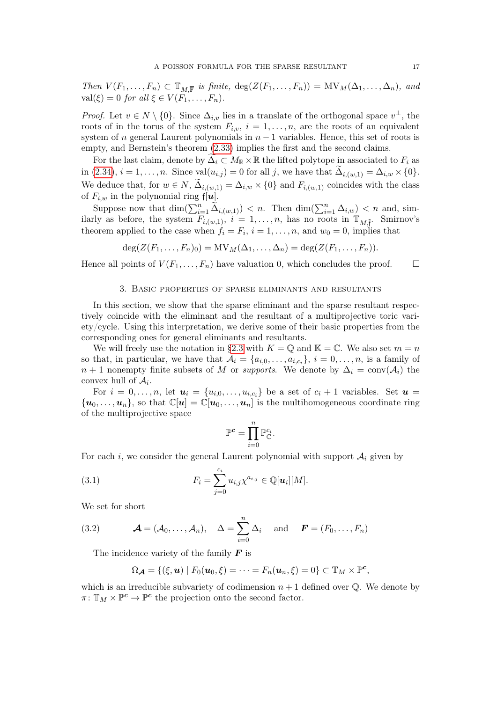Then  $V(F_1,\ldots,F_n) \subset \mathbb{T}_{M,\overline{\mathbb{F}}}$  is finite,  $\deg(Z(F_1,\ldots,F_n)) = MV_M(\Delta_1,\ldots,\Delta_n)$ , and  $val(\xi) = 0$  for all  $\xi \in V(F_1, \ldots, F_n)$ .

*Proof.* Let  $v \in N \setminus \{0\}$ . Since  $\Delta_{i,v}$  lies in a translate of the orthogonal space  $v^{\perp}$ , the roots of in the torus of the system  $F_{i,v}$ ,  $i = 1, \ldots, n$ , are the roots of an equivalent system of n general Laurent polynomials in  $n-1$  variables. Hence, this set of roots is empty, and Bernstein's theorem [\(2.33\)](#page-14-1) implies the first and the second claims.

For the last claim, denote by  $\widetilde{\Delta_i} \subset M_{\mathbb{R}} \times \mathbb{R}$  the lifted polytope in associated to  $F_i$  as in [\(2.34\)](#page-15-0),  $i = 1, \ldots, n$ . Since  $\text{val}(u_{i,j}) = 0$  for all j, we have that  $\Delta_{i,(w,1)} = \Delta_{i,w} \times \{0\}.$ We deduce that, for  $w \in N$ ,  $\Delta_{i,(w,1)} = \Delta_{i,w} \times \{0\}$  and  $F_{i,(w,1)}$  coincides with the class of  $F_{i,w}$  in the polynomial ring  $\widehat{\mathfrak{f}[\overline{u}]}$ .

Suppose now that  $\dim(\sum_{i=1}^n \widetilde{\Delta}_{i,(w,1)}) < n$ . Then  $\dim(\sum_{i=1}^n \Delta_{i,w}) < n$  and, similarly as before, the system  $F_{i,(w,1)}$ ,  $i = 1,\ldots,n$ , has no roots in  $\mathbb{T}_{M,\tilde{f}}$ . Smirnov's theorem applied to the case when  $f_i = F_i$ ,  $i = 1, ..., n$ , and  $w_0 = 0$ , implies that

$$
\deg(Z(F_1,\ldots,F_n)_0)=MV_M(\Delta_1,\ldots,\Delta_n)=\deg(Z(F_1,\ldots,F_n)).
$$

Hence all points of  $V(F_1, \ldots, F_n)$  have valuation 0, which concludes the proof.  $\Box$ 

## 3. Basic properties of sparse eliminants and resultants

<span id="page-16-0"></span>In this section, we show that the sparse eliminant and the sparse resultant respectively coincide with the eliminant and the resultant of a multiprojective toric variety/cycle. Using this interpretation, we derive some of their basic properties from the corresponding ones for general eliminants and resultants.

We will freely use the notation in [§2.3](#page-10-0) with  $K = \mathbb{Q}$  and  $\mathbb{K} = \mathbb{C}$ . We also set  $m = n$ so that, in particular, we have that  $A_i = \{a_{i,0}, \ldots, a_{i,c_i}\}, i = 0, \ldots, n$ , is a family of  $n + 1$  nonempty finite subsets of M or supports. We denote by  $\Delta_i = \text{conv}(\mathcal{A}_i)$  the convex hull of  $A_i$ .

For  $i = 0, \ldots, n$ , let  $u_i = \{u_{i,0}, \ldots, u_{i,c_i}\}$  be a set of  $c_i + 1$  variables. Set  $u =$  ${\bf u}_0, \ldots, {\bf u}_n$ , so that  $\mathbb{C}[{\bf u}] = \mathbb{C}[{\bf u}_0, \ldots, {\bf u}_n]$  is the multihomogeneous coordinate ring of the multiprojective space

<span id="page-16-1"></span>
$$
\mathbb{P}^{\boldsymbol{c}} = \prod_{i=0}^n \mathbb{P}_{\mathbb{C}}^{c_i}.
$$

For each i, we consider the general Laurent polynomial with support  $A_i$  given by

(3.1) 
$$
F_i = \sum_{j=0}^{c_i} u_{i,j} \chi^{a_{i,j}} \in \mathbb{Q}[u_i][M].
$$

We set for short

(3.2) 
$$
\mathcal{A} = (\mathcal{A}_0, \dots, \mathcal{A}_n), \quad \Delta = \sum_{i=0}^n \Delta_i \quad \text{and} \quad \mathcal{F} = (F_0, \dots, F_n)
$$

The incidence variety of the family  $\boldsymbol{F}$  is

<span id="page-16-2"></span>
$$
\Omega_{\mathcal{A}} = \{(\xi, \mathbf{u}) \mid F_0(\mathbf{u}_0, \xi) = \cdots = F_n(\mathbf{u}_n, \xi) = 0\} \subset \mathbb{T}_M \times \mathbb{P}^c,
$$

which is an irreducible subvariety of codimension  $n + 1$  defined over  $\mathbb{Q}$ . We denote by  $\pi\colon \mathbb{T}_M\times \mathbb{P}^{\mathbf{c}} \to \mathbb{P}^{\mathbf{c}}$  the projection onto the second factor.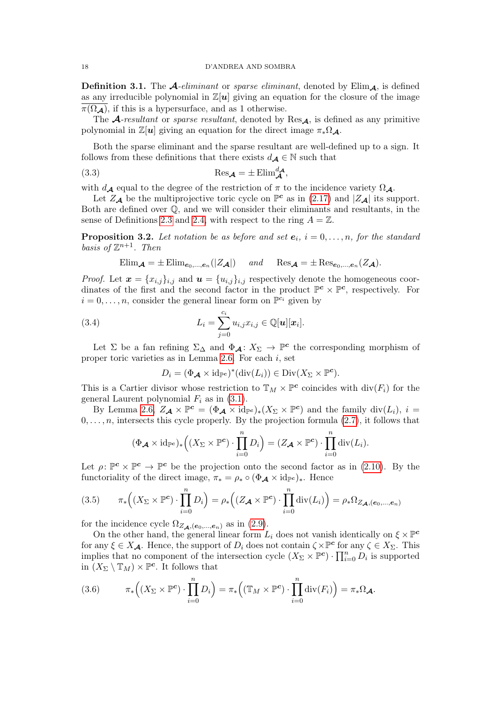**Definition 3.1.** The  $\mathcal{A}$ -eliminant or sparse eliminant, denoted by Elim $\mathcal{A}$ , is defined as any irreducible polynomial in  $\mathbb{Z}[u]$  giving an equation for the closure of the image  $\overline{\pi(\Omega_{\mathcal{A}})}$ , if this is a hypersurface, and as 1 otherwise.

The A-resultant or sparse resultant, denoted by  $\text{Res}_{A}$ , is defined as any primitive polynomial in  $\mathbb{Z}[u]$  giving an equation for the direct image  $\pi_*\Omega_{\mathcal{A}}$ .

Both the sparse eliminant and the sparse resultant are well-defined up to a sign. It follows from these definitions that there exists  $d_{\mathcal{A}} \in \mathbb{N}$  such that

<span id="page-17-3"></span>(3.3) 
$$
\operatorname{Res}_{\mathcal{A}} = \pm \operatorname{Elim}_{\mathcal{A}}^{d_{\mathcal{A}}},
$$

with  $d_{\mathcal{A}}$  equal to the degree of the restriction of  $\pi$  to the incidence variety  $\Omega_{\mathcal{A}}$ .

Let  $Z_{\mathcal{A}}$  be the multiprojective toric cycle on  $\mathbb{P}^c$  as in [\(2.17\)](#page-11-1) and  $|Z_{\mathcal{A}}|$  its support. Both are defined over Q, and we will consider their eliminants and resultants, in the sense of Definitions [2.3](#page-8-1) and [2.4,](#page-8-2) with respect to the ring  $A = \mathbb{Z}$ .

<span id="page-17-0"></span>**Proposition 3.2.** Let notation be as before and set  $e_i$ ,  $i = 0, \ldots, n$ , for the standard basis of  $\mathbb{Z}^{n+1}$ . Then

$$
\text{Elim}_{\mathcal{A}} = \pm \text{Elim}_{e_0, \dots, e_n}(|Z_{\mathcal{A}}|) \quad \text{and} \quad \text{Res}_{\mathcal{A}} = \pm \text{Res}_{e_0, \dots, e_n}(Z_{\mathcal{A}}).
$$

*Proof.* Let  $\mathbf{x} = \{x_{i,j}\}_{i,j}$  and  $\mathbf{u} = \{u_{i,j}\}_{i,j}$  respectively denote the homogeneous coordinates of the first and the second factor in the product  $\mathbb{P}^c \times \mathbb{P}^c$ , respectively. For  $i = 0, \ldots, n$ , consider the general linear form on  $\mathbb{P}^{c_i}$  given by

(3.4) 
$$
L_i = \sum_{j=0}^{c_i} u_{i,j} x_{i,j} \in \mathbb{Q}[u][x_i].
$$

Let  $\Sigma$  be a fan refining  $\Sigma_{\Delta}$  and  $\Phi_{\mathcal{A}}: X_{\Sigma} \to \mathbb{P}^c$  the corresponding morphism of proper toric varieties as in Lemma [2.6.](#page-11-3) For each  $i$ , set

<span id="page-17-4"></span>
$$
D_i = (\Phi_{\mathcal{A}} \times id_{\mathbb{P}^c})^*(div(L_i)) \in \text{Div}(X_{\Sigma} \times \mathbb{P}^c).
$$

This is a Cartier divisor whose restriction to  $\mathbb{T}_M \times \mathbb{P}^c$  coincides with  $\text{div}(F_i)$  for the general Laurent polynomial  $F_i$  as in [\(3.1\)](#page-16-1).

By Lemma [2.6,](#page-11-3)  $Z_{\mathcal{A}} \times \mathbb{P}^c = (\Phi_{\mathcal{A}} \times id_{\mathbb{P}^c})_*(X_{\Sigma} \times \mathbb{P}^c)$  and the family  $div(L_i), i =$  $0, \ldots, n$ , intersects this cycle properly. By the projection formula  $(2.7)$ , it follows that

$$
(\Phi_{\mathcal{A}} \times id_{\mathbb{P}^c})_*\Big((X_{\Sigma} \times \mathbb{P}^c) \cdot \prod_{i=0}^n D_i\Big) = (Z_{\mathcal{A}} \times \mathbb{P}^c) \cdot \prod_{i=0}^n \mathrm{div}(L_i).
$$

Let  $\rho: \mathbb{P}^c \times \mathbb{P}^c \to \mathbb{P}^c$  be the projection onto the second factor as in [\(2.10\)](#page-8-4). By the functoriality of the direct image,  $\pi_* = \rho_* \circ (\Phi_{\mathcal{A}} \times id_{\mathbb{P}^c})_*$ . Hence

<span id="page-17-1"></span>
$$
(3.5) \qquad \pi_*\Big((X_{\Sigma}\times\mathbb{P}^{\mathbf{c}})\cdot\prod_{i=0}^n D_i\Big)=\rho_*\Big((Z_{\mathbf{A}}\times\mathbb{P}^{\mathbf{c}})\cdot\prod_{i=0}^n \mathrm{div}(L_i)\Big)=\rho_*\Omega_{Z_{\mathbf{A}},(\mathbf{e}_0,\dots,\mathbf{e}_n)}
$$

for the incidence cycle  $\Omega_{Z_{\mathcal{A}},(e_0,...,e_n)}$  as in [\(2.9\)](#page-8-5).

On the other hand, the general linear form  $L_i$  does not vanish identically on  $\xi \times \mathbb{P}^c$ for any  $\xi \in X_{\mathcal{A}}$ . Hence, the support of  $D_i$  does not contain  $\zeta \times \mathbb{P}^c$  for any  $\zeta \in X_{\Sigma}$ . This implies that no component of the intersection cycle  $(X_{\Sigma} \times \mathbb{P}^c) \cdot \prod_{i=0}^n D_i$  is supported in  $(X_{\Sigma} \setminus \mathbb{T}_M) \times \mathbb{P}^c$ . It follows that

<span id="page-17-2"></span>(3.6) 
$$
\pi_*\Big((X_\Sigma \times \mathbb{P}^c) \cdot \prod_{i=0}^n D_i\Big) = \pi_*\Big((\mathbb{T}_M \times \mathbb{P}^c) \cdot \prod_{i=0}^n \mathrm{div}(F_i)\Big) = \pi_*\Omega_{\mathcal{A}}.
$$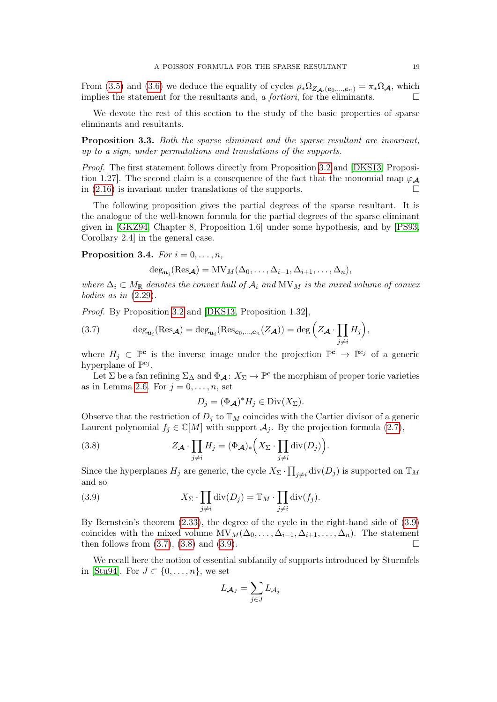From [\(3.5\)](#page-17-1) and [\(3.6\)](#page-17-2) we deduce the equality of cycles  $\rho_*\Omega_{Z_{\mathcal{A}},(e_0,...,e_n)} = \pi_*\Omega_{\mathcal{A}}$ , which implies the statement for the resultants and, a *fortiori*, for the eliminants.  $\Box$ 

We devote the rest of this section to the study of the basic properties of sparse eliminants and resultants.

<span id="page-18-4"></span>Proposition 3.3. Both the sparse eliminant and the sparse resultant are invariant, up to a sign, under permutations and translations of the supports.

Proof. The first statement follows directly from Proposition [3.2](#page-17-0) and [\[DKS13,](#page-33-13) Proposition 1.27. The second claim is a consequence of the fact that the monomial map  $\varphi_A$ in  $(2.16)$  is invariant under translations of the supports.

The following proposition gives the partial degrees of the sparse resultant. It is the analogue of the well-known formula for the partial degrees of the sparse eliminant given in [\[GKZ94,](#page-33-6) Chapter 8, Proposition 1.6] under some hypothesis, and by [\[PS93,](#page-33-11) Corollary 2.4] in the general case.

<span id="page-18-0"></span>Proposition 3.4. For  $i = 0, \ldots, n$ ,

$$
\deg_{\boldsymbol{u}_i}(\text{Res}_{\boldsymbol{\mathcal{A}}})=\text{MV}_M(\Delta_0,\ldots,\Delta_{i-1},\Delta_{i+1},\ldots,\Delta_n),
$$

where  $\Delta_i \subset M_{\mathbb{R}}$  denotes the convex hull of  $\mathcal{A}_i$  and  $\text{MV}_M$  is the mixed volume of convex bodies as in [\(2.29\)](#page-14-2).

Proof. By Proposition [3.2](#page-17-0) and [\[DKS13,](#page-33-13) Proposition 1.32],

<span id="page-18-2"></span>(3.7) 
$$
\deg_{\mathbf{u}_i}(\text{Res}_{\mathbf{A}}) = \deg_{\mathbf{u}_i}(\text{Res}_{\mathbf{e}_0,\dots,\mathbf{e}_n}(Z_{\mathbf{A}})) = \deg\left(Z_{\mathbf{A}} \cdot \prod_{j \neq i} H_j\right),
$$

where  $H_j \subset \mathbb{P}^c$  is the inverse image under the projection  $\mathbb{P}^c \to \mathbb{P}^{c_j}$  of a generic hyperplane of  $\mathbb{P}^{c_j}$ .

Let  $\Sigma$  be a fan refining  $\Sigma_{\Delta}$  and  $\Phi_{\mathcal{A}}: X_{\Sigma} \to \mathbb{P}^c$  the morphism of proper toric varieties as in Lemma [2.6.](#page-11-3) For  $j = 0, \ldots, n$ , set

<span id="page-18-3"></span><span id="page-18-1"></span>
$$
D_j = (\Phi_{\mathcal{A}})^* H_j \in \text{Div}(X_{\Sigma}).
$$

Observe that the restriction of  $D_i$  to  $\mathbb{T}_M$  coincides with the Cartier divisor of a generic Laurent polynomial  $f_j \in \mathbb{C}[M]$  with support  $\mathcal{A}_j$ . By the projection formula [\(2.7\)](#page-7-1),

(3.8) 
$$
Z_{\mathcal{A}} \cdot \prod_{j \neq i} H_j = (\Phi_{\mathcal{A}})_* \Big(X_{\Sigma} \cdot \prod_{j \neq i} \mathrm{div}(D_j)\Big).
$$

Since the hyperplanes  $H_j$  are generic, the cycle  $X_{\Sigma} \cdot \prod_{j \neq i} \text{div}(D_j)$  is supported on  $\mathbb{T}_M$ and so

(3.9) 
$$
X_{\Sigma} \cdot \prod_{j \neq i} \text{div}(D_j) = \mathbb{T}_M \cdot \prod_{j \neq i} \text{div}(f_j).
$$

By Bernstein's theorem [\(2.33\)](#page-14-1), the degree of the cycle in the right-hand side of [\(3.9\)](#page-18-1) coincides with the mixed volume  $MV_M(\Delta_0, \ldots, \Delta_{i-1}, \Delta_{i+1}, \ldots, \Delta_n)$ . The statement then follows from  $(3.7)$ ,  $(3.8)$  and  $(3.9)$ .

We recall here the notion of essential subfamily of supports introduced by Sturmfels in [\[Stu94\]](#page-34-1). For  $J \subset \{0, \ldots, n\}$ , we set

$$
L_{\mathcal{A}_J} = \sum_{j \in J} L_{\mathcal{A}_j}
$$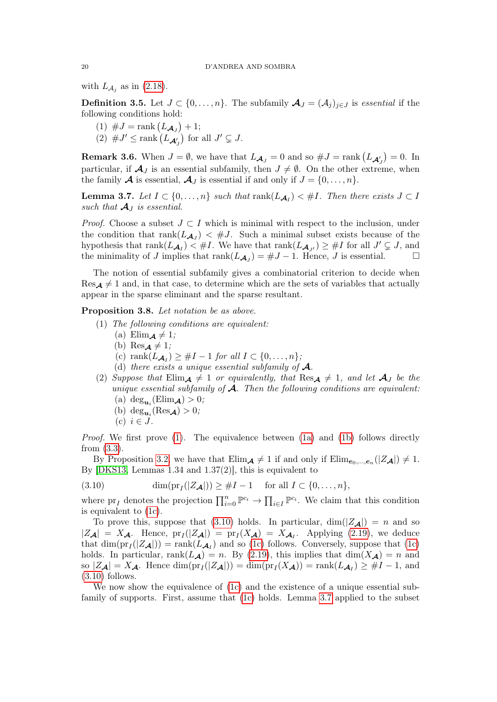with  $L_{\mathcal{A}_j}$  as in [\(2.18\)](#page-11-5).

**Definition 3.5.** Let  $J \subset \{0, \ldots, n\}$ . The subfamily  $\mathcal{A}_J = (\mathcal{A}_j)_{j \in J}$  is essential if the following conditions hold:

- (1)  $\#J = \text{rank}(L_{\mathcal{A}_J}) + 1;$
- (2)  $\#J' \leq \text{rank}\left(L_{\mathcal{A}'_J}\right)$  for all  $J' \subsetneq J$ .

**Remark 3.6.** When  $J = \emptyset$ , we have that  $L_{\mathcal{A}_J} = 0$  and so  $\#J = \text{rank}(L_{\mathcal{A}'_J}) = 0$ . In particular, if  $\mathcal{A}_J$  is an essential subfamily, then  $J \neq \emptyset$ . On the other extreme, when the family **A** is essential,  $\mathcal{A}_J$  is essential if and only if  $J = \{0, \ldots, n\}$ .

<span id="page-19-5"></span>**Lemma 3.7.** Let  $I \subset \{0, ..., n\}$  such that  $\text{rank}(L_{\mathcal{A}_I}) < \#I$ . Then there exists  $J \subset I$ such that  $\mathcal{A}_I$  is essential.

*Proof.* Choose a subset  $J \subset I$  which is minimal with respect to the inclusion, under the condition that  $rank(L_{\mathcal{A}_J}) < \#J$ . Such a minimal subset exists because of the hypothesis that  $\text{rank}(L_{\mathcal{A}_I}) \leq \#I$ . We have that  $\text{rank}(L_{\mathcal{A}_{J'}}) \geq \#I$  for all  $J' \subsetneq J$ , and the minimality of J implies that  $\text{rank}(L_{\mathcal{A}_J}) = \#J - 1$ . Hence, J is essential.

The notion of essential subfamily gives a combinatorial criterion to decide when  $\text{Res}_{\mathcal{A}} \neq 1$  and, in that case, to determine which are the sets of variables that actually appear in the sparse eliminant and the sparse resultant.

<span id="page-19-9"></span><span id="page-19-0"></span>Proposition 3.8. Let notation be as above.

- <span id="page-19-2"></span><span id="page-19-1"></span>(1) The following conditions are equivalent:
	- (a) Elim<sub> $\mathbf{A} \neq 1$ ;</sub>
	- (b)  $\text{Res}_{\mathbf{A}} \neq 1$ ;
	- (c) rank $(L_{\mathcal{A}_I}) \geq #I 1$  for all  $I \subset \{0, \ldots, n\};$
	- (d) there exists a unique essential subfamily of  $\mathcal{A}$ .
- <span id="page-19-7"></span><span id="page-19-6"></span><span id="page-19-3"></span>(2) Suppose that  $Elim_{\mathcal{A}} \neq 1$  or equivalently, that  $Res_{\mathcal{A}} \neq 1$ , and let  $\mathcal{A}_J$  be the unique essential subfamily of  $\mathcal A$ . Then the following conditions are equivalent:
	- (a)  $\deg_{\mathbf{u}_i}(\text{Elim}_{\mathbf{A}}) > 0;$
	- (b)  $\deg_{\mathbf{u}_i}(\text{Res}_{\mathbf{A}}) > 0;$
	- $(c)$   $i \in J$ .

<span id="page-19-8"></span>Proof. We first prove [\(1\)](#page-19-0). The equivalence between [\(1a\)](#page-19-1) and [\(1b\)](#page-19-2) follows directly from [\(3.3\)](#page-17-3).

By Proposition [3.2,](#page-17-0) we have that  $\text{Elim}_{\mathcal{A}} \neq 1$  if and only if  $\text{Elim}_{e_0,\dots,e_n}(|Z_{\mathcal{A}}|) \neq 1$ . By [\[DKS13,](#page-33-13) Lemmas 1.34 and 1.37(2)], this is equivalent to

<span id="page-19-4"></span>(3.10) 
$$
\dim(\text{pr}_I(|Z_{\mathcal{A}}|)) \geq \#I - 1 \quad \text{for all } I \subset \{0, \ldots, n\},
$$

where  $pr_I$  denotes the projection  $\prod_{i=0}^n \mathbb{P}^{c_i} \to \prod_{i \in I} \mathbb{P}^{c_i}$ . We claim that this condition is equivalent to [\(1c\)](#page-19-3).

To prove this, suppose that [\(3.10\)](#page-19-4) holds. In particular,  $\dim(|Z_{\mathcal{A}}|) = n$  and so  $|Z_{\mathcal{A}}| = X_{\mathcal{A}}$ . Hence,  $\text{pr}_I(|Z_{\mathcal{A}}|) = \text{pr}_I(X_{\mathcal{A}}) = X_{\mathcal{A}_I}$ . Applying [\(2.19\)](#page-11-4), we deduce that  $\dim(\text{pr}_I(|Z_{\mathcal{A}}|)) = \text{rank}(L_{\mathcal{A}_I})$  and so [\(1c\)](#page-19-3) follows. Conversely, suppose that (1c) holds. In particular, rank $(L_{\mathcal{A}}) = n$ . By [\(2.19\)](#page-11-4), this implies that  $dim(X_{\mathcal{A}}) = n$  and so  $|Z_{\mathcal{A}}| = X_{\mathcal{A}}$ . Hence  $\dim(\text{pr}_I(|Z_{\mathcal{A}}|)) = \dim(\text{pr}_I(X_{\mathcal{A}})) = \text{rank}(L_{\mathcal{A}_I}) \geq #I-1$ , and  $(3.10)$  follows.

We now show the equivalence of [\(1c\)](#page-19-3) and the existence of a unique essential subfamily of supports. First, assume that [\(1c\)](#page-19-3) holds. Lemma [3.7](#page-19-5) applied to the subset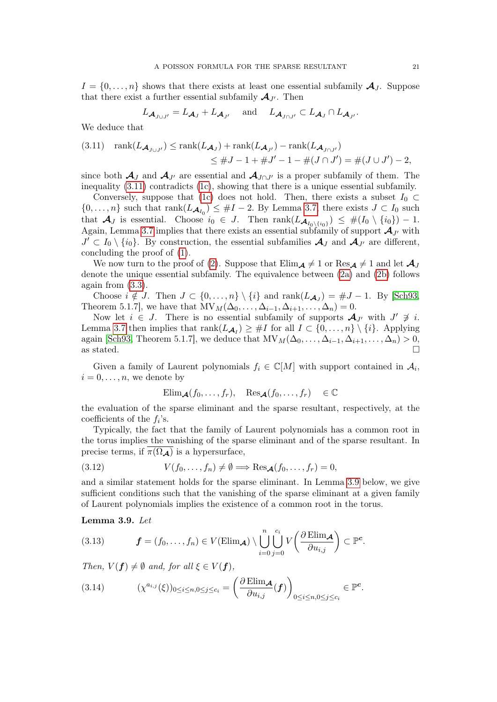$I = \{0, \ldots, n\}$  shows that there exists at least one essential subfamily  $\mathcal{A}_J$ . Suppose that there exist a further essential subfamily  $\mathcal{A}_{J'}$ . Then

$$
L_{\mathcal{A}_{J\cup J'}}=L_{\mathcal{A}_J}+L_{\mathcal{A}_{J'}} \quad \text{ and } \quad L_{\mathcal{A}_{J\cap J'}}\subset L_{\mathcal{A}_J}\cap L_{\mathcal{A}_{J'}}.
$$

We deduce that

<span id="page-20-0"></span>(3.11) 
$$
\operatorname{rank}(L_{\mathcal{A}_{J\cup J'}}) \leq \operatorname{rank}(L_{\mathcal{A}_{J}}) + \operatorname{rank}(L_{\mathcal{A}_{J'}}) - \operatorname{rank}(L_{\mathcal{A}_{J\cap J'}})
$$
  

$$
\leq \#J - 1 + \#J' - 1 - \#(J \cap J') = \#(J \cup J') - 2,
$$

since both  $\mathcal{A}_J$  and  $\mathcal{A}_{J'}$  are essential and  $\mathcal{A}_{J\cap J'}$  is a proper subfamily of them. The inequality [\(3.11\)](#page-20-0) contradicts [\(1c\)](#page-19-3), showing that there is a unique essential subfamily.

Conversely, suppose that [\(1c\)](#page-19-3) does not hold. Then, there exists a subset  $I_0 \subset$  $\{0,\ldots,n\}$  such that  $\text{rank}(L_{\mathcal{A}_{I_0}}) \leq \#I-2$ . By Lemma [3.7,](#page-19-5) there exists  $J \subset I_0$  such that  $\mathcal{A}_J$  is essential. Choose  $i_0 \in J$ . Then  $\text{rank}(L_{\mathcal{A}_{I_0\setminus\{i_0\}}}) \leq \#(I_0 \setminus \{i_0\}) - 1$ . Again, Lemma [3.7](#page-19-5) implies that there exists an essential subfamily of support  $\mathcal{A}_{J'}$  with  $J' \subset I_0 \setminus \{i_0\}$ . By construction, the essential subfamilies  $\mathcal{A}_J$  and  $\mathcal{A}_{J'}$  are different, concluding the proof of [\(1\)](#page-19-0).

We now turn to the proof of [\(2\)](#page-19-6). Suppose that  $\text{Elim}_{\mathcal{A}} \neq 1$  or  $\text{Res}_{\mathcal{A}} \neq 1$  and let  $\mathcal{A}_J$ denote the unique essential subfamily. The equivalence between [\(2a\)](#page-19-7) and [\(2b\)](#page-19-8) follows again from [\(3.3\)](#page-17-3).

Choose  $i \notin J$ . Then  $J \subset \{0, ..., n\} \setminus \{i\}$  and  $\text{rank}(L_{\mathcal{A}_J}) = \#J - 1$ . By [\[Sch93,](#page-33-25) Theorem 5.1.7], we have that  $MV_M(\Delta_0, \ldots, \Delta_{i-1}, \Delta_{i+1}, \ldots, \Delta_n) = 0$ .

Now let  $i \in J$ . There is no essential subfamily of supports  $\mathcal{A}_{J'}$  with  $J' \not\ni i$ . Lemma [3.7](#page-19-5) then implies that  $\text{rank}(L_{\mathcal{A}_I}) \geq \#I$  for all  $I \subset \{0, \ldots, n\} \setminus \{i\}$ . Applying again [\[Sch93,](#page-33-25) Theorem 5.1.7], we deduce that  $MV_M(\Delta_0, \ldots, \Delta_{i-1}, \Delta_{i+1}, \ldots, \Delta_n) > 0$ , as stated.  $\Box$ 

Given a family of Laurent polynomials  $f_i \in \mathbb{C}[M]$  with support contained in  $\mathcal{A}_i$ ,  $i = 0, \ldots, n$ , we denote by

<span id="page-20-4"></span>
$$
\text{Elim}_{\mathcal{A}}(f_0,\ldots,f_r), \quad \text{Res}_{\mathcal{A}}(f_0,\ldots,f_r) \quad \in \mathbb{C}
$$

the evaluation of the sparse eliminant and the sparse resultant, respectively, at the coefficients of the  $f_i$ 's.

Typically, the fact that the family of Laurent polynomials has a common root in the torus implies the vanishing of the sparse eliminant and of the sparse resultant. In precise terms, if  $\overline{\pi(\Omega_{\mathcal{A}})}$  is a hypersurface,

(3.12) 
$$
V(f_0, \ldots, f_n) \neq \emptyset \Longrightarrow \text{Res}_{\mathcal{A}}(f_0, \ldots, f_r) = 0,
$$

and a similar statement holds for the sparse eliminant. In Lemma [3.9](#page-20-1) below, we give sufficient conditions such that the vanishing of the sparse eliminant at a given family of Laurent polynomials implies the existence of a common root in the torus.

<span id="page-20-1"></span>Lemma 3.9. Let

<span id="page-20-2"></span>(3.13) 
$$
\boldsymbol{f} = (f_0, \dots, f_n) \in V(\text{Elim}_{\boldsymbol{\mathcal{A}}}) \setminus \bigcup_{i=0}^n \bigcup_{j=0}^{c_i} V\bigg(\frac{\partial \text{Elim}_{\boldsymbol{\mathcal{A}}}}{\partial u_{i,j}}\bigg) \subset \mathbb{P}^c.
$$

Then,  $V(f) \neq \emptyset$  and, for all  $\xi \in V(f)$ ,

<span id="page-20-3"></span>(3.14) 
$$
(\chi^{a_{i,j}}(\xi))_{0\leq i\leq n, 0\leq j\leq c_i} = \left(\frac{\partial \operatorname{Elim}_{\mathcal{A}}}{\partial u_{i,j}}(f)\right)_{0\leq i\leq n, 0\leq j\leq c_i} \in \mathbb{P}^c.
$$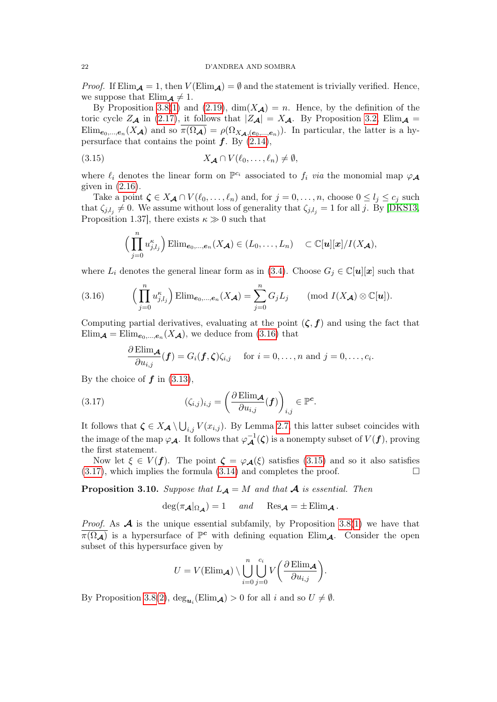*Proof.* If Elim $\mathcal{A} = 1$ , then  $V(\text{Elim}_{\mathcal{A}}) = \emptyset$  and the statement is trivially verified. Hence, we suppose that  $\text{Elim}_{\mathcal{A}} \neq 1$ .

By Proposition [3.8\(](#page-19-9)[1\)](#page-19-0) and [\(2.19\)](#page-11-4),  $\dim(X_{\mathcal{A}}) = n$ . Hence, by the definition of the toric cycle  $Z_{\mathcal{A}}$  in [\(2.17\)](#page-11-1), it follows that  $|Z_{\mathcal{A}}| = X_{\mathcal{A}}$ . By Proposition [3.2,](#page-17-0) Elim<sub>A</sub> =  $\text{Elim}_{e_0,\dots,e_n}(X_{\mathcal{A}})$  and so  $\pi(\Omega_{\mathcal{A}})=\rho(\Omega_{X_{\mathcal{A}},(e_0,\dots,e_n)})$ . In particular, the latter is a hypersurface that contains the point  $f$ . By  $(2.14)$ ,

(3.15) 
$$
X_{\mathcal{A}} \cap V(\ell_0,\ldots,\ell_n) \neq \emptyset,
$$

where  $\ell_i$  denotes the linear form on  $\mathbb{P}^{c_i}$  associated to  $f_i$  via the monomial map  $\varphi_A$ given in  $(2.16)$ .

Take a point  $\zeta \in X_{\mathcal{A}} \cap V(\ell_0, \ldots, \ell_n)$  and, for  $j = 0, \ldots, n$ , choose  $0 \leq l_j \leq c_j$  such that  $\zeta_{j,l_j} \neq 0$ . We assume without loss of generality that  $\zeta_{j,l_j} = 1$  for all j. By [\[DKS13,](#page-33-13) Proposition 1.37, there exists  $\kappa \gg 0$  such that

<span id="page-21-1"></span>
$$
\Big(\prod_{j=0}^n u_{j,l_j}^{\kappa}\Big)\operatorname{Elim}_{\mathbf{e}_0,\ldots,\mathbf{e}_n}(X_{\mathcal{A}})\in (L_0,\ldots,L_n)\quad \subset \mathbb{C}[\mathbf{u}][\mathbf{x}]/I(X_{\mathcal{A}}),
$$

where  $L_i$  denotes the general linear form as in [\(3.4\)](#page-17-4). Choose  $G_j \in \mathbb{C}[u][x]$  such that

<span id="page-21-0"></span>(3.16) 
$$
\left(\prod_{j=0}^{n} u_{j,l_j}^{\kappa}\right) \text{Elim}_{e_0,\dots,e_n}(X_{\mathcal{A}}) = \sum_{j=0}^{n} G_j L_j \qquad \text{(mod } I(X_{\mathcal{A}}) \otimes \mathbb{C}[u]).
$$

Computing partial derivatives, evaluating at the point  $(\zeta, f)$  and using the fact that  $Elim_{\mathcal{A}} = Elim_{e_0,\dots,e_n}(X_{\mathcal{A}}),$  we deduce from [\(3.16\)](#page-21-0) that

<span id="page-21-2"></span>
$$
\frac{\partial \operatorname{Elim}_{\mathcal{A}}}{\partial u_{i,j}}(\boldsymbol{f})=G_i(\boldsymbol{f},\boldsymbol{\zeta})\zeta_{i,j} \quad \text{ for } i=0,\ldots,n \text{ and } j=0,\ldots,c_i.
$$

By the choice of  $f$  in [\(3.13\)](#page-20-2),

(3.17) 
$$
(\zeta_{i,j})_{i,j} = \left(\frac{\partial \operatorname{Elim}_{\mathcal{A}}}{\partial u_{i,j}}(f)\right)_{i,j} \in \mathbb{P}^c.
$$

It follows that  $\zeta \in X_{\mathcal{A}} \setminus \bigcup_{i,j} V(x_{i,j})$ . By Lemma [2.7,](#page-12-2) this latter subset coincides with the image of the map  $\varphi_{\mathcal{A}}$ . It follows that  $\varphi_{\mathcal{A}}^{-1}(\zeta)$  is a nonempty subset of  $V(f)$ , proving the first statement.

Now let  $\xi \in V(f)$ . The point  $\zeta = \varphi_{\mathcal{A}}(\xi)$  satisfies [\(3.15\)](#page-21-1) and so it also satisfies  $(3.17)$ , which implies the formula  $(3.14)$  and completes the proof.

<span id="page-21-3"></span>**Proposition 3.10.** Suppose that  $L_A = M$  and that A is essential. Then

$$
\deg(\pi_{\mathcal{A}}|_{\Omega_{\mathcal{A}}})=1 \quad \text{and} \quad \text{Res}_{\mathcal{A}}=\pm \text{Elim}_{\mathcal{A}}.
$$

*Proof.* As  $\mathcal A$  is the unique essential subfamily, by Proposition [3.8\(](#page-19-9)[1\)](#page-19-0) we have that  $\overline{\pi(\Omega_{\mathcal{A}})}$  is a hypersurface of  $\mathbb{P}^c$  with defining equation Elim<sub>A</sub>. Consider the open subset of this hypersurface given by

$$
U = V(\mathrm{Elim}_{\mathcal{A}}) \setminus \bigcup_{i=0}^{n} \bigcup_{j=0}^{c_i} V\bigg(\frac{\partial \mathrm{Elim}_{\mathcal{A}}}{\partial u_{i,j}}\bigg).
$$

By Proposition [3.8\(](#page-19-9)[2\)](#page-19-6),  $deg_{u_i}(\text{Elim}_{\mathcal{A}}) > 0$  for all i and so  $U \neq \emptyset$ .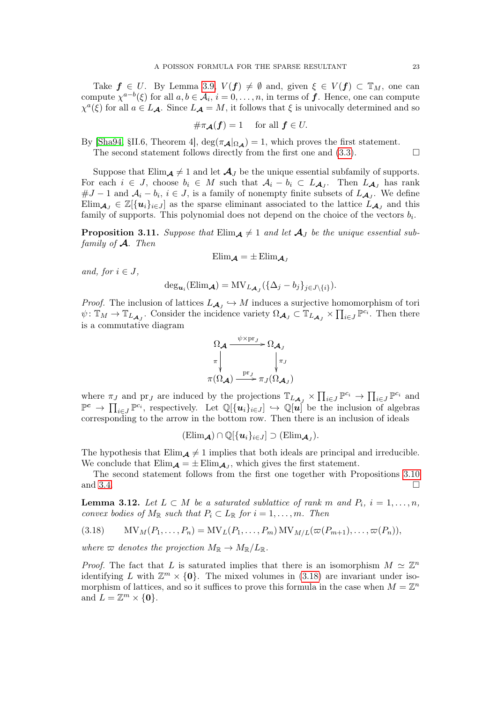Take  $f \in U$ . By Lemma [3.9,](#page-20-1)  $V(f) \neq \emptyset$  and, given  $\xi \in V(f) \subset \mathbb{T}_M$ , one can compute  $\chi^{a-b}(\xi)$  for all  $a, b \in \mathcal{A}_i$ ,  $i = 0, \ldots, n$ , in terms of  $f$ . Hence, one can compute  $\chi^a(\xi)$  for all  $a \in L_A$ . Since  $L_A = M$ , it follows that  $\xi$  is univocally determined and so

$$
\#\pi_{\mathcal{A}}(f) = 1 \quad \text{ for all } f \in U.
$$

By [\[Sha94,](#page-33-26) §II.6, Theorem 4],  $\deg(\pi_{\mathcal{A}}|_{\Omega_{\mathcal{A}}}) = 1$ , which proves the first statement.

The second statement follows directly from the first one and  $(3.3)$ .

Suppose that  $\text{Elim}_{\mathcal{A}} \neq 1$  and let  $\mathcal{A}_J$  be the unique essential subfamily of supports. For each  $i \in J$ , choose  $b_i \in M$  such that  $\mathcal{A}_i - b_i \subset L_{\mathcal{A}_J}$ . Then  $L_{\mathcal{A}_J}$  has rank  $\#J-1$  and  $\mathcal{A}_i-b_i$ ,  $i \in J$ , is a family of nonempty finite subsets of  $L_{\mathcal{A}_J}$ . We define  $\text{Elim}_{\mathcal{A}_J} \in \mathbb{Z}[\{u_i\}_{i \in J}]$  as the sparse eliminant associated to the lattice  $\tilde{L}_{\mathcal{A}_J}$  and this family of supports. This polynomial does not depend on the choice of the vectors  $b_i$ .

<span id="page-22-1"></span>**Proposition 3.11.** Suppose that  $\text{Elim}_{\mathcal{A}} \neq 1$  and let  $\mathcal{A}_J$  be the unique essential subfamily of  $\mathcal{A}$ . Then

$$
\mathrm{Elim}_{\mathcal{A}}=\pm\,\mathrm{Elim}_{\mathcal{A}_{\mathit{J}}}
$$

and, for  $i \in J$ ,

$$
\deg_{\boldsymbol{u}_i}(\text{Elim}_{\boldsymbol{\mathcal{A}}}) = MV_{L_{\boldsymbol{\mathcal{A}}_J}}(\{\Delta_j-b_j\}_{j\in J\setminus\{i\}}).
$$

*Proof.* The inclusion of lattices  $L_{\mathcal{A}_J} \hookrightarrow M$  induces a surjective homomorphism of tori  $\psi: \mathbb{T}_M \to \mathbb{T}_{L_{\mathcal{A}_J}}$ . Consider the incidence variety  $\Omega_{\mathcal{A}_J} \subset \mathbb{T}_{L_{\mathcal{A}_J}} \times \prod_{i \in J} \mathbb{P}^{c_i}$ . Then there is a commutative diagram



where  $\pi_J$  and  $\operatorname{pr}_J$  are induced by the projections  $\mathbb{T}_{L_{\mathcal{A}_J}} \times \prod_{i \in J} \mathbb{P}^{c_i} \to \prod_{i \in J} \mathbb{P}^{c_i}$  and  $\mathbb{P}^c \to \prod_{i \in J} \mathbb{P}^{c_i}$ , respectively. Let  $\mathbb{Q}[\{u_i\}_{i \in J}] \hookrightarrow \mathbb{Q}[u]$  be the inclusion of algebras corresponding to the arrow in the bottom row. Then there is an inclusion of ideals

$$
(\mathrm{Elim}_{\mathcal{A}})\cap\mathbb{Q}[\{\boldsymbol{u}_i\}_{i\in J}]\supset(\mathrm{Elim}_{\mathcal{A}_J}).
$$

The hypothesis that  $\text{Elim}_{\mathcal{A}} \neq 1$  implies that both ideals are principal and irreducible. We conclude that  $\text{Elim}_{\mathcal{A}} = \pm \text{Elim}_{\mathcal{A}_J}$ , which gives the first statement.

The second statement follows from the first one together with Propositions [3.10](#page-21-3) and [3.4.](#page-18-0)

<span id="page-22-2"></span>**Lemma 3.12.** Let  $L \subset M$  be a saturated sublattice of rank m and  $P_i$ ,  $i = 1, \ldots, n$ , convex bodies of  $M_{\mathbb{R}}$  such that  $P_i \subset L_{\mathbb{R}}$  for  $i = 1, \ldots, m$ . Then

<span id="page-22-0"></span>
$$
(3.18) \t MVM(P1,...,Pn) = MVL(P1,...,Pm) MVM/L(\varpi(Pm+1),..., \varpi(Pn)),
$$

where  $\varpi$  denotes the projection  $M_{\mathbb{R}} \to M_{\mathbb{R}}/L_{\mathbb{R}}$ .

*Proof.* The fact that L is saturated implies that there is an isomorphism  $M \simeq \mathbb{Z}^n$ identifying L with  $\mathbb{Z}^m \times \{0\}$ . The mixed volumes in [\(3.18\)](#page-22-0) are invariant under isomorphism of lattices, and so it suffices to prove this formula in the case when  $M = \mathbb{Z}^n$ and  $L = \mathbb{Z}^m \times \{0\}.$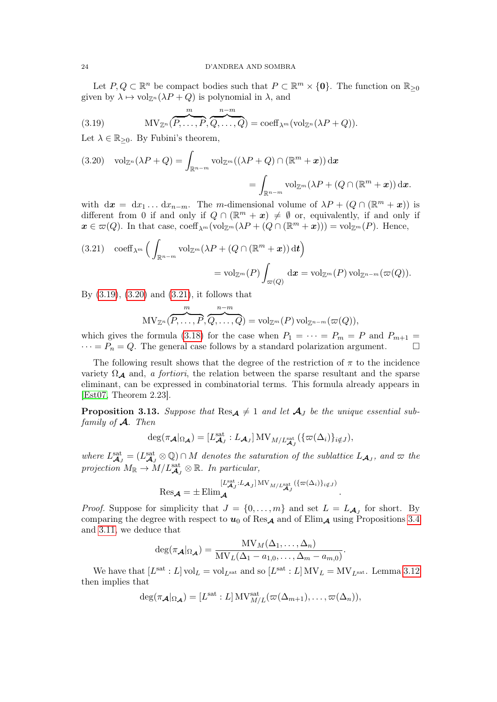Let  $P, Q \subset \mathbb{R}^n$  be compact bodies such that  $P \subset \mathbb{R}^m \times \{0\}$ . The function on  $\mathbb{R}_{\geq 0}$ given by  $\lambda \mapsto \text{vol}_{\mathbb{Z}^n}(\lambda P + Q)$  is polynomial in  $\lambda$ , and

<span id="page-23-1"></span>(3.19) 
$$
MV_{\mathbb{Z}^n}(\overbrace{P,\ldots,P}^m,\overbrace{Q,\ldots,Q}^{n-m}) = \mathrm{coeff}_{\lambda^m}(\mathrm{vol}_{\mathbb{Z}^n}(\lambda P + Q)).
$$

Let  $\lambda \in \mathbb{R}_{\geq 0}$ . By Fubini's theorem,

<span id="page-23-2"></span>(3.20) 
$$
\text{vol}_{\mathbb{Z}^n}(\lambda P + Q) = \int_{\mathbb{R}^{n-m}} \text{vol}_{\mathbb{Z}^m}((\lambda P + Q) \cap (\mathbb{R}^m + x)) \, \mathrm{d}x
$$

$$
= \int_{\mathbb{R}^{n-m}} \text{vol}_{\mathbb{Z}^m}(\lambda P + (Q \cap (\mathbb{R}^m + x)) \, \mathrm{d}x.
$$

with  $d\mathbf{x} = dx_1 \dots dx_{n-m}$ . The m-dimensional volume of  $\lambda P + (Q \cap (\mathbb{R}^m + \mathbf{x}))$  is different from 0 if and only if  $Q \cap (\mathbb{R}^m + x) \neq \emptyset$  or, equivalently, if and only if  $\mathbf{x} \in \varpi(Q)$ . In that case, coeff<sub> $\lambda^m(\text{vol}_{\mathbb{Z}^m}(\lambda P + (Q \cap (\mathbb{R}^m + \mathbf{x}))) = \text{vol}_{\mathbb{Z}^m}(P)$ . Hence,</sub>

<span id="page-23-3"></span>(3.21) 
$$
\operatorname{coeff}_{\lambda^m}\Big(\int_{\mathbb{R}^{n-m}} \operatorname{vol}_{\mathbb{Z}^m}(\lambda P + (Q \cap (\mathbb{R}^m + x)) dt\Big) = \operatorname{vol}_{\mathbb{Z}^m}(P) \int_{\varpi(Q)} dx = \operatorname{vol}_{\mathbb{Z}^m}(P) \operatorname{vol}_{\mathbb{Z}^{n-m}}(\varpi(Q)).
$$

By [\(3.19\)](#page-23-1), [\(3.20\)](#page-23-2) and [\(3.21\)](#page-23-3), it follows that

$$
\mathrm{MV}_{\mathbb{Z}^n}(\overbrace{P,\ldots,P}^{m},\overbrace{Q,\ldots,Q}^{n-m})=\mathrm{vol}_{\mathbb{Z}^m}(P)\,\mathrm{vol}_{\mathbb{Z}^{n-m}}(\varpi(Q)),
$$

which gives the formula [\(3.18\)](#page-22-0) for the case when  $P_1 = \cdots = P_m = P$  and  $P_{m+1} =$  $\cdots = P_n = Q$ . The general case follows by a standard polarization argument.

The following result shows that the degree of the restriction of  $\pi$  to the incidence variety  $\Omega_{\mathcal{A}}$  and, a fortiori, the relation between the sparse resultant and the sparse eliminant, can be expressed in combinatorial terms. This formula already appears in [\[Est07,](#page-33-27) Theorem 2.23].

<span id="page-23-0"></span>**Proposition 3.13.** Suppose that  $\text{Res}_{\mathcal{A}} \neq 1$  and let  $\mathcal{A}_J$  be the unique essential subfamily of  $\mathcal{A}$ . Then

$$
\deg(\pi_{\mathcal{A}}|_{\Omega_{\mathcal{A}}})=[L_{\mathcal{A}_J}^{\text{sat}}:L_{\mathcal{A}_J}]\,\text{MV}_{M/L_{\mathcal{A}_J}^{\text{sat}}}(\{\varpi(\Delta_i)\}_{i\notin J}),
$$

where  $L_{\mathcal{A}_J}^{\text{sat}} = (L_{\mathcal{A}_J}^{\text{sat}} \otimes \mathbb{Q}) \cap M$  denotes the saturation of the sublattice  $L_{\mathcal{A}_J}$ , and  $\varpi$  the projection  $M_{\mathbb{R}} \to M/L_{\mathcal{A}_J}^{\text{sat}} \otimes \mathbb{R}$ . In particular,

$$
\text{Res}_{\mathcal{A}} = \pm \text{Elim}_{\mathcal{A}}^{[L_{\mathcal{A}_J}^{\text{sat}}:L_{\mathcal{A}_J}]_{\text{MV}_{M/L_{\mathcal{A}_J}^{\text{sat}}}({{\pi(\Delta_i)}})_{i\notin J})}.
$$

*Proof.* Suppose for simplicity that  $J = \{0, \ldots, m\}$  and set  $L = L_{\mathcal{A}_J}$  for short. By comparing the degree with respect to  $u_0$  of Res<sub>A</sub> and of Elim<sub>A</sub> using Propositions [3.4](#page-18-0) and [3.11,](#page-22-1) we deduce that

$$
\deg(\pi_{\mathcal{A}}|_{\Omega_{\mathcal{A}}}) = \frac{MV_M(\Delta_1, \dots, \Delta_n)}{MV_L(\Delta_1 - a_{1,0}, \dots, \Delta_m - a_{m,0})}.
$$

We have that  $[L^{\text{sat}}:L] \text{ vol}_L = \text{vol}_{L^{\text{sat}}}$  and so  $[L^{\text{sat}}:L] \text{ MV}_L = \text{MV}_{L^{\text{sat}}}$ . Lemma [3.12](#page-22-2) then implies that

$$
\deg(\pi_{\mathcal{A}}|_{\Omega_{\mathcal{A}}})=[L^{\text{sat}}:L]\,\mathrm{MV}^{\text{sat}}_{M/L}(\varpi(\Delta_{m+1}),\ldots,\varpi(\Delta_n)),
$$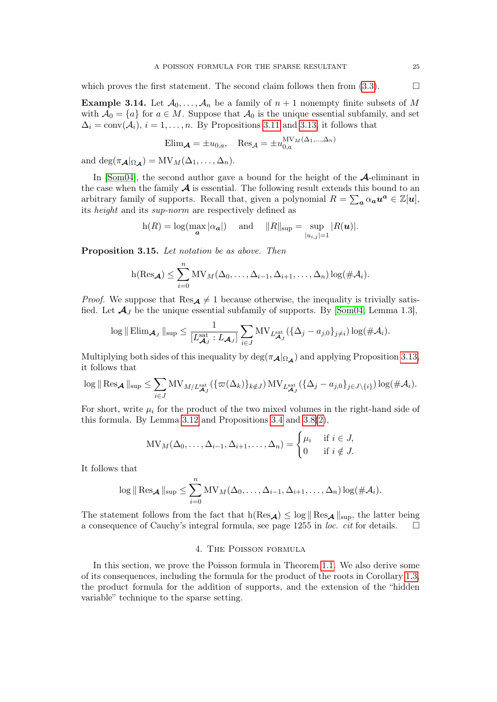which proves the first statement. The second claim follows then from  $(3.3)$ .

<span id="page-24-0"></span>**Example 3.14.** Let  $\mathcal{A}_0, \ldots, \mathcal{A}_n$  be a family of  $n + 1$  nonempty finite subsets of M with  $A_0 = \{a\}$  for  $a \in M$ . Suppose that  $A_0$  is the unique essential subfamily, and set  $\Delta_i = \text{conv}(\mathcal{A}_i), i = 1, \ldots, n$ . By Propositions [3.11](#page-22-1) and [3.13,](#page-23-0) it follows that

$$
\text{Elim}_{\mathcal{A}} = \pm u_{0,a}, \quad \text{Res}_{\mathcal{A}} = \pm u_{0,a}^{\text{MV}_M(\Delta_1, \dots, \Delta_n)}
$$

and deg( $\pi_{\mathcal{A}}|_{\Omega_{\mathcal{A}}}$ ) = MV<sub>M</sub>( $\Delta_1,\ldots,\Delta_n$ ).

In [\[Som04\]](#page-34-2), the second author gave a bound for the height of the  $\mathcal{A}$ -eliminant in the case when the family  $\mathcal A$  is essential. The following result extends this bound to an arbitrary family of supports. Recall that, given a polynomial  $R = \sum_a \alpha_a u^a \in \mathbb{Z}[u]$ , its height and its sup-norm are respectively defined as

$$
h(R) = \log(\max_{\mathbf{a}} |\alpha_{\mathbf{a}}|)
$$
 and  $||R||_{\sup} = \sup_{|u_{i,j}|=1} |R(\mathbf{u})|$ .

<span id="page-24-1"></span>Proposition 3.15. Let notation be as above. Then

$$
h(\text{Res}_{\mathcal{A}}) \leq \sum_{i=0}^{n} MV_{M}(\Delta_{0},\ldots,\Delta_{i-1},\Delta_{i+1},\ldots,\Delta_{n})\log(\#\mathcal{A}_{i}).
$$

*Proof.* We suppose that  $\text{Res}_{\mathcal{A}} \neq 1$  because otherwise, the inequality is trivially satisfied. Let  $\mathcal{A}_J$  be the unique essential subfamily of supports. By [\[Som04,](#page-34-2) Lemma 1.3],

$$
\log \|\operatorname{Elim}_{\mathcal{A}_J}\|_{\sup} \leq \frac{1}{[L_{\mathcal{A}_J}^{\mathrm{sat}}:L_{\mathcal{A}_J}]} \sum_{i\in J} \mathrm{MV}_{L_{\mathcal{A}_J}^{\mathrm{sat}}}(\{\Delta_j - a_{j,0}\}_{j\neq i}) \log(\#\mathcal{A}_i).
$$

Multiplying both sides of this inequality by  $\deg(\pi_{\mathcal{A}}|_{\Omega_{\mathcal{A}}})$  and applying Proposition [3.13,](#page-23-0) it follows that

$$
\log \|\operatorname{Res}_{\mathcal{A}}\|_{\sup} \leq \sum_{i\in J} \mathrm{MV}_{M/L_{\mathcal{A}_J}^{\mathrm{sat}}}(\{\varpi(\Delta_k)\}_{k\notin J}) \mathrm{MV}_{L_{\mathcal{A}_J}^{\mathrm{sat}}}(\{\Delta_j - a_{j,0}\}_{j\in J\setminus\{i\}}) \log(\#\mathcal{A}_i).
$$

For short, write  $\mu_i$  for the product of the two mixed volumes in the right-hand side of this formula. By Lemma [3.12](#page-22-2) and Propositions [3.4](#page-18-0) and [3.8\(](#page-19-9)[2\)](#page-19-6),

$$
MV_M(\Delta_0, \dots, \Delta_{i-1}, \Delta_{i+1}, \dots, \Delta_n) = \begin{cases} \mu_i & \text{if } i \in J, \\ 0 & \text{if } i \notin J. \end{cases}
$$

It follows that

$$
\log \|\operatorname{Res}_{\mathcal{A}}\|_{\sup} \leq \sum_{i=0}^n \mathrm{MV}_M(\Delta_0,\ldots,\Delta_{i-1},\Delta_{i+1},\ldots,\Delta_n) \log(\#\mathcal{A}_i).
$$

The statement follows from the fact that  $h(Res_{\mathbf{A}}) \leq log \|Res_{\mathbf{A}}\|_{sup}$ , the latter being a consequence of Cauchy's integral formula, see page 1255 in *loc. cit* for details.  $\square$ 

### 4. The Poisson formula

<span id="page-24-2"></span>In this section, we prove the Poisson formula in Theorem [1.1.](#page-2-0) We also derive some of its consequences, including the formula for the product of the roots in Corollary [1.3,](#page-3-0) the product formula for the addition of supports, and the extension of the "hidden variable" technique to the sparse setting.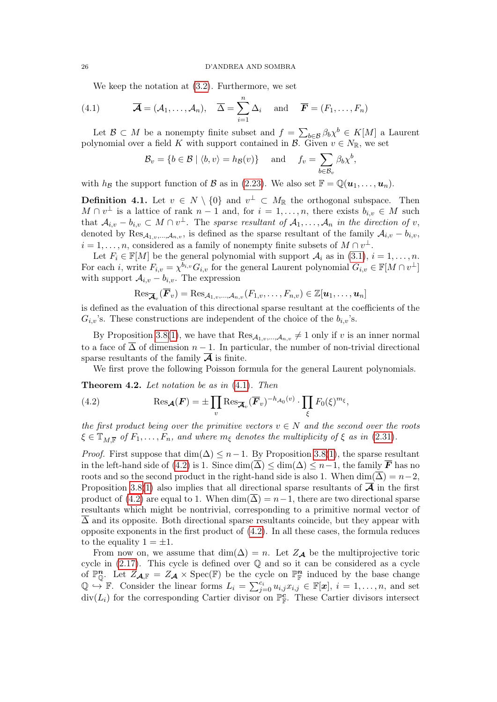<span id="page-25-2"></span>We keep the notation at [\(3.2\)](#page-16-2). Furthermore, we set

(4.1) 
$$
\overline{\mathcal{A}} = (\mathcal{A}_1, ..., \mathcal{A}_n), \quad \overline{\Delta} = \sum_{i=1}^n \Delta_i \quad \text{and} \quad \overline{\mathbf{F}} = (F_1, ..., F_n)
$$

Let  $\mathcal{B} \subset M$  be a nonempty finite subset and  $f = \sum_{b \in \mathcal{B}} \beta_b \chi^b \in K[M]$  a Laurent polynomial over a field K with support contained in  $\mathcal{B}$ . Given  $v \in N_{\mathbb{R}}$ , we set

$$
\mathcal{B}_v = \{b \in \mathcal{B} \mid \langle b, v \rangle = h_{\mathcal{B}}(v)\} \quad \text{and} \quad f_v = \sum_{b \in \mathcal{B}_v} \beta_b \chi^b,
$$

with  $h_{\mathcal{B}}$  the support function of  $\mathcal{B}$  as in [\(2.23\)](#page-13-6). We also set  $\mathbb{F} = \mathbb{Q}(\boldsymbol{u}_1, \ldots, \boldsymbol{u}_n)$ .

<span id="page-25-0"></span>**Definition 4.1.** Let  $v \in N \setminus \{0\}$  and  $v^{\perp} \subset M_{\mathbb{R}}$  the orthogonal subspace. Then  $M \cap v^{\perp}$  is a lattice of rank  $n-1$  and, for  $i=1,\ldots,n$ , there exists  $b_{i,v} \in M$  such that  $A_{i,v} - b_{i,v} \subset M \cap v^{\perp}$ . The sparse resultant of  $A_1, \ldots, A_n$  in the direction of v, denoted by  $\text{Res}_{\mathcal{A}_{1,v},..., \mathcal{A}_{n,v}}$ , is defined as the sparse resultant of the family  $\mathcal{A}_{i,v} - b_{i,v}$ ,  $i = 1, \ldots, n$ , considered as a family of nonempty finite subsets of  $M \cap v^{\perp}$ .

Let  $F_i \in \mathbb{F}[M]$  be the general polynomial with support  $\mathcal{A}_i$  as in  $(3.1), i = 1, \ldots, n$  $(3.1), i = 1, \ldots, n$ . For each *i*, write  $F_{i,v} = \chi^{b_{i,v}} G_{i,v}$  for the general Laurent polynomial  $G_{i,v} \in \mathbb{F}[M \cap v^{\perp}]$ with support  $A_{i,v} - b_{i,v}$ . The expression

$$
\mathrm{Res}_{\overline{\mathcal{A}}_{v}}(\overline{\bm{F}}_{v}) = \mathrm{Res}_{\mathcal{A}_{1,v}, ..., \mathcal{A}_{n,v}}(F_{1,v}, \ldots, F_{n,v}) \in \mathbb{Z}[\bm{u}_{1}, \ldots, \bm{u}_{n}]
$$

is defined as the evaluation of this directional sparse resultant at the coefficients of the  $G_{i,v}$ 's. These constructions are independent of the choice of the  $b_{i,v}$ 's.

By Proposition [3.8\(](#page-19-9)[1\)](#page-19-0), we have that  $\text{Res}_{\mathcal{A}_{1,v},..., \mathcal{A}_{n,v}} \neq 1$  only if v is an inner normal to a face of  $\overline{\Delta}$  of dimension  $n-1$ . In particular, the number of non-trivial directional sparse resultants of the family  $\overline{A}$  is finite.

<span id="page-25-3"></span>We first prove the following Poisson formula for the general Laurent polynomials.

<span id="page-25-1"></span>Theorem 4.2. Let notation be as in  $(4.1)$ . Then

(4.2) 
$$
\operatorname{Res}_{\mathcal{A}}(\mathbf{F}) = \pm \prod_{v} \operatorname{Res}_{\overline{\mathcal{A}}_{v}} (\overline{\mathbf{F}}_{v})^{-h_{\mathcal{A}_{0}}(v)} \cdot \prod_{\xi} F_{0}(\xi)^{m_{\xi}},
$$

the first product being over the primitive vectors  $v \in N$  and the second over the roots  $\xi \in \mathbb{T}_{M,\overline{\mathbb{F}}}$  of  $F_1,\ldots,F_n$ , and where  $m_{\xi}$  denotes the multiplicity of  $\xi$  as in [\(2.31\)](#page-14-3).

*Proof.* First suppose that  $\dim(\Delta) \leq n-1$ . By Proposition [3.8\(](#page-19-9)[1\)](#page-19-0), the sparse resultant in the left-hand side of [\(4.2\)](#page-25-3) is 1. Since  $\dim(\overline{\Delta}) \leq \dim(\Delta) \leq n-1$ , the family  $\overline{F}$  has no roots and so the second product in the right-hand side is also 1. When  $\dim(\overline{\Delta}) = n-2$ , Proposition [3.8](#page-19-9)[\(1\)](#page-19-0) also implies that all directional sparse resultants of  $\overline{A}$  in the first product of [\(4.2\)](#page-25-3) are equal to 1. When  $\dim(\overline{\Delta}) = n-1$ , there are two directional sparse resultants which might be nontrivial, corresponding to a primitive normal vector of  $\Delta$  and its opposite. Both directional sparse resultants coincide, but they appear with opposite exponents in the first product of [\(4.2\)](#page-25-3). In all these cases, the formula reduces to the equality  $1 = \pm 1$ .

From now on, we assume that  $\dim(\Delta) = n$ . Let  $Z_{\mathcal{A}}$  be the multiprojective toric cycle in [\(2.17\)](#page-11-1). This cycle is defined over Q and so it can be considered as a cycle of  $\mathbb{P}^n_{\mathbb{O}}$ . Let  $Z_{\mathcal{A},\mathbb{F}} = Z_{\mathcal{A}} \times \operatorname{Spec}(\mathbb{F})$  be the cycle on  $\mathbb{P}^n_{\mathbb{F}}$  induced by the base change  $\mathbb{Q} \stackrel{\cong}{\to} \mathbb{F}$ . Consider the linear forms  $L_i = \sum_{j=0}^{c_i} u_{i,j} x_{i,j} \in \mathbb{F}[\mathbf{x}], i = 1, \ldots, n$ , and set  $\text{div}(L_i)$  for the corresponding Cartier divisor on  $\mathbb{P}^{\mathbf{c}}_{\mathbb{F}}$ . These Cartier divisors intersect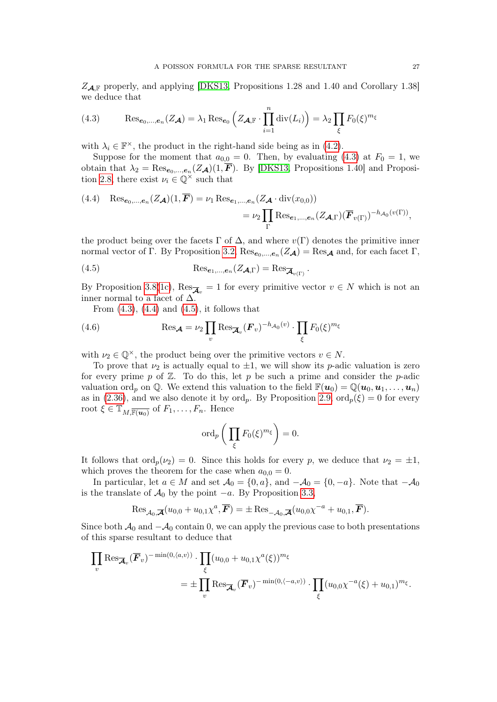$Z_{\mathcal{A},\mathbb{F}}$  properly, and applying [\[DKS13,](#page-33-13) Propositions 1.28 and 1.40 and Corollary 1.38] we deduce that

<span id="page-26-0"></span>(4.3) 
$$
\operatorname{Res}_{e_0,\dots,e_n}(Z_{\mathcal{A}}) = \lambda_1 \operatorname{Res}_{e_0} \left( Z_{\mathcal{A}, \mathbb{F}} \cdot \prod_{i=1}^n \operatorname{div}(L_i) \right) = \lambda_2 \prod_{\xi} F_0(\xi)^{m_{\xi}}
$$

with  $\lambda_i \in \mathbb{F}^{\times}$ , the product in the right-hand side being as in [\(4.2\)](#page-25-3).

Suppose for the moment that  $a_{0,0} = 0$ . Then, by evaluating [\(4.3\)](#page-26-0) at  $F_0 = 1$ , we obtain that  $\lambda_2 = \text{Res}_{e_0,\dots,e_n}(Z_{\mathcal{A}})(1, \mathbf{F})$ . By [\[DKS13,](#page-33-13) Propositions 1.40] and Proposi-tion [2.8,](#page-13-0) there exist  $\nu_i \in \mathbb{Q}^\times$  such that

<span id="page-26-1"></span>(4.4) 
$$
\operatorname{Res}_{e_0,\dots,e_n}(Z_{\mathcal{A}})(1,\overline{F}) = \nu_1 \operatorname{Res}_{e_1,\dots,e_n}(Z_{\mathcal{A}} \cdot \operatorname{div}(x_{0,0}))
$$
  

$$
= \nu_2 \prod_{\Gamma} \operatorname{Res}_{e_1,\dots,e_n}(Z_{\mathcal{A},\Gamma})(\overline{F}_{v(\Gamma)})^{-h_{\mathcal{A}_0}(v(\Gamma))},
$$

the product being over the facets  $\Gamma$  of  $\Delta$ , and where  $v(\Gamma)$  denotes the primitive inner normal vector of Γ. By Proposition [3.2,](#page-17-0)  $\text{Res}_{e_0,\dots,e_n}(Z_{\mathcal{A}}) = \text{Res}_{\mathcal{A}}$  and, for each facet Γ,

<span id="page-26-2"></span>(4.5) 
$$
\operatorname{Res}_{e_1,\ldots,e_n}(Z_{\mathcal{A},\Gamma}) = \operatorname{Res}_{\overline{\mathcal{A}}_{v(\Gamma)}}.
$$

By Proposition [3.8\(](#page-19-9)[1c\)](#page-19-3),  $\text{Res}_{\overline{\mathcal{A}}_v} = 1$  for every primitive vector  $v \in N$  which is not an inner normal to a facet of  $\Delta$ .

From  $(4.3)$ ,  $(4.4)$  and  $(4.5)$ , it follows that

(4.6) 
$$
\operatorname{Res}_{\mathcal{A}} = \nu_2 \prod_v \operatorname{Res}_{\overline{\mathcal{A}}_v} (\mathbf{F}_v)^{-h_{\mathcal{A}_0}(v)} \cdot \prod_{\xi} F_0(\xi)^{m_{\xi}}
$$

with  $\nu_2 \in \mathbb{Q}^{\times}$ , the product being over the primitive vectors  $v \in N$ .

To prove that  $\nu_2$  is actually equal to  $\pm 1$ , we will show its p-adic valuation is zero for every prime p of  $\mathbb{Z}$ . To do this, let p be such a prime and consider the p-adic valuation ord<sub>p</sub> on Q. We extend this valuation to the field  $\mathbb{F}(\boldsymbol{u}_0) = \mathbb{Q}(\boldsymbol{u}_0, \boldsymbol{u}_1, \dots, \boldsymbol{u}_n)$ as in [\(2.36\)](#page-15-1), and we also denote it by ord<sub>p</sub>. By Proposition [2.9,](#page-15-2)  $\text{ord}_p(\xi) = 0$  for every root  $\xi \in \mathbb{T}_{M,\overline{\mathbb{F}(u_0)}}$  of  $F_1,\ldots,F_n$ . Hence

$$
\operatorname{ord}_p\bigg(\prod_{\xi}F_0(\xi)^{m_{\xi}}\bigg)=0.
$$

It follows that  $\text{ord}_p(\nu_2) = 0$ . Since this holds for every p, we deduce that  $\nu_2 = \pm 1$ , which proves the theorem for the case when  $a_{0,0} = 0$ .

In particular, let  $a \in M$  and set  $\mathcal{A}_0 = \{0, a\}$ , and  $-\mathcal{A}_0 = \{0, -a\}$ . Note that  $-\mathcal{A}_0$ is the translate of  $\mathcal{A}_0$  by the point  $-a$ . By Proposition [3.3,](#page-18-4)

$$
\operatorname{Res}_{\mathcal{A}_0,\overline{\mathcal{A}}}(u_{0,0}+u_{0,1}\chi^a,\overline{\mathbf{F}})=\pm \operatorname{Res}_{-\mathcal{A}_0,\overline{\mathcal{A}}}(u_{0,0}\chi^{-a}+u_{0,1},\overline{\mathbf{F}}).
$$

Since both  $\mathcal{A}_0$  and  $-\mathcal{A}_0$  contain 0, we can apply the previous case to both presentations of this sparse resultant to deduce that

$$
\prod_{v} \text{Res}_{\overline{\mathcal{A}}_{v}}(\overline{F}_{v})^{-\min(0,\langle a,v\rangle)} \cdot \prod_{\xi} (u_{0,0} + u_{0,1}\chi^{a}(\xi))^{m_{\xi}}
$$
\n
$$
= \pm \prod_{v} \text{Res}_{\overline{\mathcal{A}}_{v}}(\overline{F}_{v})^{-\min(0,\langle -a,v\rangle)} \cdot \prod_{\xi} (u_{0,0}\chi^{-a}(\xi) + u_{0,1})^{m_{\xi}}.
$$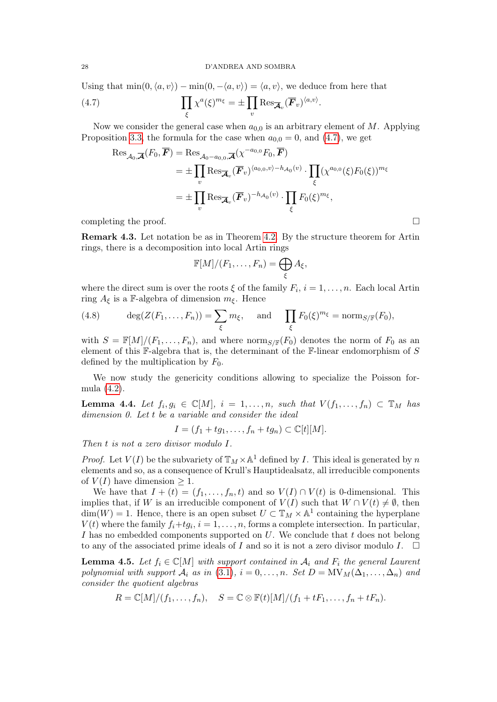Using that  $\min(0, \langle a, v \rangle) - \min(0, -\langle a, v \rangle) = \langle a, v \rangle$ , we deduce from here that a  $\Pi$  $\langle a,v\rangle$ 

(4.7) 
$$
\prod_{\xi} \chi^a(\xi)^{m_{\xi}} = \pm \prod_{v} \text{Res}_{\overline{\mathcal{A}}_v} (\overline{\mathbf{F}}_v)^{\langle a, v \rangle}.
$$

Now we consider the general case when  $a_{0,0}$  is an arbitrary element of M. Applying Proposition [3.3,](#page-18-4) the formula for the case when  $a_{0,0} = 0$ , and [\(4.7\)](#page-27-0), we get

<span id="page-27-0"></span>
$$
\operatorname{Res}_{\mathcal{A}_0,\overline{\mathcal{A}}}(F_0,\overline{F}) = \operatorname{Res}_{\mathcal{A}_0 - a_{0,0},\overline{\mathcal{A}}}(\chi^{-a_{0,0}}F_0,\overline{F})
$$
  
\n
$$
= \pm \prod_v \operatorname{Res}_{\overline{\mathcal{A}}_v}(\overline{F}_v)^{\langle a_{0,0},v\rangle - h_{\mathcal{A}_0}(v)} \cdot \prod_{\xi} (\chi^{a_{0,0}}(\xi)F_0(\xi))^{m_{\xi}}
$$
  
\n
$$
= \pm \prod_v \operatorname{Res}_{\overline{\mathcal{A}}_v}(\overline{F}_v)^{-h_{\mathcal{A}_0}(v)} \cdot \prod_{\xi} F_0(\xi)^{m_{\xi}},
$$

completing the proof.  $\Box$ 

<span id="page-27-4"></span>Remark 4.3. Let notation be as in Theorem [4.2.](#page-25-1) By the structure theorem for Artin rings, there is a decomposition into local Artin rings

$$
\mathbb{F}[M]/(F_1,\ldots,F_n)=\bigoplus_{\xi}A_{\xi},
$$

where the direct sum is over the roots  $\xi$  of the family  $F_i$ ,  $i = 1, \ldots, n$ . Each local Artin ring  $A_{\xi}$  is a F-algebra of dimension  $m_{\xi}$ . Hence

<span id="page-27-1"></span>(4.8) 
$$
\deg(Z(F_1,\ldots,F_n))=\sum_{\xi}m_{\xi}, \text{ and } \prod_{\xi}F_0(\xi)^{m_{\xi}}=\text{norm}_{S/\mathbb{F}}(F_0),
$$

with  $S = \mathbb{F}[M]/(F_1, \ldots, F_n)$ , and where norm  $S/\mathbb{F}(F_0)$  denotes the norm of  $F_0$  as an element of this  $\mathbb{F}\text{-algebra that is, the determinant of the } \mathbb{F}\text{-linear endomorphism of } S$ defined by the multiplication by  $F_0$ .

We now study the genericity conditions allowing to specialize the Poisson formula [\(4.2\)](#page-25-3).

<span id="page-27-2"></span>**Lemma 4.4.** Let  $f_i, g_i \in \mathbb{C}[M], i = 1, \ldots, n$ , such that  $V(f_1, \ldots, f_n) \subset \mathbb{T}_M$  has dimension 0. Let t be a variable and consider the ideal

$$
I = (f_1 + tg_1, \dots, f_n + tg_n) \subset \mathbb{C}[t][M].
$$

Then t is not a zero divisor modulo I.

*Proof.* Let  $V(I)$  be the subvariety of  $\mathbb{T}_M \times \mathbb{A}^1$  defined by I. This ideal is generated by n elements and so, as a consequence of Krull's Hauptidealsatz, all irreducible components of  $V(I)$  have dimension  $\geq 1$ .

We have that  $I + (t) = (f_1, \ldots, f_n, t)$  and so  $V(I) \cap V(t)$  is 0-dimensional. This implies that, if W is an irreducible component of  $V(I)$  such that  $W \cap V(t) \neq \emptyset$ , then  $\dim(W) = 1$ . Hence, there is an open subset  $U \subset \mathbb{T}_M \times \mathbb{A}^1$  containing the hyperplane  $V(t)$  where the family  $f_i+tg_i$ ,  $i=1,\ldots,n$ , forms a complete intersection. In particular, I has no embedded components supported on  $U$ . We conclude that t does not belong to any of the associated prime ideals of I and so it is not a zero divisor modulo I.  $\Box$ 

<span id="page-27-3"></span>**Lemma 4.5.** Let  $f_i \in \mathbb{C}[M]$  with support contained in  $A_i$  and  $F_i$  the general Laurent polynomial with support  $\mathcal{A}_i$  as in [\(3.1\)](#page-16-1),  $i = 0, \ldots, n$ . Set  $D = MV_M(\Delta_1, \ldots, \Delta_n)$  and consider the quotient algebras

$$
R=\mathbb{C}[M]/(f_1,\ldots,f_n), \quad S=\mathbb{C}\otimes \mathbb{F}(t)[M]/(f_1+tF_1,\ldots,f_n+tF_n).
$$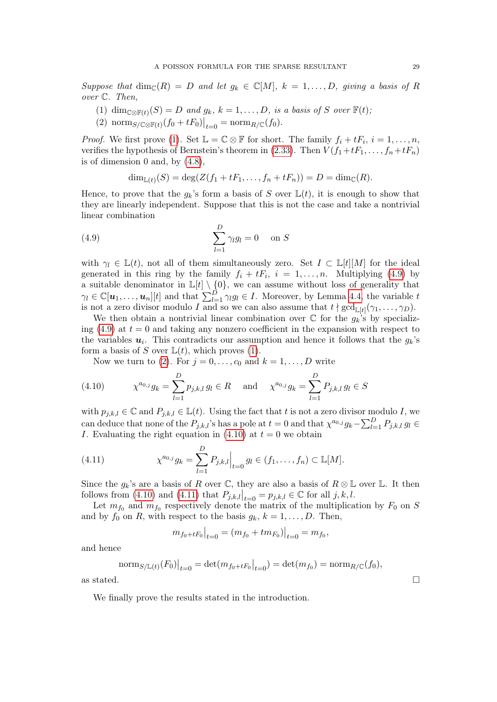Suppose that  $\dim_{\mathbb{C}}(R) = D$  and let  $g_k \in \mathbb{C}[M], k = 1, \ldots, D$ , giving a basis of R over C. Then,

- <span id="page-28-0"></span>(1) dim<sub>C⊗F(t)</sub>(S) = D and  $g_k$ ,  $k = 1, ..., D$ , is a basis of S over F(t),
- <span id="page-28-2"></span>(2) norm<sub>S/ $\mathbb{C} \otimes \mathbb{F}(t) (f_0 + tF_0) \big|_{t=0} = \text{norm}_{R/\mathbb{C}}(f_0)$ .</sub>

*Proof.* We first prove [\(1\)](#page-28-0). Set  $\mathbb{L} = \mathbb{C} \otimes \mathbb{F}$  for short. The family  $f_i + tF_i$ ,  $i = 1, ..., n$ , verifies the hypothesis of Bernstein's theorem in [\(2.33\)](#page-14-1). Then  $V(f_1+tF_1,\ldots,f_n+tF_n)$ is of dimension 0 and, by  $(4.8)$ ,

<span id="page-28-1"></span>
$$
\dim_{\mathbb{L}(t)}(S) = \deg(Z(f_1 + tF_1, \ldots, f_n + tF_n)) = D = \dim_{\mathbb{C}}(R).
$$

Hence, to prove that the  $g_k$ 's form a basis of S over  $\mathbb{L}(t)$ , it is enough to show that they are linearly independent. Suppose that this is not the case and take a nontrivial linear combination

(4.9) 
$$
\sum_{l=1}^{D} \gamma_l g_l = 0 \quad \text{on } S
$$

with  $\gamma_l \in \mathbb{L}(t)$ , not all of them simultaneously zero. Set  $I \subset \mathbb{L}[t][M]$  for the ideal generated in this ring by the family  $f_i + tF_i$ ,  $i = 1, ..., n$ . Multiplying [\(4.9\)](#page-28-1) by a suitable denominator in  $\mathbb{L}[t] \setminus \{0\}$ , we can assume without loss of generality that  $\gamma_l \in \mathbb{C}[\boldsymbol{u}_1,\ldots,\boldsymbol{u}_n][t]$  and that  $\sum_{l=1}^D \gamma_l g_l \in I$ . Moreover, by Lemma [4.4,](#page-27-2) the variable t is not a zero divisor modulo I and so we can also assume that  $t \nmid \gcd_{\mathbb{L}[t]}(\gamma_1, \ldots, \gamma_D)$ .

We then obtain a nontrivial linear combination over  $\mathbb C$  for the  $g_k$ 's by specializing  $(4.9)$  at  $t = 0$  and taking any nonzero coefficient in the expansion with respect to the variables  $u_i$ . This contradicts our assumption and hence it follows that the  $g_k$ 's form a basis of S over  $\mathbb{L}(t)$ , which proves [\(1\)](#page-28-0).

<span id="page-28-3"></span>Now we turn to [\(2\)](#page-28-2). For  $j = 0, \ldots, c_0$  and  $k = 1, \ldots, D$  write

(4.10) 
$$
\chi^{a_{0,j}} g_k = \sum_{l=1}^D p_{j,k,l} g_l \in R \text{ and } \chi^{a_{0,j}} g_k = \sum_{l=1}^D P_{j,k,l} g_l \in S
$$

with  $p_{j,k,l} \in \mathbb{C}$  and  $P_{j,k,l} \in \mathbb{L}(t)$ . Using the fact that t is not a zero divisor modulo I, we can deduce that none of the  $P_{j,k,l}$ 's has a pole at  $t = 0$  and that  $\chi^{a_{0,j}} g_k - \sum_{l=1}^D P_{j,k,l} g_l \in$ I. Evaluating the right equation in  $(4.10)$  at  $t = 0$  we obtain

<span id="page-28-4"></span>(4.11) 
$$
\chi^{a_{0,j}} g_k = \sum_{l=1}^D P_{j,k,l} \Big|_{t=0} g_l \in (f_1, \dots, f_n) \subset \mathbb{L}[M].
$$

Since the  $g_k$ 's are a basis of R over  $\mathbb C$ , they are also a basis of  $R \otimes \mathbb L$  over  $\mathbb L$ . It then follows from [\(4.10\)](#page-28-3) and [\(4.11\)](#page-28-4) that  $P_{j,k,l}|_{t=0} = p_{j,k,l} \in \mathbb{C}$  for all j, k, l.

Let  $m_{f_0}$  and  $m_{f_0}$  respectively denote the matrix of the multiplication by  $F_0$  on S and by  $f_0$  on  $R$ , with respect to the basis  $g_k$ ,  $k = 1, \ldots, D$ . Then,

$$
m_{f_0 + tF_0}\big|_{t=0} = (m_{f_0} + t m_{F_0})\big|_{t=0} = m_{f_0},
$$

and hence

norm<sub>S/L(t)</sub>(F<sub>0</sub>)
$$
_{t=0}
$$
 = det $(m_{f_0 + tF_0}|_{t=0})$  = det $(m_{f_0})$  = norm<sub>R/C</sub>(f<sub>0</sub>),  
as stated.

We finally prove the results stated in the introduction.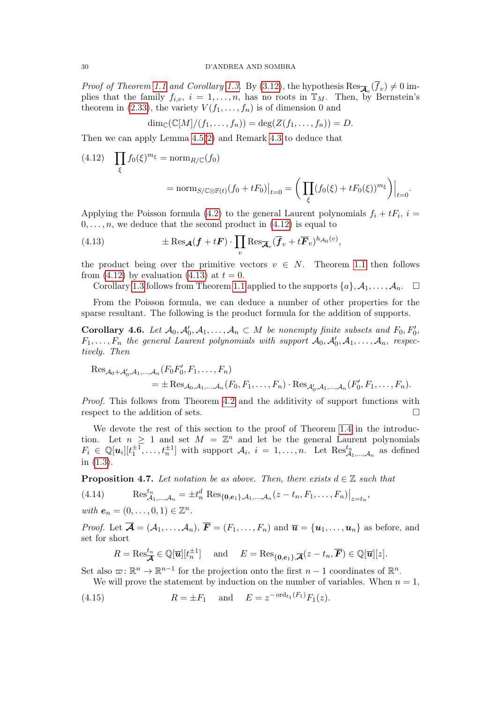#### 30 D'ANDREA AND SOMBRA

*Proof of Theorem [1.1](#page-2-0) and Corollary [1.3.](#page-3-0)* By [\(3.12\)](#page-20-4), the hypothesis  $\text{Res}_{\overline{\mathcal{A}}_v}(f_v) \neq 0$  implies that the family  $f_{i,v}$ ,  $i = 1, \ldots, n$ , has no roots in  $\mathbb{T}_M$ . Then, by Bernstein's theorem in [\(2.33\)](#page-14-1), the variety  $V(f_1, \ldots, f_n)$  is of dimension 0 and

 $\dim_{\mathbb{C}}(\mathbb{C}[M]/(f_1,\ldots,f_n)) = \deg(Z(f_1,\ldots,f_n)) = D.$ 

Then we can apply Lemma [4.5](#page-27-3)[\(2\)](#page-28-2) and Remark [4.3](#page-27-4) to deduce that

<span id="page-29-1"></span>
$$
(4.12) \quad \prod_{\xi} f_0(\xi)^{m_{\xi}} = \operatorname{norm}_{R/\mathbb{C}}(f_0)
$$
\n
$$
= \operatorname{norm}_{S/\mathbb{C}\otimes\mathbb{F}(t)}(f_0 + tF_0)|_{t=0} = \left(\prod_{\xi} (f_0(\xi) + tF_0(\xi))^{m_{\xi}}\right)|_{t=0}.
$$

Applying the Poisson formula [\(4.2\)](#page-25-3) to the general Laurent polynomials  $f_i + tF_i$ ,  $i =$  $0, \ldots, n$ , we deduce that the second product in  $(4.12)$  is equal to

<span id="page-29-2"></span>(4.13) 
$$
\pm \operatorname{Res}_{\mathcal{A}}(\mathbf{f} + t\mathbf{F}) \cdot \prod_{v} \operatorname{Res}_{\overline{\mathcal{A}}_{v}} (\overline{\mathbf{f}}_{v} + t\overline{\mathbf{F}}_{v})^{h_{\mathcal{A}_{0}}(v)},
$$

the product being over the primitive vectors  $v \in N$ . Theorem [1.1](#page-2-0) then follows from [\(4.12\)](#page-29-1) by evaluation [\(4.13\)](#page-29-2) at  $t = 0$ .

Corollary [1.3](#page-3-0) follows from Theorem [1.1](#page-2-0) applied to the supports  $\{a\}, \mathcal{A}_1, \ldots, \mathcal{A}_n$ .  $\Box$ 

From the Poisson formula, we can deduce a number of other properties for the sparse resultant. The following is the product formula for the addition of supports.

<span id="page-29-0"></span>**Corollary 4.6.** Let  $\mathcal{A}_0, \mathcal{A}'_0, \mathcal{A}_1, \ldots, \mathcal{A}_n \subset M$  be nonempty finite subsets and  $F_0, F'_0$ ,  $F_1, \ldots, F_n$  the general Laurent polynomials with support  $\mathcal{A}_0, \mathcal{A}'_0, \mathcal{A}_1, \ldots, \mathcal{A}_n$ , respectively. Then

$$
Res_{\mathcal{A}_0+\mathcal{A}_0',\mathcal{A}_1,\dots,\mathcal{A}_n}(F_0F'_0, F_1,\dots, F_n)
$$
  
=  $\pm Res_{\mathcal{A}_0,\mathcal{A}_1,\dots,\mathcal{A}_n}(F_0, F_1,\dots, F_n) \cdot Res_{\mathcal{A}_0',\mathcal{A}_1,\dots,\mathcal{A}_n}(F'_0, F_1,\dots, F_n).$ 

Proof. This follows from Theorem [4.2](#page-25-1) and the additivity of support functions with respect to the addition of sets.

We devote the rest of this section to the proof of Theorem [1.4](#page-4-0) in the introduction. Let  $n \geq 1$  and set  $M = \mathbb{Z}^n$  and let be the general Laurent polynomials  $F_i \in \mathbb{Q}[u_i][t_1^{\pm 1}, \ldots, t_n^{\pm 1}]$  with support  $\mathcal{A}_i$ ,  $i = 1, \ldots, n$ . Let  $\text{Res}_{\mathcal{A}_1, \ldots, \mathcal{A}_n}^{t_n}$  as defined in [\(1.3\)](#page-3-1).

<span id="page-29-5"></span>**Proposition 4.7.** Let notation be as above. Then, there exists  $d \in \mathbb{Z}$  such that

<span id="page-29-3"></span>(4.14) 
$$
\operatorname{Res}_{\mathcal{A}_1,\dots,\mathcal{A}_n}^{t_n} = \pm t_n^d \operatorname{Res}_{\{0,e_1\},\mathcal{A}_1,\dots,\mathcal{A}_n} (z - t_n, F_1, \dots, F_n)|_{z = t_n},
$$
  
with  $e_n = (0, \dots, 0, 1) \in \mathbb{Z}^n$ .

*Proof.* Let  $\overline{\mathcal{A}} = (\mathcal{A}_1, \ldots, \mathcal{A}_n)$ ,  $\overline{\mathbf{F}} = (F_1, \ldots, F_n)$  and  $\overline{\mathbf{u}} = {\mathbf{u}_1, \ldots, \mathbf{u}_n}$  as before, and set for short

<span id="page-29-4"></span>
$$
R = \text{Res}_{\overline{\mathcal{A}}}^{t_n} \in \mathbb{Q}[\overline{\mathbf{u}}][t_n^{\pm 1}] \quad \text{and} \quad E = \text{Res}_{\{0,e_1\},\overline{\mathcal{A}}}(z - t_n, \overline{F}) \in \mathbb{Q}[\overline{\mathbf{u}}][z].
$$

Set also  $\varpi: \mathbb{R}^n \to \mathbb{R}^{n-1}$  for the projection onto the first  $n-1$  coordinates of  $\mathbb{R}^n$ .

We will prove the statement by induction on the number of variables. When  $n = 1$ ,

(4.15) 
$$
R = \pm F_1
$$
 and  $E = z^{-\text{ord}_{t_1}(F_1)} F_1(z)$ .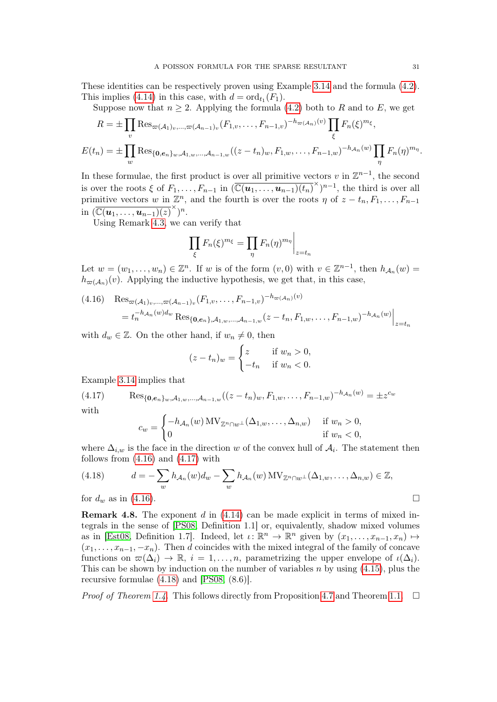These identities can be respectively proven using Example [3.14](#page-24-0) and the formula [\(4.2\)](#page-25-3). This implies [\(4.14\)](#page-29-3) in this case, with  $d = \text{ord}_{t_1}(F_1)$ .

Suppose now that  $n \geq 2$ . Applying the formula [\(4.2\)](#page-25-3) both to R and to E, we get

$$
R = \pm \prod_{v} \text{Res}_{\varpi(A_1)v, \dots, \varpi(A_{n-1})v} (F_{1,v}, \dots, F_{n-1,v})^{-h_{\varpi(A_n)}(v)} \prod_{\xi} F_n(\xi)^{m_{\xi}},
$$
  

$$
E(t_n) = \pm \prod_{w} \text{Res}_{\{0, e_n\}_w, A_{1,w}, \dots, A_{n-1,w}} ((z - t_n)w, F_{1,w}, \dots, F_{n-1,w})^{-h_{A_n}(w)} \prod_{\eta} F_n(\eta)^{m_{\eta}}.
$$

In these formulae, the first product is over all primitive vectors v in  $\mathbb{Z}^{n-1}$ , the second is over the roots  $\xi$  of  $F_1, \ldots, F_{n-1}$  in  $(\overline{\mathbb{C}(\boldsymbol{u}_1, \ldots, \boldsymbol{u}_{n-1})(t_n)}^{\times})^{n-1}$ , the third is over all primitive vectors w in  $\mathbb{Z}^n$ , and the fourth is over the roots  $\eta$  of  $z-t_n, F_1, \ldots, F_{n-1}$ in  $(\overline{\mathbb{C}(\boldsymbol{u}_1,\ldots,\boldsymbol{u}_{n-1})(z)}^{\times})^n$ .

Using Remark [4.3,](#page-27-4) we can verify that

$$
\prod_{\xi} F_n(\xi)^{m_{\xi}} = \prod_{\eta} F_n(\eta)^{m_{\eta}} \bigg|_{z=t_n}
$$

Let  $w = (w_1, \ldots, w_n) \in \mathbb{Z}^n$ . If w is of the form  $(v, 0)$  with  $v \in \mathbb{Z}^{n-1}$ , then  $h_{\mathcal{A}_n}(w) =$  $h_{\varpi(\mathcal{A}_n)}(v)$ . Applying the inductive hypothesis, we get that, in this case,

<span id="page-30-1"></span>
$$
(4.16) \quad \text{Res}_{\varpi(\mathcal{A}_1)_v,\dots,\varpi(\mathcal{A}_{n-1})_v}(F_{1,v},\dots,F_{n-1,v})^{-h_{\varpi(\mathcal{A}_n)}(v)}
$$
  
=  $t_n^{-h_{\mathcal{A}_n}(w)d_w} \text{Res}_{\{0,e_n\},\mathcal{A}_{1,w},\dots,\mathcal{A}_{n-1,w}}(z-t_n,F_{1,w},\dots,F_{n-1,w})^{-h_{\mathcal{A}_n}(w)}\Big|_{z=t_n}$ 

with  $d_w \in \mathbb{Z}$ . On the other hand, if  $w_n \neq 0$ , then

$$
(z - t_n)_w = \begin{cases} z & \text{if } w_n > 0, \\ -t_n & \text{if } w_n < 0. \end{cases}
$$

Example [3.14](#page-24-0) implies that

(4.17) 
$$
\text{Res}_{\{0,e_n\}_w,A_{1,w},\ldots,A_{n-1,w}}((z-t_n)_w,F_{1,w},\ldots,F_{n-1,w})^{-h_{\mathcal{A}_n}(w)} = \pm z^{c_w}
$$
 with

<span id="page-30-2"></span>
$$
c_w = \begin{cases} -h_{\mathcal{A}_n}(w) \, \text{MV}_{\mathbb{Z}^n \cap w^\perp}(\Delta_{1,w}, \dots, \Delta_{n,w}) & \text{if } w_n > 0, \\ 0 & \text{if } w_n < 0, \end{cases}
$$

where  $\Delta_{i,w}$  is the face in the direction w of the convex hull of  $\mathcal{A}_i$ . The statement then follows from  $(4.16)$  and  $(4.17)$  with

<span id="page-30-3"></span>(4.18) 
$$
d = -\sum_{w} h_{\mathcal{A}_n}(w) d_w - \sum_{w} h_{\mathcal{A}_n}(w) \operatorname{MV}_{\mathbb{Z}^n \cap w^{\perp}}(\Delta_{1,w}, \dots, \Delta_{n,w}) \in \mathbb{Z},
$$
  
for  $d_w$  as in (4.16).

<span id="page-30-0"></span>**Remark 4.8.** The exponent  $d$  in  $(4.14)$  can be made explicit in terms of mixed integrals in the sense of [\[PS08,](#page-33-17) Definition 1.1] or, equivalently, shadow mixed volumes as in [\[Est08,](#page-33-18) Definition 1.7]. Indeed, let  $\iota: \mathbb{R}^n \to \mathbb{R}^n$  given by  $(x_1, \ldots, x_{n-1}, x_n) \mapsto$  $(x_1, \ldots, x_{n-1}, -x_n)$ . Then d coincides with the mixed integral of the family of concave functions on  $\varpi(\Delta_i) \to \mathbb{R}$ ,  $i = 1, \ldots, n$ , parametrizing the upper envelope of  $\iota(\Delta_i)$ . This can be shown by induction on the number of variables  $n$  by using  $(4.15)$ , plus the recursive formulae [\(4.18\)](#page-30-3) and [\[PS08,](#page-33-17) (8.6)].

*Proof of Theorem [1.4.](#page-4-0)* This follows directly from Proposition [4.7](#page-29-5) and Theorem [1.1.](#page-2-0)  $\Box$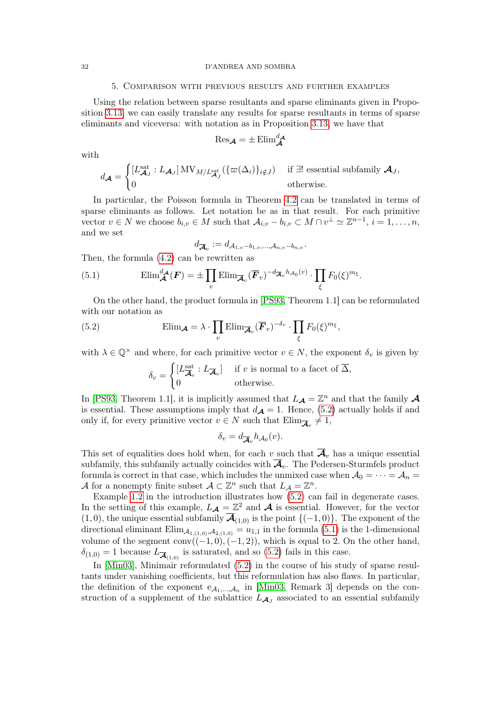#### <span id="page-31-0"></span>32 D'ANDREA AND SOMBRA

## 5. Comparison with previous results and further examples

Using the relation between sparse resultants and sparse eliminants given in Proposition [3.13,](#page-23-0) we can easily translate any results for sparse resultants in terms of sparse eliminants and viceversa: with notation as in Proposition [3.13,](#page-23-0) we have that

$$
\mathrm{Res}_{\mathcal{A}} = \pm \mathrm{Elim}_{\mathcal{A}}^{d_{\mathcal{A}}}
$$

with

$$
d_{\mathcal{A}} = \begin{cases} [L_{\mathcal{A}_J}^{\text{sat}} : L_{\mathcal{A}_J}] \, \text{MV}_{M/L_{\mathcal{A}_J}^{\text{sat}}}(\{\varpi(\Delta_i)\}_{i \notin J}) & \text{if } \exists! \text{ essential subfamily } \mathcal{A}_J, \\ 0 & \text{otherwise.} \end{cases}
$$

In particular, the Poisson formula in Theorem [4.2](#page-25-1) can be translated in terms of sparse eliminants as follows. Let notation be as in that result. For each primitive vector  $v \in N$  we choose  $b_{i,v} \in M$  such that  $\mathcal{A}_{i,v} - b_{i,v} \subset M \cap v^{\perp} \simeq \mathbb{Z}^{n-1}, i = 1, \ldots, n$ , and we set

$$
d_{\overline{\mathcal{A}}_v} := d_{\mathcal{A}_{1,v}-b_{1,v},\ldots,\mathcal{A}_{n,v}-b_{n,v}}.
$$

Then, the formula [\(4.2\)](#page-25-3) can be rewritten as

<span id="page-31-2"></span>(5.1) 
$$
\mathrm{Elim}_{\mathcal{A}}^{d_{\mathcal{A}}}(F) = \pm \prod_{v} \mathrm{Elim}_{\overline{\mathcal{A}}_{v}}(\overline{F}_{v})^{-d_{\overline{\mathcal{A}}_{v}}h_{\mathcal{A}_{0}}(v)} \cdot \prod_{\xi} F_{0}(\xi)^{m_{\xi}}.
$$

On the other hand, the product formula in [\[PS93,](#page-33-11) Theorem 1.1] can be reformulated with our notation as

(5.2) 
$$
\text{Elim}_{\mathcal{A}} = \lambda \cdot \prod_{v} \text{Elim}_{\overline{\mathcal{A}}_v} (\overline{F}_v)^{-\delta_v} \cdot \prod_{\xi} F_0(\xi)^{m_{\xi}},
$$

with  $\lambda \in \mathbb{Q}^{\times}$  and where, for each primitive vector  $v \in N$ , the exponent  $\delta_v$  is given by

<span id="page-31-1"></span>
$$
\delta_v = \begin{cases} [L_{\overline{\mathcal{A}}_v}^{\text{sat}} : L_{\overline{\mathcal{A}}_v}] & \text{if } v \text{ is normal to a facet of } \overline{\Delta}, \\ 0 & \text{otherwise.} \end{cases}
$$

In [\[PS93,](#page-33-11) Theorem 1.1], it is implicitly assumed that  $L_{\mathcal{A}} = \mathbb{Z}^n$  and that the family  $\mathcal{A}$ is essential. These assumptions imply that  $d\mathbf{A} = 1$ . Hence, [\(5.2\)](#page-31-1) actually holds if and only if, for every primitive vector  $v \in N$  such that  $\text{Elim}_{\overline{\mathcal{A}}_v} \neq 1$ ,

$$
\delta_v = d_{\overline{\mathcal{A}}_v} h_{\mathcal{A}_0}(v).
$$

This set of equalities does hold when, for each v such that  $\overline{\mathcal{A}}_v$  has a unique essential subfamily, this subfamily actually coincides with  $\overline{\mathcal{A}}_{v}$ . The Pedersen-Sturmfels product formula is correct in that case, which includes the unmixed case when  $\mathcal{A}_0 = \cdots = \mathcal{A}_n =$ A for a nonempty finite subset  $\mathcal{A} \subset \mathbb{Z}^n$  such that  $L_{\mathcal{A}} = \mathbb{Z}^n$ .

Example [1.2](#page-2-1) in the introduction illustrates how [\(5.2\)](#page-31-1) can fail in degenerate cases. In the setting of this example,  $L_{\mathcal{A}} = \mathbb{Z}^2$  and  $\mathcal{A}$  is essential. However, for the vector (1,0), the unique essential subfamily  $\overline{A}_{(1,0)}$  is the point  $\{(-1,0)\}$ . The exponent of the directional eliminant  $\text{Elim}_{\mathcal{A}_{1,(1,0)},\mathcal{A}_{2,(1,0)}}=u_{1,1}$  in the formula [\(5.1\)](#page-31-2) is the 1-dimensional volume of the segment conv $((-1, 0), (-1, 2))$ , which is equal to 2. On the other hand,  $\delta_{(1,0)} = 1$  because  $L_{\overline{\mathcal{A}}_{(1,0)}}$  is saturated, and so [\(5.2\)](#page-31-1) fails in this case.

In [\[Min03\]](#page-33-15), Minimair reformulated [\(5.2\)](#page-31-1) in the course of his study of sparse resultants under vanishing coefficients, but this reformulation has also flaws. In particular, the definition of the exponent  $e_{A_1,...,A_n}$  in [\[Min03,](#page-33-15) Remark 3] depends on the construction of a supplement of the sublattice  $L_{\mathcal{A}_J}$  associated to an essential subfamily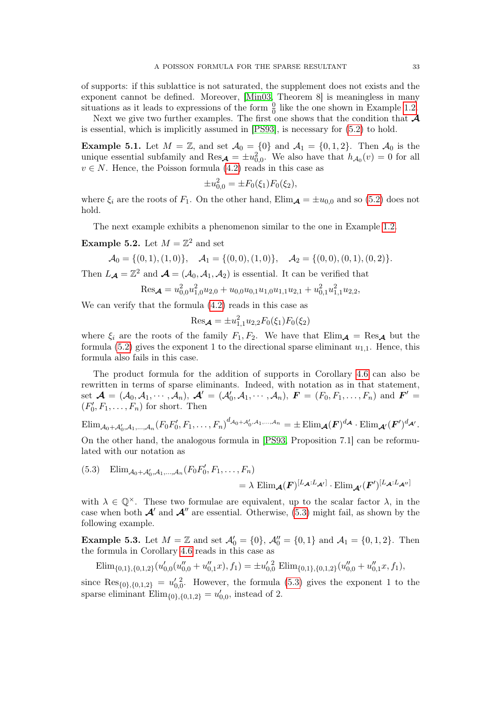of supports: if this sublattice is not saturated, the supplement does not exists and the exponent cannot be defined. Moreover, [\[Min03,](#page-33-15) Theorem 8] is meaningless in many situations as it leads to expressions of the form  $\frac{0}{0}$  like the one shown in Example [1.2.](#page-2-1)

Next we give two further examples. The first one shows that the condition that  $\mathcal A$ is essential, which is implicitly assumed in [\[PS93\]](#page-33-11), is necessary for [\(5.2\)](#page-31-1) to hold.

**Example 5.1.** Let  $M = \mathbb{Z}$ , and set  $\mathcal{A}_0 = \{0\}$  and  $\mathcal{A}_1 = \{0, 1, 2\}$ . Then  $\mathcal{A}_0$  is the unique essential subfamily and  $\text{Res}_{\mathcal{A}} = \pm u_{0,0}^2$ . We also have that  $h_{\mathcal{A}_0}(v) = 0$  for all  $v \in N$ . Hence, the Poisson formula [\(4.2\)](#page-25-3) reads in this case as

$$
\pm u_{0,0}^2 = \pm F_0(\xi_1) F_0(\xi_2),
$$

where  $\xi_i$  are the roots of  $F_1$ . On the other hand,  $\text{Elim}_{\mathcal{A}} = \pm u_{0,0}$  and so [\(5.2\)](#page-31-1) does not hold.

The next example exhibits a phenomenon similar to the one in Example [1.2.](#page-2-1)

**Example 5.2.** Let  $M = \mathbb{Z}^2$  and set

$$
\mathcal{A}_0 = \{(0,1), (1,0)\}, \quad \mathcal{A}_1 = \{(0,0), (1,0)\}, \quad \mathcal{A}_2 = \{(0,0), (0,1), (0,2)\}.
$$

Then  $L_{\mathcal{A}} = \mathbb{Z}^2$  and  $\mathcal{A} = (A_0, A_1, A_2)$  is essential. It can be verified that

$$
\mathrm{Res}_{\mathcal{A}} = u_{0,0}^2 u_{1,0}^2 u_{2,0} + u_{0,0} u_{0,1} u_{1,0} u_{1,1} u_{2,1} + u_{0,1}^2 u_{1,1}^2 u_{2,2},
$$

We can verify that the formula [\(4.2\)](#page-25-3) reads in this case as

$$
\mathrm{Res}_{\mathcal{A}} = \pm u_{1,1}^2 u_{2,2} F_0(\xi_1) F_0(\xi_2)
$$

where  $\xi_i$  are the roots of the family  $F_1, F_2$ . We have that  $\text{Elim}_{\mathcal{A}} = \text{Res}_{\mathcal{A}}$  but the formula [\(5.2\)](#page-31-1) gives the exponent 1 to the directional sparse eliminant  $u_{1,1}$ . Hence, this formula also fails in this case.

The product formula for the addition of supports in Corollary [4.6](#page-29-0) can also be rewritten in terms of sparse eliminants. Indeed, with notation as in that statement, set  $\mathcal{A} = (\mathcal{A}_0, \mathcal{A}_1, \cdots, \mathcal{A}_n), \ \mathcal{A}' = (\mathcal{A}'_0, \mathcal{A}_1, \cdots, \mathcal{A}_n), \ \mathbf{F} = (F_0, F_1, \ldots, F_n)$  and  $\mathbf{F}' =$  $(F'_0, F_1, \ldots, F_n)$  for short. Then

$$
\text{Elim}_{\mathcal{A}_0+\mathcal{A}'_0,\mathcal{A}_1,\dots,\mathcal{A}_n}(F_0F'_0,F_1,\dots,F_n)^{d_{\mathcal{A}_0+\mathcal{A}'_0,\mathcal{A}_1,\dots,\mathcal{A}_n}}=\pm \text{Elim}_{\mathcal{A}}(F)^{d_{\mathcal{A}}}\cdot \text{Elim}_{\mathcal{A}'}(F')^{d_{\mathcal{A}'}}.
$$

On the other hand, the analogous formula in [\[PS93,](#page-33-11) Proposition 7.1] can be reformulated with our notation as

<span id="page-32-0"></span>(5.3) Elim<sub>A0</sub>+<sub>A'</sub><sub>0</sub>,A<sub>1</sub>,...,A<sub>n</sub>( $F_0F'_0, F_1, ..., F_n$ )  $\mathcal{L} = \lambda \, \, \mathrm{Elim}_{\boldsymbol{\mathcal{A}}}(\boldsymbol{F})^{[L_{\boldsymbol{\mathcal{A}}}:L_{\boldsymbol{\mathcal{A}}'}]} \cdot \mathrm{Elim}_{\boldsymbol{\mathcal{A}}'}(\boldsymbol{F}')^{[L_{\boldsymbol{\mathcal{A}}}:L_{\boldsymbol{\mathcal{A}}''}]}$ 

with  $\lambda \in \mathbb{Q}^{\times}$ . These two formulae are equivalent, up to the scalar factor  $\lambda$ , in the case when both  $\mathcal{A}'$  and  $\mathcal{A}''$  are essential. Otherwise, [\(5.3\)](#page-32-0) might fail, as shown by the following example.

**Example 5.3.** Let  $M = \mathbb{Z}$  and set  $\mathcal{A}'_0 = \{0\}$ ,  $\mathcal{A}''_0 = \{0, 1\}$  and  $\mathcal{A}_1 = \{0, 1, 2\}$ . Then the formula in Corollary [4.6](#page-29-0) reads in this case as

$$
\text{Elim}_{\{0,1\},\{0,1,2\}}(u'_{0,0}(u''_{0,0}+u''_{0,1}x),f_1)=\pm u'_{0,0}^2\; \text{Elim}_{\{0,1\},\{0,1,2\}}(u''_{0,0}+u''_{0,1}x,f_1),
$$

since  $\text{Res}_{\{0\},\{0,1,2\}} = u_{0,0}^{\prime\,2}$ . However, the formula [\(5.3\)](#page-32-0) gives the exponent 1 to the sparse eliminant  $\text{Elim}_{\{0\},\{0,1,2\}} = u'_{0,0}$ , instead of 2.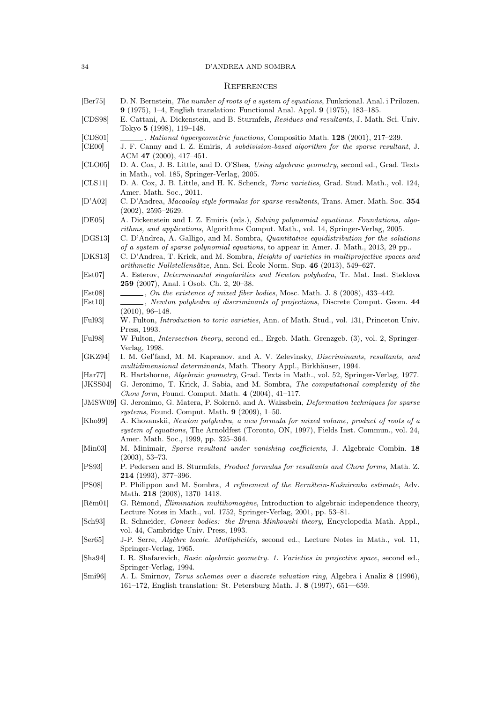# 34 D'ANDREA AND SOMBRA

# **REFERENCES**

<span id="page-33-27"></span><span id="page-33-26"></span><span id="page-33-25"></span><span id="page-33-24"></span><span id="page-33-23"></span><span id="page-33-22"></span><span id="page-33-21"></span><span id="page-33-20"></span><span id="page-33-19"></span><span id="page-33-18"></span><span id="page-33-17"></span><span id="page-33-16"></span><span id="page-33-15"></span><span id="page-33-14"></span><span id="page-33-13"></span><span id="page-33-12"></span><span id="page-33-11"></span><span id="page-33-10"></span><span id="page-33-9"></span><span id="page-33-8"></span><span id="page-33-7"></span><span id="page-33-6"></span><span id="page-33-5"></span><span id="page-33-4"></span><span id="page-33-3"></span><span id="page-33-2"></span><span id="page-33-1"></span><span id="page-33-0"></span>

| $\left[\text{Ber75}\right]$ | D. N. Bernstein, The number of roots of a system of equations, Funkcional. Anal. i Prilozen.<br>9 (1975), 1–4, English translation: Functional Anal. Appl. 9 (1975), 183–185.                                                                                          |
|-----------------------------|------------------------------------------------------------------------------------------------------------------------------------------------------------------------------------------------------------------------------------------------------------------------|
| [CDS98]                     | E. Cattani, A. Dickenstein, and B. Sturmfels, Residues and resultants, J. Math. Sci. Univ.<br>Tokyo 5 (1998), 119–148.                                                                                                                                                 |
| [CDS01]<br>[CE00]           | $\ldots$ , Rational hypergeometric functions, Compositio Math. 128 (2001), 217–239.<br>J. F. Canny and I. Z. Emiris, A subdivision-based algorithm for the sparse resultant, J.                                                                                        |
| [CLO05]                     | ACM 47 $(2000)$ , 417-451.<br>D. A. Cox, J. B. Little, and D. O'Shea, Using algebraic geometry, second ed., Grad. Texts<br>in Math., vol. 185, Springer-Verlag, 2005.                                                                                                  |
| [CLS11]                     | D. A. Cox, J. B. Little, and H. K. Schenck, Toric varieties, Grad. Stud. Math., vol. 124,<br>Amer. Math. Soc., 2011.                                                                                                                                                   |
| [D'AO2]                     | C. D'Andrea, <i>Macaulay style formulas for sparse resultants</i> , Trans. Amer. Math. Soc. 354<br>$(2002), 2595 - 2629.$                                                                                                                                              |
| [DE05]                      | A. Dickenstein and I. Z. Emiris (eds.), Solving polynomial equations. Foundations, algo-                                                                                                                                                                               |
| [DGS13]                     | rithms, and applications, Algorithms Comput. Math., vol. 14, Springer-Verlag, 2005.<br>C. D'Andrea, A. Galligo, and M. Sombra, Quantitative equidistribution for the solutions<br>of a system of sparse polynomial equations, to appear in Amer. J. Math., 2013, 29 pp |
| [DKS13]                     | C. D'Andrea, T. Krick, and M. Sombra, <i>Heights of varieties in multiprojective spaces and</i><br>arithmetic Nullstellensätze, Ann. Sci. Ecole Norm. Sup. 46 (2013), 549–627.                                                                                         |
| $\left[{\rm Est}07\right]$  | A. Esterov, Determinantal singularities and Newton polyhedra, Tr. Mat. Inst. Steklova<br><b>259</b> (2007), Anal. i Osob. Ch. 2, 20–38.                                                                                                                                |
| $\left[{\rm Est08}\right]$  | $\ldots$ , On the existence of mixed fiber bodies, Mosc. Math. J. 8 (2008), 433-442.                                                                                                                                                                                   |
| [Est10]                     | Newton polyhedra of discriminants of projections, Discrete Comput. Geom. 44<br>$(2010), 96-148.$                                                                                                                                                                       |
| $[$ Ful $93]$               | W. Fulton, <i>Introduction to toric varieties</i> , Ann. of Math. Stud., vol. 131, Princeton Univ.<br>Press, 1993.                                                                                                                                                     |
| [Full98]                    | W Fulton, Intersection theory, second ed., Ergeb. Math. Grenzgeb. (3), vol. 2, Springer-<br>Verlag, 1998.                                                                                                                                                              |
| [GKZ94]                     | I. M. Gel'fand, M. M. Kapranov, and A. V. Zelevinsky, <i>Discriminants, resultants, and</i><br>multidimensional determinants, Math. Theory Appl., Birkhäuser, 1994.                                                                                                    |
| $\vert\text{Har77}\vert$    | R. Hartshorne, Algebraic geometry, Grad. Texts in Math., vol. 52, Springer-Verlag, 1977.                                                                                                                                                                               |
| [JKSS04]                    | G. Jeronimo, T. Krick, J. Sabia, and M. Sombra, The computational complexity of the<br>Chow form, Found. Comput. Math. $4$ (2004), 41-117.                                                                                                                             |
| [JMSW09]                    | G. Jeronimo, G. Matera, P. Solernó, and A. Waissbein, <i>Deformation techniques for sparse</i><br>systems, Found. Comput. Math. $9$ (2009), 1–50.                                                                                                                      |
| [Kh099]                     | A. Khovanskii, Newton polyhedra, a new formula for mixed volume, product of roots of a<br>system of equations, The Arnoldfest (Toronto, ON, 1997), Fields Inst. Commun., vol. 24,<br>Amer. Math. Soc., 1999, pp. 325–364.                                              |
| [Min03]                     | M. Minimair, Sparse resultant under vanishing coefficients, J. Algebraic Combin. 18<br>$(2003), 53-73.$                                                                                                                                                                |
| [PS93]                      | P. Pedersen and B. Sturmfels, Product formulas for resultants and Chow forms, Math. Z.<br><b>214</b> (1993), 377–396.                                                                                                                                                  |
| [PS08]                      | P. Philippon and M. Sombra, A refinement of the Bernstein-Kusnirenko estimate, Adv.<br>Math. 218 (2008), 1370-1418.                                                                                                                                                    |
| $[$ Rém $01]$               | G. Rémond, Élimination multihomogène, Introduction to algebraic independence theory,<br>Lecture Notes in Math., vol. 1752, Springer-Verlag, 2001, pp. 53-81.                                                                                                           |
| $\left[\text{Sch}93\right]$ | R. Schneider, Convex bodies: the Brunn-Minkowski theory, Encyclopedia Math. Appl.,<br>vol. 44, Cambridge Univ. Press, 1993.                                                                                                                                            |
| $\left[$ Ser $65\right]$    | J-P. Serre, Algèbre locale. Multiplicités, second ed., Lecture Notes in Math., vol. 11,<br>Springer-Verlag, 1965.                                                                                                                                                      |
| [Sha94]                     | I. R. Shafarevich, <i>Basic algebraic geometry. 1. Varieties in projective space</i> , second ed.,<br>Springer-Verlag, 1994.                                                                                                                                           |
| $\left[\text{Smi96}\right]$ | A. L. Smirnov, Torus schemes over a discrete valuation ring, Algebra i Analiz 8 (1996),<br>161–172, English translation: St. Petersburg Math. J. $8$ (1997), 651–659.                                                                                                  |